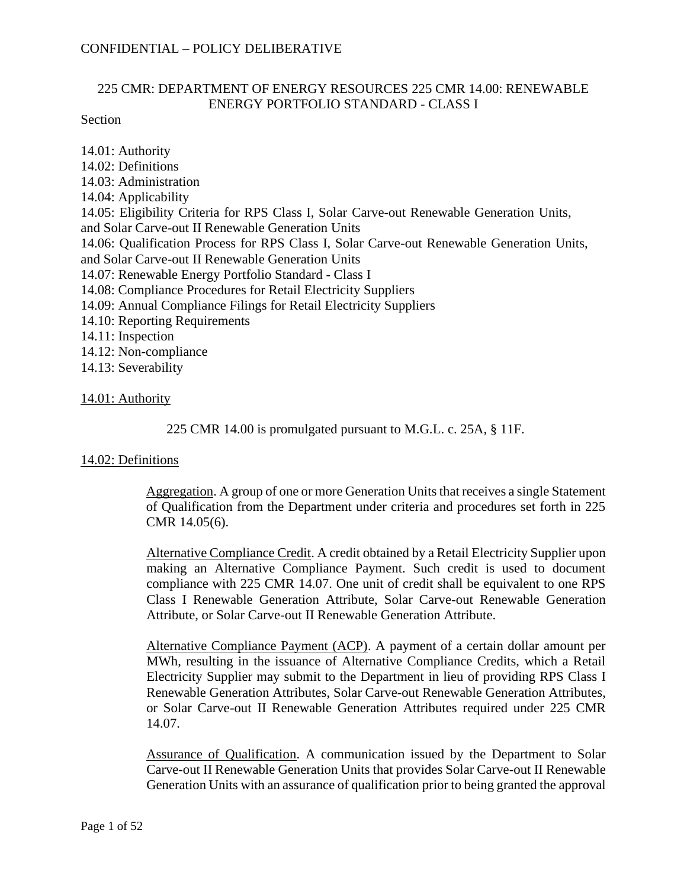## 225 CMR: DEPARTMENT OF ENERGY RESOURCES 225 CMR 14.00: RENEWABLE ENERGY PORTFOLIO STANDARD - CLASS I

Section

14.01: Authority 14.02: Definitions 14.03: Administration 14.04: Applicability 14.05: Eligibility Criteria for RPS Class I, Solar Carve-out Renewable Generation Units, and Solar Carve-out II Renewable Generation Units 14.06: Qualification Process for RPS Class I, Solar Carve-out Renewable Generation Units, and Solar Carve-out II Renewable Generation Units 14.07: Renewable Energy Portfolio Standard - Class I 14.08: Compliance Procedures for Retail Electricity Suppliers 14.09: Annual Compliance Filings for Retail Electricity Suppliers 14.10: Reporting Requirements 14.11: Inspection 14.12: Non-compliance 14.13: Severability

### 14.01: Authority

225 CMR 14.00 is promulgated pursuant to M.G.L. c. 25A, § 11F.

# 14.02: Definitions

Aggregation. A group of one or more Generation Units that receives a single Statement of Qualification from the Department under criteria and procedures set forth in 225 CMR 14.05(6).

Alternative Compliance Credit. A credit obtained by a Retail Electricity Supplier upon making an Alternative Compliance Payment. Such credit is used to document compliance with 225 CMR 14.07. One unit of credit shall be equivalent to one RPS Class I Renewable Generation Attribute, Solar Carve-out Renewable Generation Attribute, or Solar Carve-out II Renewable Generation Attribute.

Alternative Compliance Payment (ACP). A payment of a certain dollar amount per MWh, resulting in the issuance of Alternative Compliance Credits, which a Retail Electricity Supplier may submit to the Department in lieu of providing RPS Class I Renewable Generation Attributes, Solar Carve-out Renewable Generation Attributes, or Solar Carve-out II Renewable Generation Attributes required under 225 CMR 14.07.

Assurance of Qualification. A communication issued by the Department to Solar Carve-out II Renewable Generation Units that provides Solar Carve-out II Renewable Generation Units with an assurance of qualification prior to being granted the approval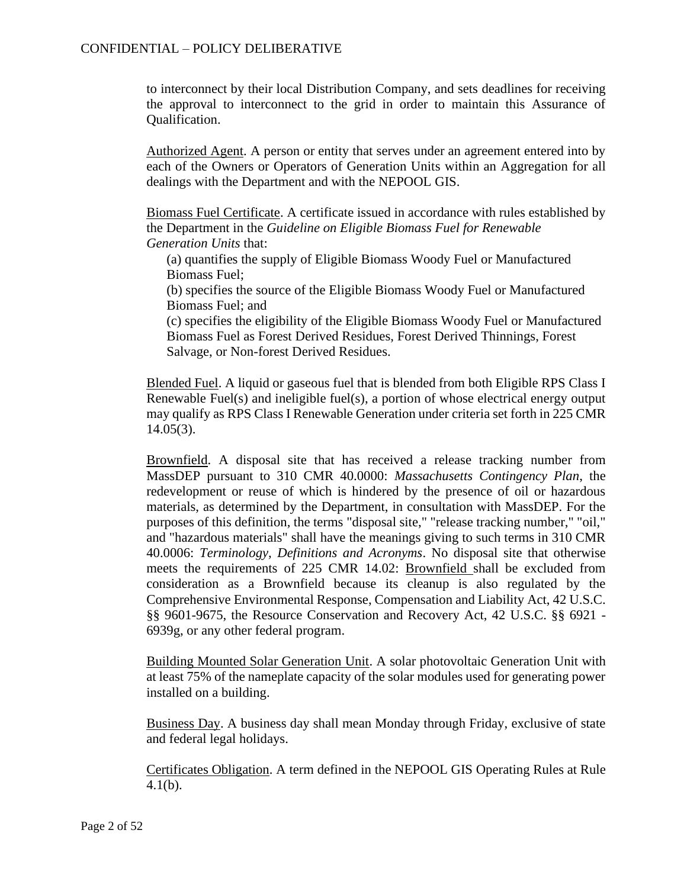to interconnect by their local Distribution Company, and sets deadlines for receiving the approval to interconnect to the grid in order to maintain this Assurance of Qualification.

Authorized Agent. A person or entity that serves under an agreement entered into by each of the Owners or Operators of Generation Units within an Aggregation for all dealings with the Department and with the NEPOOL GIS.

Biomass Fuel Certificate. A certificate issued in accordance with rules established by the Department in the *Guideline on Eligible Biomass Fuel for Renewable Generation Units* that:

(a) quantifies the supply of Eligible Biomass Woody Fuel or Manufactured Biomass Fuel;

(b) specifies the source of the Eligible Biomass Woody Fuel or Manufactured Biomass Fuel; and

(c) specifies the eligibility of the Eligible Biomass Woody Fuel or Manufactured Biomass Fuel as Forest Derived Residues, Forest Derived Thinnings, Forest Salvage, or Non-forest Derived Residues.

Blended Fuel. A liquid or gaseous fuel that is blended from both Eligible RPS Class I Renewable Fuel(s) and ineligible fuel(s), a portion of whose electrical energy output may qualify as RPS Class I Renewable Generation under criteria set forth in 225 CMR 14.05(3).

Brownfield. A disposal site that has received a release tracking number from MassDEP pursuant to 310 CMR 40.0000: *Massachusetts Contingency Plan*, the redevelopment or reuse of which is hindered by the presence of oil or hazardous materials, as determined by the Department, in consultation with MassDEP. For the purposes of this definition, the terms "disposal site," "release tracking number," "oil," and "hazardous materials" shall have the meanings giving to such terms in 310 CMR 40.0006: *Terminology, Definitions and Acronyms*. No disposal site that otherwise meets the requirements of 225 CMR 14.02: Brownfield shall be excluded from consideration as a Brownfield because its cleanup is also regulated by the Comprehensive Environmental Response, Compensation and Liability Act, 42 U.S.C. §§ 9601-9675, the Resource Conservation and Recovery Act, 42 U.S.C. §§ 6921 - 6939g, or any other federal program.

Building Mounted Solar Generation Unit. A solar photovoltaic Generation Unit with at least 75% of the nameplate capacity of the solar modules used for generating power installed on a building.

Business Day. A business day shall mean Monday through Friday, exclusive of state and federal legal holidays.

Certificates Obligation. A term defined in the NEPOOL GIS Operating Rules at Rule 4.1(b).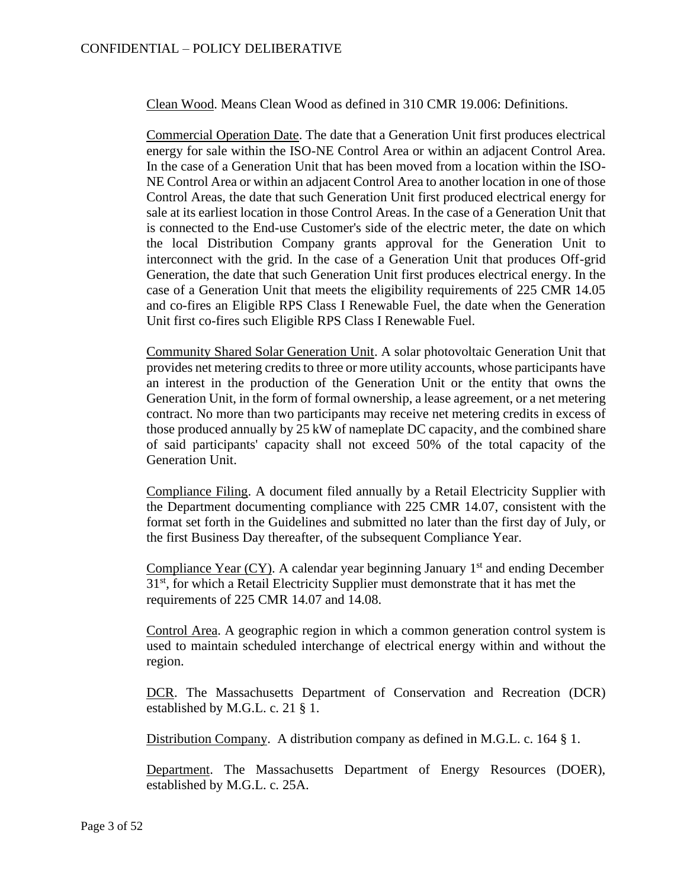Clean Wood. Means Clean Wood as defined in 310 CMR 19.006: Definitions.

Commercial Operation Date. The date that a Generation Unit first produces electrical energy for sale within the ISO-NE Control Area or within an adjacent Control Area. In the case of a Generation Unit that has been moved from a location within the ISO-NE Control Area or within an adjacent Control Area to another location in one of those Control Areas, the date that such Generation Unit first produced electrical energy for sale at its earliest location in those Control Areas. In the case of a Generation Unit that is connected to the End-use Customer's side of the electric meter, the date on which the local Distribution Company grants approval for the Generation Unit to interconnect with the grid. In the case of a Generation Unit that produces Off-grid Generation, the date that such Generation Unit first produces electrical energy. In the case of a Generation Unit that meets the eligibility requirements of 225 CMR 14.05 and co-fires an Eligible RPS Class I Renewable Fuel, the date when the Generation Unit first co-fires such Eligible RPS Class I Renewable Fuel.

Community Shared Solar Generation Unit. A solar photovoltaic Generation Unit that provides net metering credits to three or more utility accounts, whose participants have an interest in the production of the Generation Unit or the entity that owns the Generation Unit, in the form of formal ownership, a lease agreement, or a net metering contract. No more than two participants may receive net metering credits in excess of those produced annually by 25 kW of nameplate DC capacity, and the combined share of said participants' capacity shall not exceed 50% of the total capacity of the Generation Unit.

Compliance Filing. A document filed annually by a Retail Electricity Supplier with the Department documenting compliance with 225 CMR 14.07, consistent with the format set forth in the Guidelines and submitted no later than the first day of July, or the first Business Day thereafter, of the subsequent Compliance Year.

Compliance Year  $(CY)$ . A calendar year beginning January 1<sup>st</sup> and ending December  $31<sup>st</sup>$ , for which a Retail Electricity Supplier must demonstrate that it has met the requirements of 225 CMR 14.07 and 14.08.

Control Area. A geographic region in which a common generation control system is used to maintain scheduled interchange of electrical energy within and without the region.

DCR. The Massachusetts Department of Conservation and Recreation (DCR) established by M.G.L. c. 21 § 1.

Distribution Company. A distribution company as defined in M.G.L. c. 164 § 1.

Department. The Massachusetts Department of Energy Resources (DOER), established by M.G.L. c. 25A.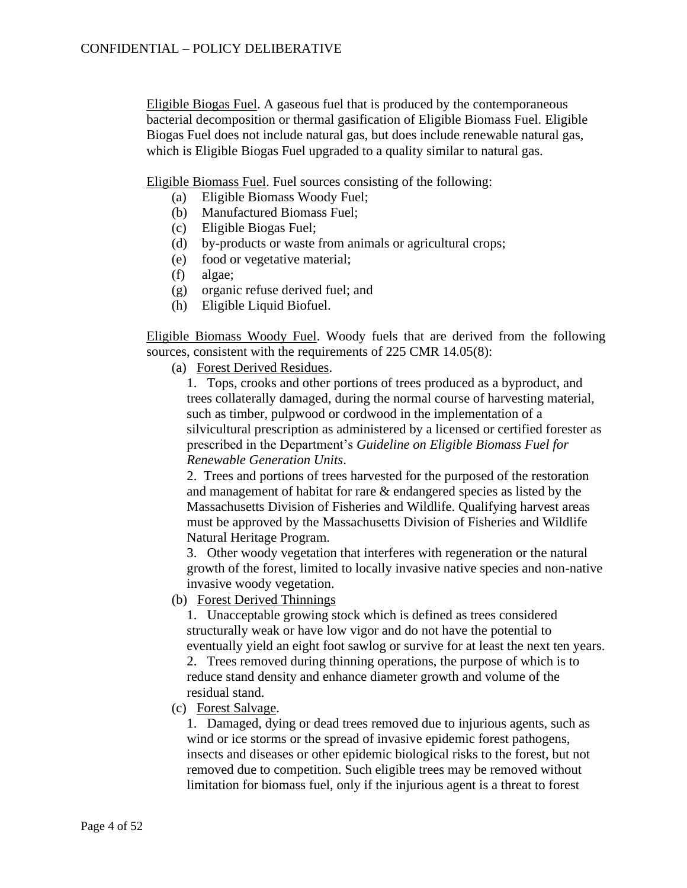Eligible Biogas Fuel. A gaseous fuel that is produced by the contemporaneous bacterial decomposition or thermal gasification of Eligible Biomass Fuel. Eligible Biogas Fuel does not include natural gas, but does include renewable natural gas, which is Eligible Biogas Fuel upgraded to a quality similar to natural gas.

Eligible Biomass Fuel. Fuel sources consisting of the following:

- (a) Eligible Biomass Woody Fuel;
- (b) Manufactured Biomass Fuel;
- (c) Eligible Biogas Fuel;
- (d) by-products or waste from animals or agricultural crops;
- (e) food or vegetative material;
- (f) algae;
- (g) organic refuse derived fuel; and
- (h) Eligible Liquid Biofuel.

Eligible Biomass Woody Fuel. Woody fuels that are derived from the following sources, consistent with the requirements of 225 CMR 14.05(8):

(a) Forest Derived Residues.

1. Tops, crooks and other portions of trees produced as a byproduct, and trees collaterally damaged, during the normal course of harvesting material, such as timber, pulpwood or cordwood in the implementation of a silvicultural prescription as administered by a licensed or certified forester as prescribed in the Department's *Guideline on Eligible Biomass Fuel for Renewable Generation Units*.

2. Trees and portions of trees harvested for the purposed of the restoration and management of habitat for rare & endangered species as listed by the Massachusetts Division of Fisheries and Wildlife. Qualifying harvest areas must be approved by the Massachusetts Division of Fisheries and Wildlife Natural Heritage Program.

3. Other woody vegetation that interferes with regeneration or the natural growth of the forest, limited to locally invasive native species and non-native invasive woody vegetation.

(b) Forest Derived Thinnings

1. Unacceptable growing stock which is defined as trees considered structurally weak or have low vigor and do not have the potential to eventually yield an eight foot sawlog or survive for at least the next ten years.

2. Trees removed during thinning operations, the purpose of which is to reduce stand density and enhance diameter growth and volume of the residual stand.

(c) Forest Salvage.

1. Damaged, dying or dead trees removed due to injurious agents, such as wind or ice storms or the spread of invasive epidemic forest pathogens, insects and diseases or other epidemic biological risks to the forest, but not removed due to competition. Such eligible trees may be removed without limitation for biomass fuel, only if the injurious agent is a threat to forest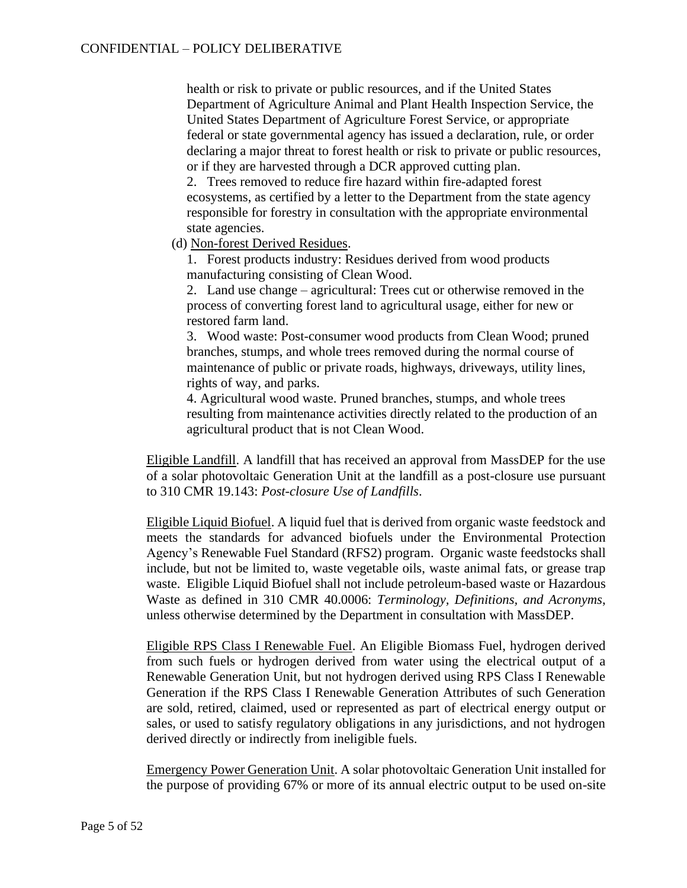health or risk to private or public resources, and if the United States Department of Agriculture Animal and Plant Health Inspection Service, the United States Department of Agriculture Forest Service, or appropriate federal or state governmental agency has issued a declaration, rule, or order declaring a major threat to forest health or risk to private or public resources, or if they are harvested through a DCR approved cutting plan.

2. Trees removed to reduce fire hazard within fire-adapted forest ecosystems, as certified by a letter to the Department from the state agency responsible for forestry in consultation with the appropriate environmental state agencies.

(d) Non-forest Derived Residues.

1. Forest products industry: Residues derived from wood products manufacturing consisting of Clean Wood.

2. Land use change – agricultural: Trees cut or otherwise removed in the process of converting forest land to agricultural usage, either for new or restored farm land.

3. Wood waste: Post-consumer wood products from Clean Wood; pruned branches, stumps, and whole trees removed during the normal course of maintenance of public or private roads, highways, driveways, utility lines, rights of way, and parks.

4. Agricultural wood waste. Pruned branches, stumps, and whole trees resulting from maintenance activities directly related to the production of an agricultural product that is not Clean Wood.

Eligible Landfill. A landfill that has received an approval from MassDEP for the use of a solar photovoltaic Generation Unit at the landfill as a post-closure use pursuant to 310 CMR 19.143: *Post-closure Use of Landfills*.

Eligible Liquid Biofuel. A liquid fuel that is derived from organic waste feedstock and meets the standards for advanced biofuels under the Environmental Protection Agency's Renewable Fuel Standard (RFS2) program. Organic waste feedstocks shall include, but not be limited to, waste vegetable oils, waste animal fats, or grease trap waste. Eligible Liquid Biofuel shall not include petroleum-based waste or Hazardous Waste as defined in 310 CMR 40.0006: *Terminology, Definitions, and Acronyms*, unless otherwise determined by the Department in consultation with MassDEP.

Eligible RPS Class I Renewable Fuel. An Eligible Biomass Fuel, hydrogen derived from such fuels or hydrogen derived from water using the electrical output of a Renewable Generation Unit, but not hydrogen derived using RPS Class I Renewable Generation if the RPS Class I Renewable Generation Attributes of such Generation are sold, retired, claimed, used or represented as part of electrical energy output or sales, or used to satisfy regulatory obligations in any jurisdictions, and not hydrogen derived directly or indirectly from ineligible fuels.

Emergency Power Generation Unit. A solar photovoltaic Generation Unit installed for the purpose of providing 67% or more of its annual electric output to be used on-site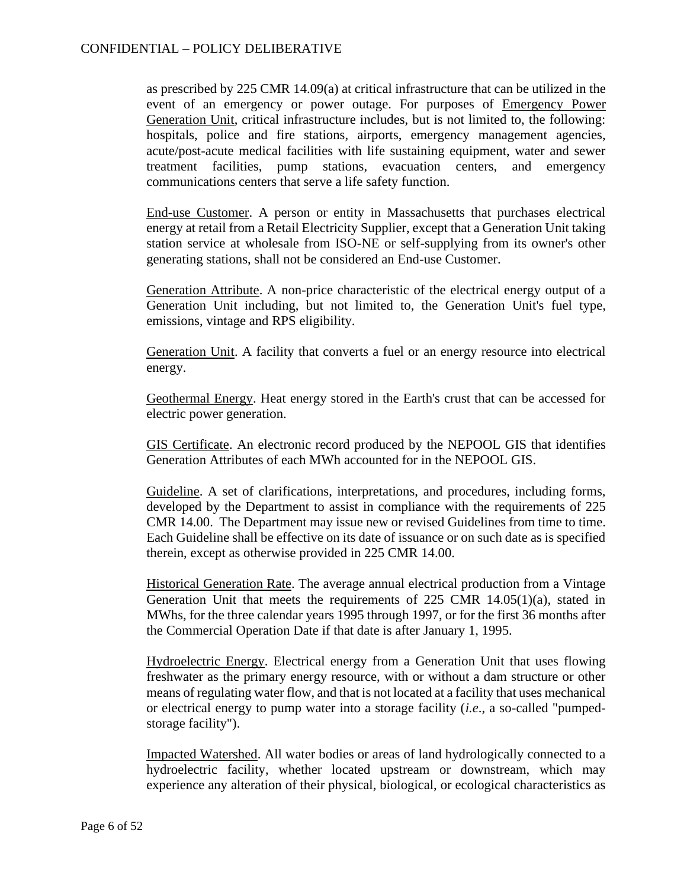as prescribed by 225 CMR 14.09(a) at critical infrastructure that can be utilized in the event of an emergency or power outage. For purposes of Emergency Power Generation Unit, critical infrastructure includes, but is not limited to, the following: hospitals, police and fire stations, airports, emergency management agencies, acute/post-acute medical facilities with life sustaining equipment, water and sewer treatment facilities, pump stations, evacuation centers, and emergency communications centers that serve a life safety function.

End-use Customer. A person or entity in Massachusetts that purchases electrical energy at retail from a Retail Electricity Supplier, except that a Generation Unit taking station service at wholesale from ISO-NE or self-supplying from its owner's other generating stations, shall not be considered an End-use Customer.

Generation Attribute. A non-price characteristic of the electrical energy output of a Generation Unit including, but not limited to, the Generation Unit's fuel type, emissions, vintage and RPS eligibility.

Generation Unit. A facility that converts a fuel or an energy resource into electrical energy.

Geothermal Energy. Heat energy stored in the Earth's crust that can be accessed for electric power generation.

GIS Certificate. An electronic record produced by the NEPOOL GIS that identifies Generation Attributes of each MWh accounted for in the NEPOOL GIS.

Guideline. A set of clarifications, interpretations, and procedures, including forms, developed by the Department to assist in compliance with the requirements of 225 CMR 14.00. The Department may issue new or revised Guidelines from time to time. Each Guideline shall be effective on its date of issuance or on such date as is specified therein, except as otherwise provided in 225 CMR 14.00.

Historical Generation Rate. The average annual electrical production from a Vintage Generation Unit that meets the requirements of 225 CMR 14.05(1)(a), stated in MWhs, for the three calendar years 1995 through 1997, or for the first 36 months after the Commercial Operation Date if that date is after January 1, 1995.

Hydroelectric Energy. Electrical energy from a Generation Unit that uses flowing freshwater as the primary energy resource, with or without a dam structure or other means of regulating water flow, and that is not located at a facility that uses mechanical or electrical energy to pump water into a storage facility (*i.e*., a so-called "pumpedstorage facility").

Impacted Watershed. All water bodies or areas of land hydrologically connected to a hydroelectric facility, whether located upstream or downstream, which may experience any alteration of their physical, biological, or ecological characteristics as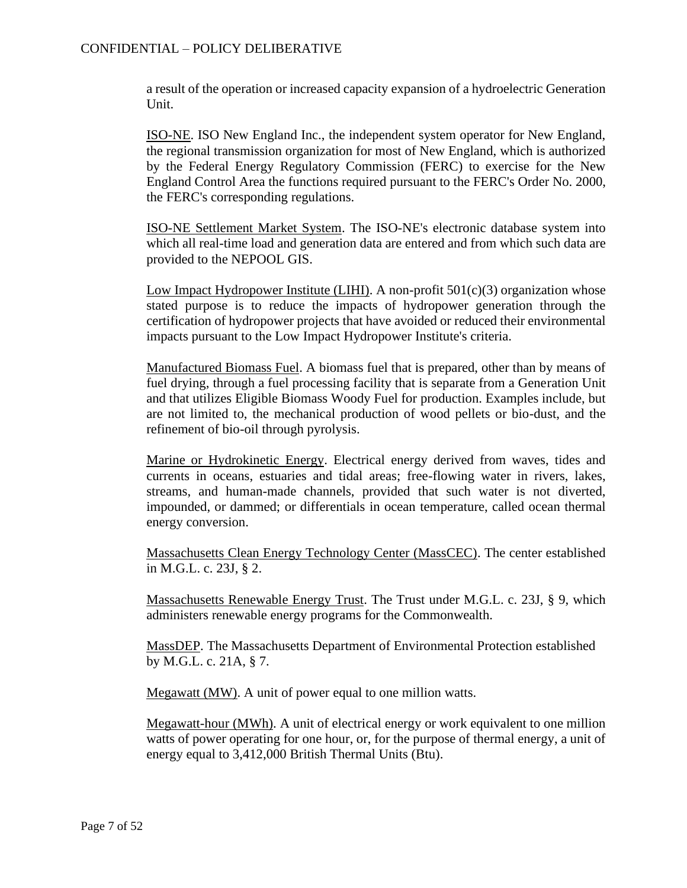a result of the operation or increased capacity expansion of a hydroelectric Generation Unit.

ISO-NE. ISO New England Inc., the independent system operator for New England, the regional transmission organization for most of New England, which is authorized by the Federal Energy Regulatory Commission (FERC) to exercise for the New England Control Area the functions required pursuant to the FERC's Order No. 2000, the FERC's corresponding regulations.

ISO-NE Settlement Market System. The ISO-NE's electronic database system into which all real-time load and generation data are entered and from which such data are provided to the NEPOOL GIS.

Low Impact Hydropower Institute (LIHI). A non-profit  $501(c)(3)$  organization whose stated purpose is to reduce the impacts of hydropower generation through the certification of hydropower projects that have avoided or reduced their environmental impacts pursuant to the Low Impact Hydropower Institute's criteria.

Manufactured Biomass Fuel. A biomass fuel that is prepared, other than by means of fuel drying, through a fuel processing facility that is separate from a Generation Unit and that utilizes Eligible Biomass Woody Fuel for production. Examples include, but are not limited to, the mechanical production of wood pellets or bio-dust, and the refinement of bio-oil through pyrolysis.

Marine or Hydrokinetic Energy. Electrical energy derived from waves, tides and currents in oceans, estuaries and tidal areas; free-flowing water in rivers, lakes, streams, and human-made channels, provided that such water is not diverted, impounded, or dammed; or differentials in ocean temperature, called ocean thermal energy conversion.

Massachusetts Clean Energy Technology Center (MassCEC). The center established in M.G.L. c. 23J, § 2.

Massachusetts Renewable Energy Trust. The Trust under M.G.L. c. 23J, § 9, which administers renewable energy programs for the Commonwealth.

MassDEP. The Massachusetts Department of Environmental Protection established by M.G.L. c. 21A, § 7.

Megawatt (MW). A unit of power equal to one million watts.

Megawatt-hour (MWh). A unit of electrical energy or work equivalent to one million watts of power operating for one hour, or, for the purpose of thermal energy, a unit of energy equal to 3,412,000 British Thermal Units (Btu).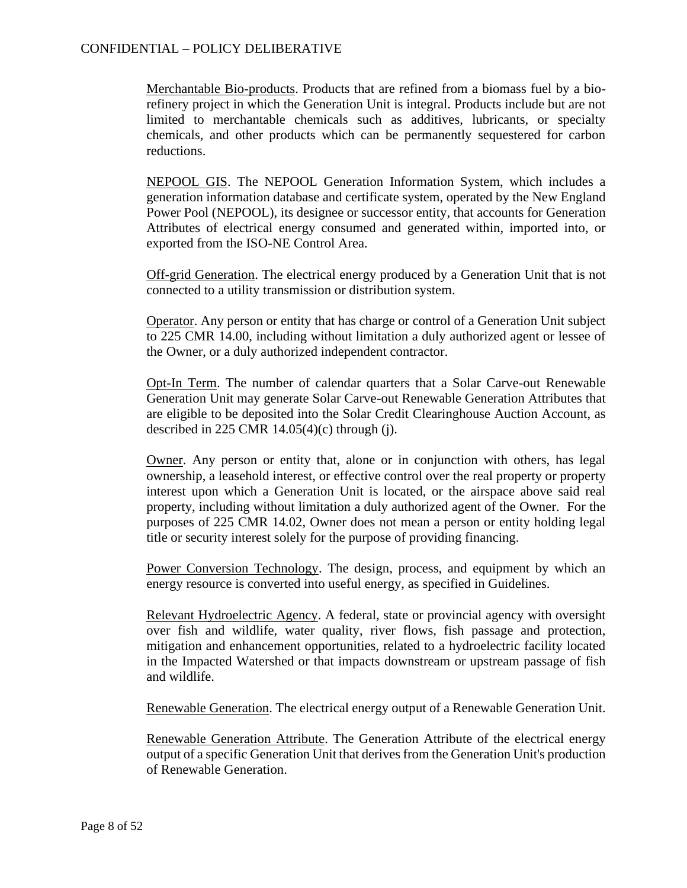## CONFIDENTIAL – POLICY DELIBERATIVE

Merchantable Bio-products. Products that are refined from a biomass fuel by a biorefinery project in which the Generation Unit is integral. Products include but are not limited to merchantable chemicals such as additives, lubricants, or specialty chemicals, and other products which can be permanently sequestered for carbon reductions.

NEPOOL GIS. The NEPOOL Generation Information System, which includes a generation information database and certificate system, operated by the New England Power Pool (NEPOOL), its designee or successor entity, that accounts for Generation Attributes of electrical energy consumed and generated within, imported into, or exported from the ISO-NE Control Area.

Off-grid Generation. The electrical energy produced by a Generation Unit that is not connected to a utility transmission or distribution system.

Operator. Any person or entity that has charge or control of a Generation Unit subject to 225 CMR 14.00, including without limitation a duly authorized agent or lessee of the Owner, or a duly authorized independent contractor.

Opt-In Term. The number of calendar quarters that a Solar Carve-out Renewable Generation Unit may generate Solar Carve-out Renewable Generation Attributes that are eligible to be deposited into the Solar Credit Clearinghouse Auction Account, as described in 225 CMR  $14.05(4)$ (c) through (j).

Owner. Any person or entity that, alone or in conjunction with others, has legal ownership, a leasehold interest, or effective control over the real property or property interest upon which a Generation Unit is located, or the airspace above said real property, including without limitation a duly authorized agent of the Owner. For the purposes of 225 CMR 14.02, Owner does not mean a person or entity holding legal title or security interest solely for the purpose of providing financing.

Power Conversion Technology. The design, process, and equipment by which an energy resource is converted into useful energy, as specified in Guidelines.

Relevant Hydroelectric Agency. A federal, state or provincial agency with oversight over fish and wildlife, water quality, river flows, fish passage and protection, mitigation and enhancement opportunities, related to a hydroelectric facility located in the Impacted Watershed or that impacts downstream or upstream passage of fish and wildlife.

Renewable Generation. The electrical energy output of a Renewable Generation Unit.

Renewable Generation Attribute. The Generation Attribute of the electrical energy output of a specific Generation Unit that derives from the Generation Unit's production of Renewable Generation.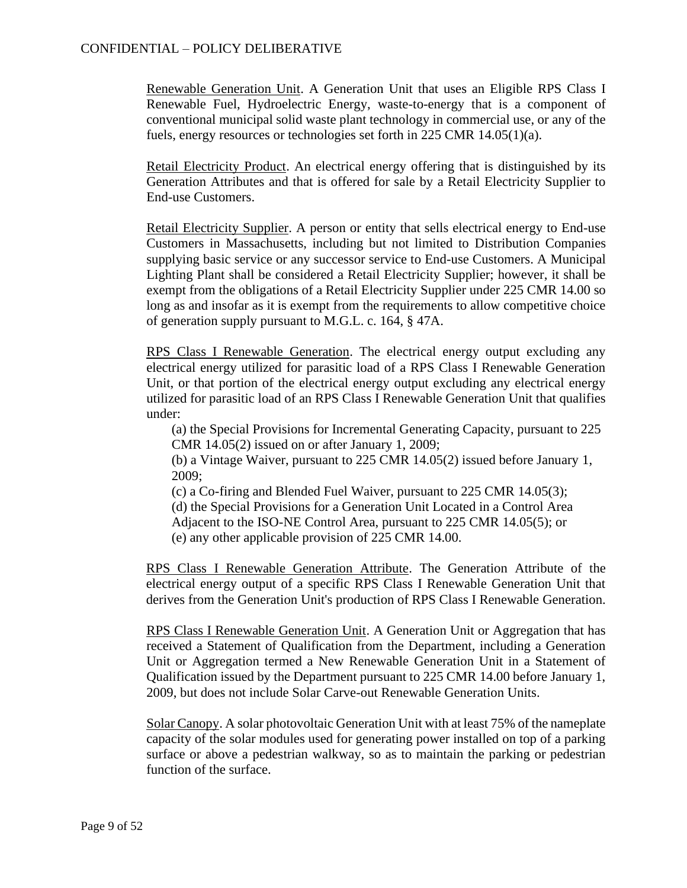Renewable Generation Unit. A Generation Unit that uses an Eligible RPS Class I Renewable Fuel, Hydroelectric Energy, waste-to-energy that is a component of conventional municipal solid waste plant technology in commercial use, or any of the fuels, energy resources or technologies set forth in 225 CMR 14.05(1)(a).

Retail Electricity Product. An electrical energy offering that is distinguished by its Generation Attributes and that is offered for sale by a Retail Electricity Supplier to End-use Customers.

Retail Electricity Supplier. A person or entity that sells electrical energy to End-use Customers in Massachusetts, including but not limited to Distribution Companies supplying basic service or any successor service to End-use Customers. A Municipal Lighting Plant shall be considered a Retail Electricity Supplier; however, it shall be exempt from the obligations of a Retail Electricity Supplier under 225 CMR 14.00 so long as and insofar as it is exempt from the requirements to allow competitive choice of generation supply pursuant to M.G.L. c. 164, § 47A.

RPS Class I Renewable Generation. The electrical energy output excluding any electrical energy utilized for parasitic load of a RPS Class I Renewable Generation Unit, or that portion of the electrical energy output excluding any electrical energy utilized for parasitic load of an RPS Class I Renewable Generation Unit that qualifies under:

(a) the Special Provisions for Incremental Generating Capacity, pursuant to 225 CMR 14.05(2) issued on or after January 1, 2009;

(b) a Vintage Waiver, pursuant to 225 CMR 14.05(2) issued before January 1, 2009;

(c) a Co-firing and Blended Fuel Waiver, pursuant to 225 CMR 14.05(3);

(d) the Special Provisions for a Generation Unit Located in a Control Area

Adjacent to the ISO-NE Control Area, pursuant to 225 CMR 14.05(5); or

(e) any other applicable provision of 225 CMR 14.00.

RPS Class I Renewable Generation Attribute. The Generation Attribute of the electrical energy output of a specific RPS Class I Renewable Generation Unit that derives from the Generation Unit's production of RPS Class I Renewable Generation.

RPS Class I Renewable Generation Unit. A Generation Unit or Aggregation that has received a Statement of Qualification from the Department, including a Generation Unit or Aggregation termed a New Renewable Generation Unit in a Statement of Qualification issued by the Department pursuant to 225 CMR 14.00 before January 1, 2009, but does not include Solar Carve-out Renewable Generation Units.

Solar Canopy. A solar photovoltaic Generation Unit with at least 75% of the nameplate capacity of the solar modules used for generating power installed on top of a parking surface or above a pedestrian walkway, so as to maintain the parking or pedestrian function of the surface.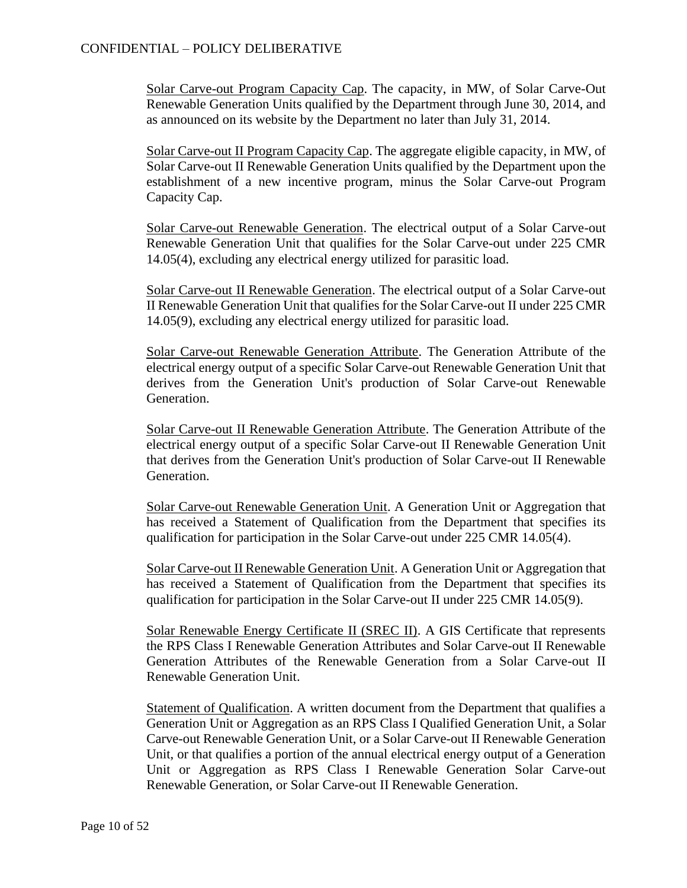Solar Carve-out Program Capacity Cap. The capacity, in MW, of Solar Carve-Out Renewable Generation Units qualified by the Department through June 30, 2014, and as announced on its website by the Department no later than July 31, 2014.

Solar Carve-out II Program Capacity Cap. The aggregate eligible capacity, in MW, of Solar Carve-out II Renewable Generation Units qualified by the Department upon the establishment of a new incentive program, minus the Solar Carve-out Program Capacity Cap.

Solar Carve-out Renewable Generation. The electrical output of a Solar Carve-out Renewable Generation Unit that qualifies for the Solar Carve-out under 225 CMR 14.05(4), excluding any electrical energy utilized for parasitic load.

Solar Carve-out II Renewable Generation. The electrical output of a Solar Carve-out II Renewable Generation Unit that qualifies for the Solar Carve-out II under 225 CMR 14.05(9), excluding any electrical energy utilized for parasitic load.

Solar Carve-out Renewable Generation Attribute. The Generation Attribute of the electrical energy output of a specific Solar Carve-out Renewable Generation Unit that derives from the Generation Unit's production of Solar Carve-out Renewable Generation.

Solar Carve-out II Renewable Generation Attribute. The Generation Attribute of the electrical energy output of a specific Solar Carve-out II Renewable Generation Unit that derives from the Generation Unit's production of Solar Carve-out II Renewable Generation.

Solar Carve-out Renewable Generation Unit. A Generation Unit or Aggregation that has received a Statement of Qualification from the Department that specifies its qualification for participation in the Solar Carve-out under 225 CMR 14.05(4).

Solar Carve-out II Renewable Generation Unit. A Generation Unit or Aggregation that has received a Statement of Qualification from the Department that specifies its qualification for participation in the Solar Carve-out II under 225 CMR 14.05(9).

Solar Renewable Energy Certificate II (SREC II). A GIS Certificate that represents the RPS Class I Renewable Generation Attributes and Solar Carve-out II Renewable Generation Attributes of the Renewable Generation from a Solar Carve-out II Renewable Generation Unit.

Statement of Qualification. A written document from the Department that qualifies a Generation Unit or Aggregation as an RPS Class I Qualified Generation Unit, a Solar Carve-out Renewable Generation Unit, or a Solar Carve-out II Renewable Generation Unit, or that qualifies a portion of the annual electrical energy output of a Generation Unit or Aggregation as RPS Class I Renewable Generation Solar Carve-out Renewable Generation, or Solar Carve-out II Renewable Generation.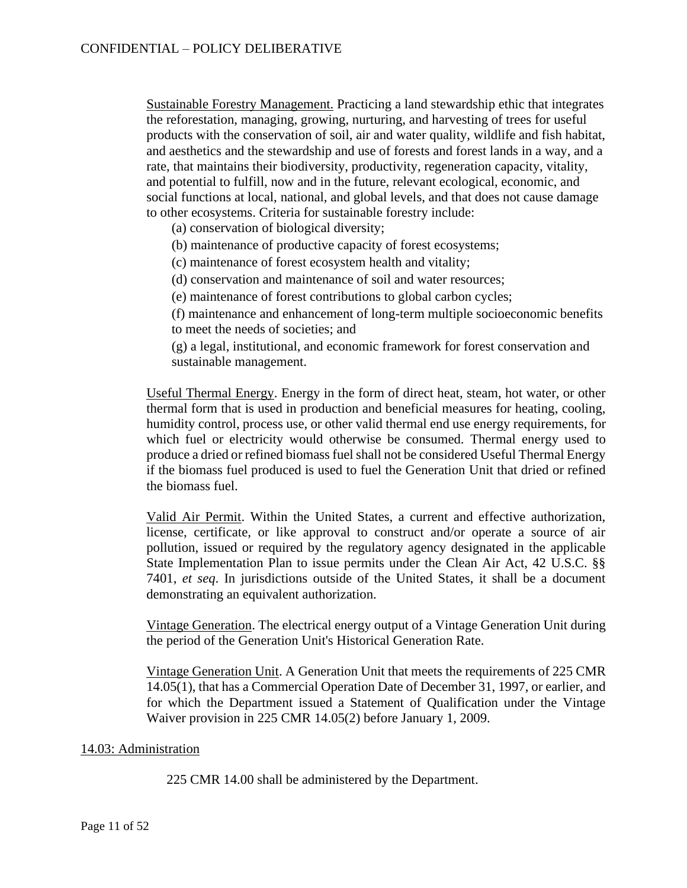Sustainable Forestry Management. Practicing a land stewardship ethic that integrates the reforestation, managing, growing, nurturing, and harvesting of trees for useful products with the conservation of soil, air and water quality, wildlife and fish habitat, and aesthetics and the stewardship and use of forests and forest lands in a way, and a rate, that maintains their biodiversity, productivity, regeneration capacity, vitality, and potential to fulfill, now and in the future, relevant ecological, economic, and social functions at local, national, and global levels, and that does not cause damage to other ecosystems. Criteria for sustainable forestry include:

(a) conservation of biological diversity;

(b) maintenance of productive capacity of forest ecosystems;

(c) maintenance of forest ecosystem health and vitality;

(d) conservation and maintenance of soil and water resources;

(e) maintenance of forest contributions to global carbon cycles;

(f) maintenance and enhancement of long-term multiple socioeconomic benefits to meet the needs of societies; and

(g) a legal, institutional, and economic framework for forest conservation and sustainable management.

Useful Thermal Energy. Energy in the form of direct heat, steam, hot water, or other thermal form that is used in production and beneficial measures for heating, cooling, humidity control, process use, or other valid thermal end use energy requirements, for which fuel or electricity would otherwise be consumed. Thermal energy used to produce a dried or refined biomass fuel shall not be considered Useful Thermal Energy if the biomass fuel produced is used to fuel the Generation Unit that dried or refined the biomass fuel.

Valid Air Permit. Within the United States, a current and effective authorization, license, certificate, or like approval to construct and/or operate a source of air pollution, issued or required by the regulatory agency designated in the applicable State Implementation Plan to issue permits under the Clean Air Act, 42 U.S.C. §§ 7401, *et seq*. In jurisdictions outside of the United States, it shall be a document demonstrating an equivalent authorization.

Vintage Generation. The electrical energy output of a Vintage Generation Unit during the period of the Generation Unit's Historical Generation Rate.

Vintage Generation Unit. A Generation Unit that meets the requirements of 225 CMR 14.05(1), that has a Commercial Operation Date of December 31, 1997, or earlier, and for which the Department issued a Statement of Qualification under the Vintage Waiver provision in 225 CMR 14.05(2) before January 1, 2009.

#### 14.03: Administration

225 CMR 14.00 shall be administered by the Department.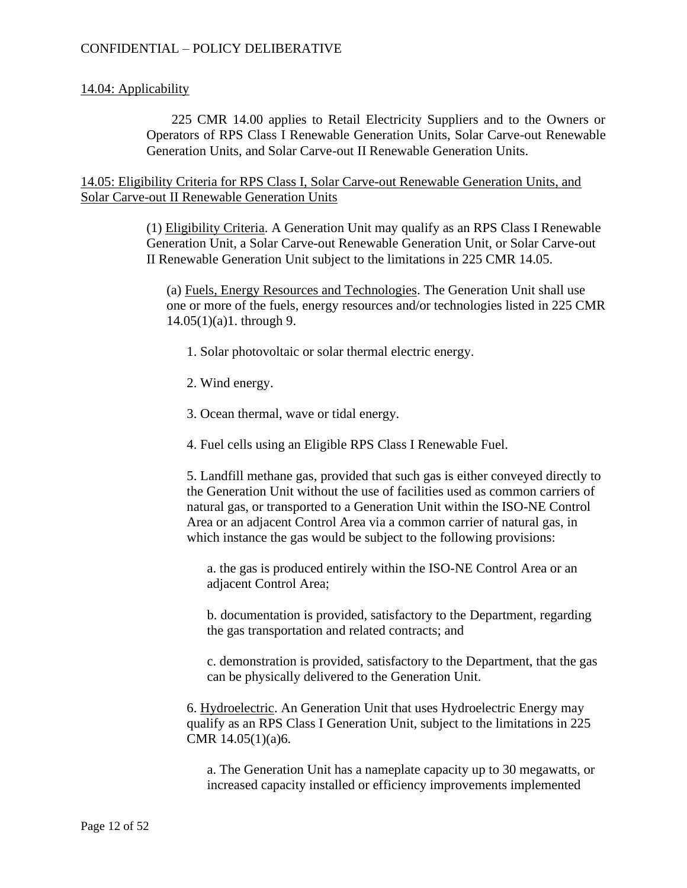## 14.04: Applicability

225 CMR 14.00 applies to Retail Electricity Suppliers and to the Owners or Operators of RPS Class I Renewable Generation Units, Solar Carve-out Renewable Generation Units, and Solar Carve-out II Renewable Generation Units.

14.05: Eligibility Criteria for RPS Class I, Solar Carve-out Renewable Generation Units, and Solar Carve-out II Renewable Generation Units

> (1) Eligibility Criteria. A Generation Unit may qualify as an RPS Class I Renewable Generation Unit, a Solar Carve-out Renewable Generation Unit, or Solar Carve-out II Renewable Generation Unit subject to the limitations in 225 CMR 14.05.

(a) Fuels, Energy Resources and Technologies. The Generation Unit shall use one or more of the fuels, energy resources and/or technologies listed in 225 CMR 14.05(1)(a)1. through 9.

- 1. Solar photovoltaic or solar thermal electric energy.
- 2. Wind energy.
- 3. Ocean thermal, wave or tidal energy.
- 4. Fuel cells using an Eligible RPS Class I Renewable Fuel.

5. Landfill methane gas, provided that such gas is either conveyed directly to the Generation Unit without the use of facilities used as common carriers of natural gas, or transported to a Generation Unit within the ISO-NE Control Area or an adjacent Control Area via a common carrier of natural gas, in which instance the gas would be subject to the following provisions:

a. the gas is produced entirely within the ISO-NE Control Area or an adjacent Control Area;

b. documentation is provided, satisfactory to the Department, regarding the gas transportation and related contracts; and

c. demonstration is provided, satisfactory to the Department, that the gas can be physically delivered to the Generation Unit.

6. Hydroelectric. An Generation Unit that uses Hydroelectric Energy may qualify as an RPS Class I Generation Unit, subject to the limitations in 225 CMR 14.05(1)(a)6.

a. The Generation Unit has a nameplate capacity up to 30 megawatts, or increased capacity installed or efficiency improvements implemented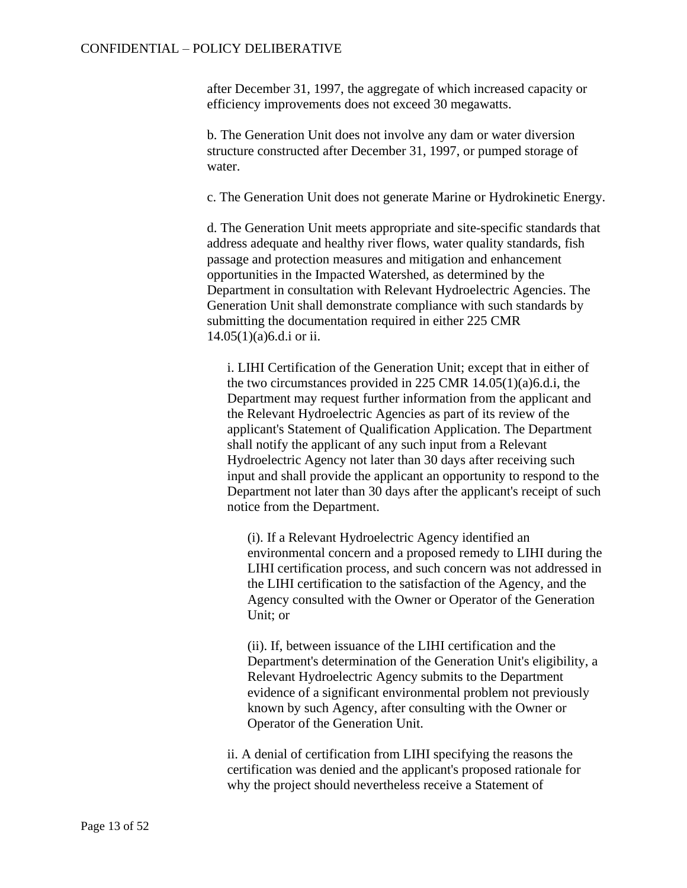after December 31, 1997, the aggregate of which increased capacity or efficiency improvements does not exceed 30 megawatts.

b. The Generation Unit does not involve any dam or water diversion structure constructed after December 31, 1997, or pumped storage of water.

c. The Generation Unit does not generate Marine or Hydrokinetic Energy.

d. The Generation Unit meets appropriate and site-specific standards that address adequate and healthy river flows, water quality standards, fish passage and protection measures and mitigation and enhancement opportunities in the Impacted Watershed, as determined by the Department in consultation with Relevant Hydroelectric Agencies. The Generation Unit shall demonstrate compliance with such standards by submitting the documentation required in either 225 CMR 14.05(1)(a)6.d.i or ii.

i. LIHI Certification of the Generation Unit; except that in either of the two circumstances provided in 225 CMR 14.05(1)(a)6.d.i, the Department may request further information from the applicant and the Relevant Hydroelectric Agencies as part of its review of the applicant's Statement of Qualification Application. The Department shall notify the applicant of any such input from a Relevant Hydroelectric Agency not later than 30 days after receiving such input and shall provide the applicant an opportunity to respond to the Department not later than 30 days after the applicant's receipt of such notice from the Department.

(i). If a Relevant Hydroelectric Agency identified an environmental concern and a proposed remedy to LIHI during the LIHI certification process, and such concern was not addressed in the LIHI certification to the satisfaction of the Agency, and the Agency consulted with the Owner or Operator of the Generation Unit; or

(ii). If, between issuance of the LIHI certification and the Department's determination of the Generation Unit's eligibility, a Relevant Hydroelectric Agency submits to the Department evidence of a significant environmental problem not previously known by such Agency, after consulting with the Owner or Operator of the Generation Unit.

ii. A denial of certification from LIHI specifying the reasons the certification was denied and the applicant's proposed rationale for why the project should nevertheless receive a Statement of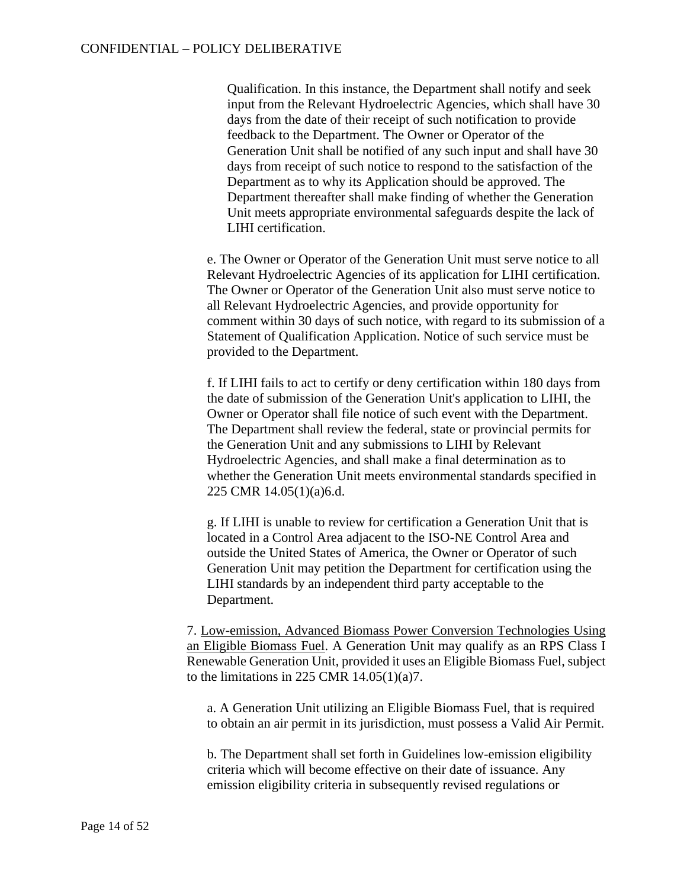Qualification. In this instance, the Department shall notify and seek input from the Relevant Hydroelectric Agencies, which shall have 30 days from the date of their receipt of such notification to provide feedback to the Department. The Owner or Operator of the Generation Unit shall be notified of any such input and shall have 30 days from receipt of such notice to respond to the satisfaction of the Department as to why its Application should be approved. The Department thereafter shall make finding of whether the Generation Unit meets appropriate environmental safeguards despite the lack of LIHI certification.

e. The Owner or Operator of the Generation Unit must serve notice to all Relevant Hydroelectric Agencies of its application for LIHI certification. The Owner or Operator of the Generation Unit also must serve notice to all Relevant Hydroelectric Agencies, and provide opportunity for comment within 30 days of such notice, with regard to its submission of a Statement of Qualification Application. Notice of such service must be provided to the Department.

f. If LIHI fails to act to certify or deny certification within 180 days from the date of submission of the Generation Unit's application to LIHI, the Owner or Operator shall file notice of such event with the Department. The Department shall review the federal, state or provincial permits for the Generation Unit and any submissions to LIHI by Relevant Hydroelectric Agencies, and shall make a final determination as to whether the Generation Unit meets environmental standards specified in 225 CMR 14.05(1)(a)6.d.

g. If LIHI is unable to review for certification a Generation Unit that is located in a Control Area adjacent to the ISO-NE Control Area and outside the United States of America, the Owner or Operator of such Generation Unit may petition the Department for certification using the LIHI standards by an independent third party acceptable to the Department.

7. Low-emission, Advanced Biomass Power Conversion Technologies Using an Eligible Biomass Fuel. A Generation Unit may qualify as an RPS Class I Renewable Generation Unit, provided it uses an Eligible Biomass Fuel, subject to the limitations in 225 CMR  $14.05(1)(a)7$ .

a. A Generation Unit utilizing an Eligible Biomass Fuel, that is required to obtain an air permit in its jurisdiction, must possess a Valid Air Permit.

b. The Department shall set forth in Guidelines low-emission eligibility criteria which will become effective on their date of issuance. Any emission eligibility criteria in subsequently revised regulations or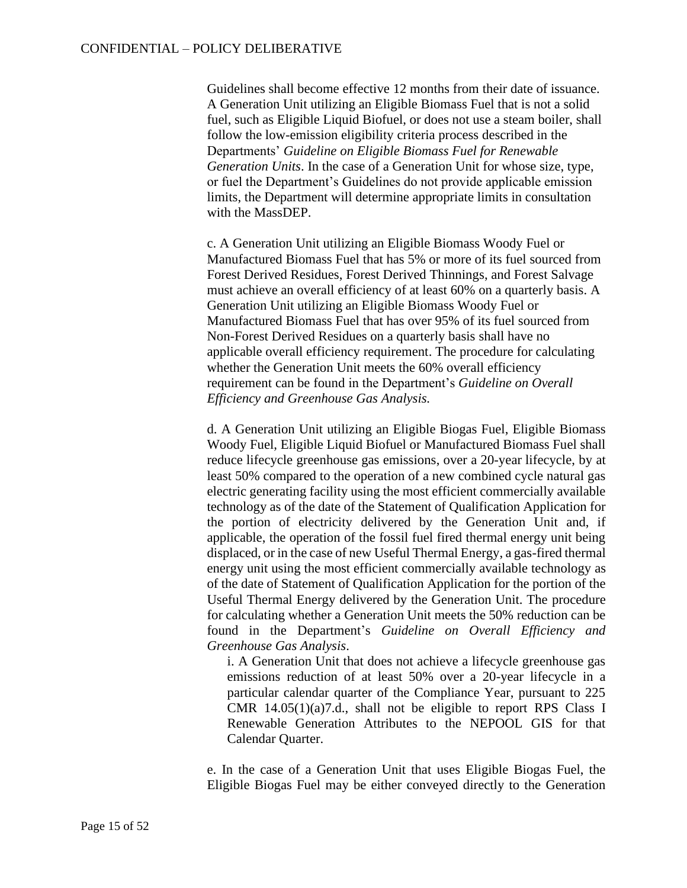Guidelines shall become effective 12 months from their date of issuance. A Generation Unit utilizing an Eligible Biomass Fuel that is not a solid fuel, such as Eligible Liquid Biofuel, or does not use a steam boiler, shall follow the low-emission eligibility criteria process described in the Departments' *Guideline on Eligible Biomass Fuel for Renewable Generation Units*. In the case of a Generation Unit for whose size, type, or fuel the Department's Guidelines do not provide applicable emission limits, the Department will determine appropriate limits in consultation with the MassDEP.

c. A Generation Unit utilizing an Eligible Biomass Woody Fuel or Manufactured Biomass Fuel that has 5% or more of its fuel sourced from Forest Derived Residues, Forest Derived Thinnings, and Forest Salvage must achieve an overall efficiency of at least 60% on a quarterly basis. A Generation Unit utilizing an Eligible Biomass Woody Fuel or Manufactured Biomass Fuel that has over 95% of its fuel sourced from Non-Forest Derived Residues on a quarterly basis shall have no applicable overall efficiency requirement. The procedure for calculating whether the Generation Unit meets the 60% overall efficiency requirement can be found in the Department's *Guideline on Overall Efficiency and Greenhouse Gas Analysis.*

d. A Generation Unit utilizing an Eligible Biogas Fuel, Eligible Biomass Woody Fuel, Eligible Liquid Biofuel or Manufactured Biomass Fuel shall reduce lifecycle greenhouse gas emissions, over a 20-year lifecycle, by at least 50% compared to the operation of a new combined cycle natural gas electric generating facility using the most efficient commercially available technology as of the date of the Statement of Qualification Application for the portion of electricity delivered by the Generation Unit and, if applicable, the operation of the fossil fuel fired thermal energy unit being displaced, or in the case of new Useful Thermal Energy, a gas-fired thermal energy unit using the most efficient commercially available technology as of the date of Statement of Qualification Application for the portion of the Useful Thermal Energy delivered by the Generation Unit. The procedure for calculating whether a Generation Unit meets the 50% reduction can be found in the Department's *Guideline on Overall Efficiency and Greenhouse Gas Analysis*.

i. A Generation Unit that does not achieve a lifecycle greenhouse gas emissions reduction of at least 50% over a 20-year lifecycle in a particular calendar quarter of the Compliance Year, pursuant to 225 CMR 14.05(1)(a)7.d., shall not be eligible to report RPS Class I Renewable Generation Attributes to the NEPOOL GIS for that Calendar Quarter.

e. In the case of a Generation Unit that uses Eligible Biogas Fuel, the Eligible Biogas Fuel may be either conveyed directly to the Generation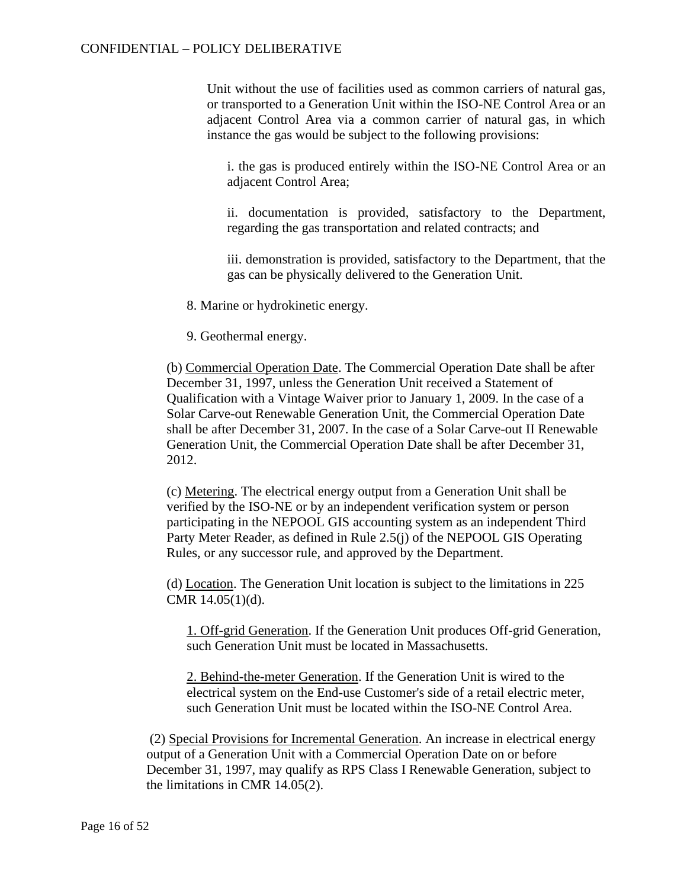Unit without the use of facilities used as common carriers of natural gas, or transported to a Generation Unit within the ISO-NE Control Area or an adjacent Control Area via a common carrier of natural gas, in which instance the gas would be subject to the following provisions:

i. the gas is produced entirely within the ISO-NE Control Area or an adjacent Control Area;

ii. documentation is provided, satisfactory to the Department, regarding the gas transportation and related contracts; and

iii. demonstration is provided, satisfactory to the Department, that the gas can be physically delivered to the Generation Unit.

8. Marine or hydrokinetic energy.

9. Geothermal energy.

(b) Commercial Operation Date. The Commercial Operation Date shall be after December 31, 1997, unless the Generation Unit received a Statement of Qualification with a Vintage Waiver prior to January 1, 2009. In the case of a Solar Carve-out Renewable Generation Unit, the Commercial Operation Date shall be after December 31, 2007. In the case of a Solar Carve-out II Renewable Generation Unit, the Commercial Operation Date shall be after December 31, 2012.

(c) Metering. The electrical energy output from a Generation Unit shall be verified by the ISO-NE or by an independent verification system or person participating in the NEPOOL GIS accounting system as an independent Third Party Meter Reader, as defined in Rule 2.5(j) of the NEPOOL GIS Operating Rules, or any successor rule, and approved by the Department.

(d) Location. The Generation Unit location is subject to the limitations in 225 CMR 14.05(1)(d).

1. Off-grid Generation. If the Generation Unit produces Off-grid Generation, such Generation Unit must be located in Massachusetts.

2. Behind-the-meter Generation. If the Generation Unit is wired to the electrical system on the End-use Customer's side of a retail electric meter, such Generation Unit must be located within the ISO-NE Control Area.

(2) Special Provisions for Incremental Generation. An increase in electrical energy output of a Generation Unit with a Commercial Operation Date on or before December 31, 1997, may qualify as RPS Class I Renewable Generation, subject to the limitations in CMR 14.05(2).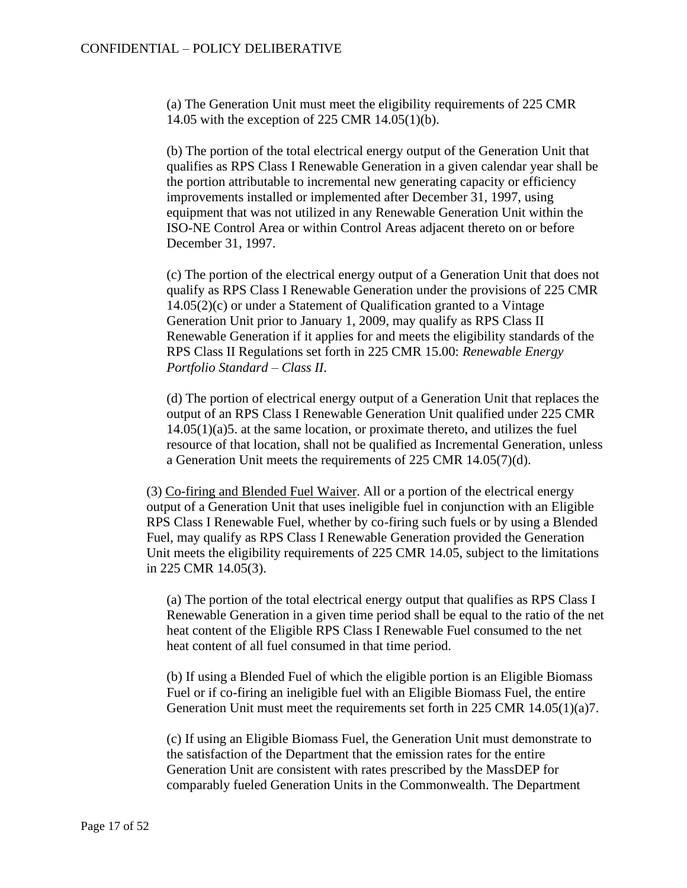(a) The Generation Unit must meet the eligibility requirements of 225 CMR 14.05 with the exception of 225 CMR 14.05(1)(b).

(b) The portion of the total electrical energy output of the Generation Unit that qualifies as RPS Class I Renewable Generation in a given calendar year shall be the portion attributable to incremental new generating capacity or efficiency improvements installed or implemented after December 31, 1997, using equipment that was not utilized in any Renewable Generation Unit within the ISO-NE Control Area or within Control Areas adjacent thereto on or before December 31, 1997.

(c) The portion of the electrical energy output of a Generation Unit that does not qualify as RPS Class I Renewable Generation under the provisions of 225 CMR 14.05(2)(c) or under a Statement of Qualification granted to a Vintage Generation Unit prior to January 1, 2009, may qualify as RPS Class II Renewable Generation if it applies for and meets the eligibility standards of the RPS Class II Regulations set forth in 225 CMR 15.00: *Renewable Energy Portfolio Standard – Class II*.

(d) The portion of electrical energy output of a Generation Unit that replaces the output of an RPS Class I Renewable Generation Unit qualified under 225 CMR 14.05(1)(a)5. at the same location, or proximate thereto, and utilizes the fuel resource of that location, shall not be qualified as Incremental Generation, unless a Generation Unit meets the requirements of 225 CMR 14.05(7)(d).

(3) Co-firing and Blended Fuel Waiver. All or a portion of the electrical energy output of a Generation Unit that uses ineligible fuel in conjunction with an Eligible RPS Class I Renewable Fuel, whether by co-firing such fuels or by using a Blended Fuel, may qualify as RPS Class I Renewable Generation provided the Generation Unit meets the eligibility requirements of 225 CMR 14.05, subject to the limitations in 225 CMR 14.05(3).

(a) The portion of the total electrical energy output that qualifies as RPS Class I Renewable Generation in a given time period shall be equal to the ratio of the net heat content of the Eligible RPS Class I Renewable Fuel consumed to the net heat content of all fuel consumed in that time period.

(b) If using a Blended Fuel of which the eligible portion is an Eligible Biomass Fuel or if co-firing an ineligible fuel with an Eligible Biomass Fuel, the entire Generation Unit must meet the requirements set forth in 225 CMR 14.05(1)(a)7.

(c) If using an Eligible Biomass Fuel, the Generation Unit must demonstrate to the satisfaction of the Department that the emission rates for the entire Generation Unit are consistent with rates prescribed by the MassDEP for comparably fueled Generation Units in the Commonwealth. The Department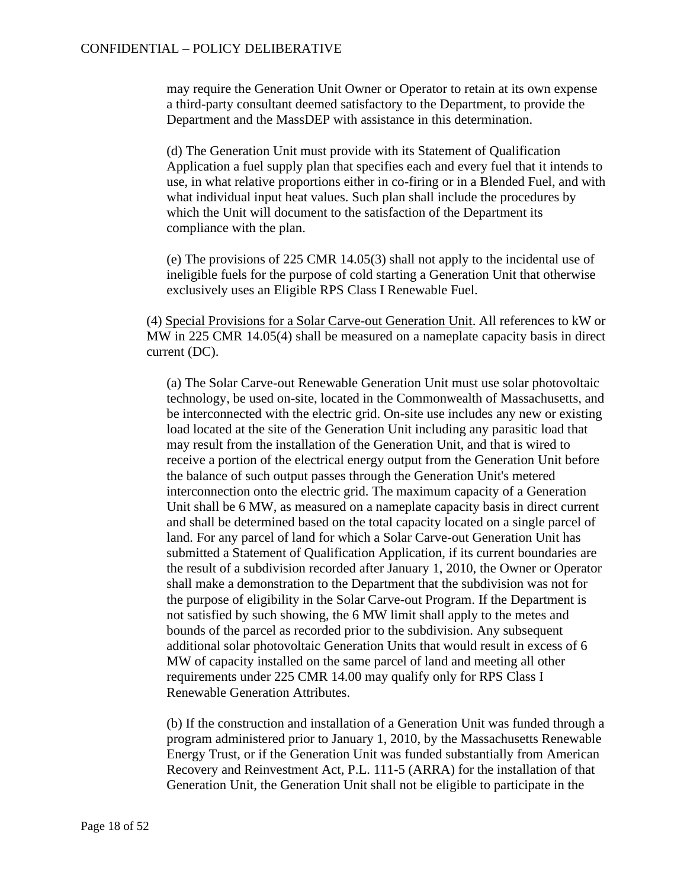may require the Generation Unit Owner or Operator to retain at its own expense a third-party consultant deemed satisfactory to the Department, to provide the Department and the MassDEP with assistance in this determination.

(d) The Generation Unit must provide with its Statement of Qualification Application a fuel supply plan that specifies each and every fuel that it intends to use, in what relative proportions either in co-firing or in a Blended Fuel, and with what individual input heat values. Such plan shall include the procedures by which the Unit will document to the satisfaction of the Department its compliance with the plan.

(e) The provisions of 225 CMR 14.05(3) shall not apply to the incidental use of ineligible fuels for the purpose of cold starting a Generation Unit that otherwise exclusively uses an Eligible RPS Class I Renewable Fuel.

(4) Special Provisions for a Solar Carve-out Generation Unit. All references to kW or MW in 225 CMR 14.05(4) shall be measured on a nameplate capacity basis in direct current (DC).

(a) The Solar Carve-out Renewable Generation Unit must use solar photovoltaic technology, be used on-site, located in the Commonwealth of Massachusetts, and be interconnected with the electric grid. On-site use includes any new or existing load located at the site of the Generation Unit including any parasitic load that may result from the installation of the Generation Unit, and that is wired to receive a portion of the electrical energy output from the Generation Unit before the balance of such output passes through the Generation Unit's metered interconnection onto the electric grid. The maximum capacity of a Generation Unit shall be 6 MW, as measured on a nameplate capacity basis in direct current and shall be determined based on the total capacity located on a single parcel of land. For any parcel of land for which a Solar Carve-out Generation Unit has submitted a Statement of Qualification Application, if its current boundaries are the result of a subdivision recorded after January 1, 2010, the Owner or Operator shall make a demonstration to the Department that the subdivision was not for the purpose of eligibility in the Solar Carve-out Program. If the Department is not satisfied by such showing, the 6 MW limit shall apply to the metes and bounds of the parcel as recorded prior to the subdivision. Any subsequent additional solar photovoltaic Generation Units that would result in excess of 6 MW of capacity installed on the same parcel of land and meeting all other requirements under 225 CMR 14.00 may qualify only for RPS Class I Renewable Generation Attributes.

(b) If the construction and installation of a Generation Unit was funded through a program administered prior to January 1, 2010, by the Massachusetts Renewable Energy Trust, or if the Generation Unit was funded substantially from American Recovery and Reinvestment Act, P.L. 111-5 (ARRA) for the installation of that Generation Unit, the Generation Unit shall not be eligible to participate in the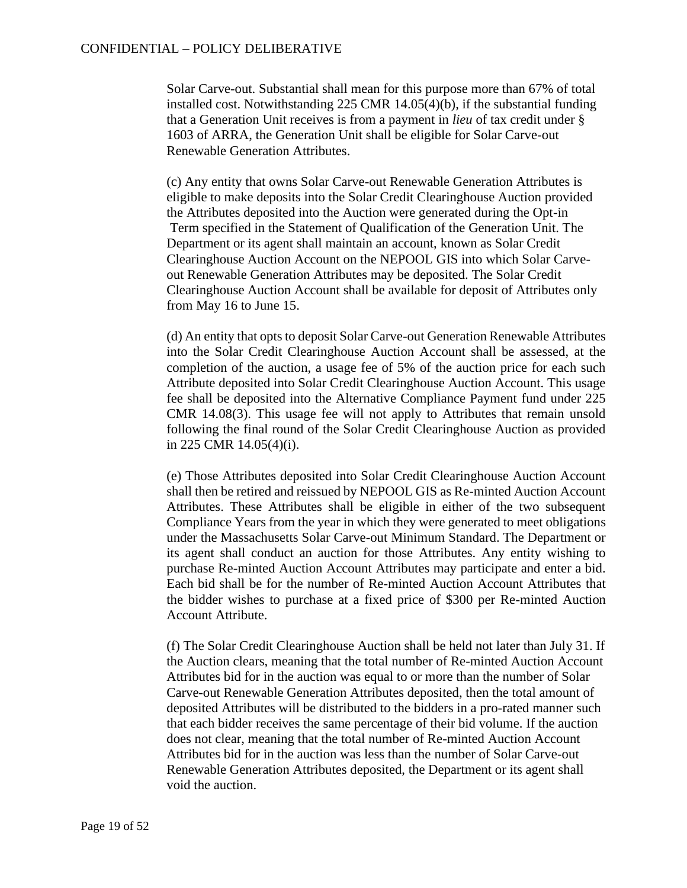Solar Carve-out. Substantial shall mean for this purpose more than 67% of total installed cost. Notwithstanding 225 CMR 14.05(4)(b), if the substantial funding that a Generation Unit receives is from a payment in *lieu* of tax credit under § 1603 of ARRA, the Generation Unit shall be eligible for Solar Carve-out Renewable Generation Attributes.

(c) Any entity that owns Solar Carve-out Renewable Generation Attributes is eligible to make deposits into the Solar Credit Clearinghouse Auction provided the Attributes deposited into the Auction were generated during the Opt-in Term specified in the Statement of Qualification of the Generation Unit. The Department or its agent shall maintain an account, known as Solar Credit Clearinghouse Auction Account on the NEPOOL GIS into which Solar Carveout Renewable Generation Attributes may be deposited. The Solar Credit Clearinghouse Auction Account shall be available for deposit of Attributes only from May 16 to June 15.

(d) An entity that opts to deposit Solar Carve-out Generation Renewable Attributes into the Solar Credit Clearinghouse Auction Account shall be assessed, at the completion of the auction, a usage fee of 5% of the auction price for each such Attribute deposited into Solar Credit Clearinghouse Auction Account. This usage fee shall be deposited into the Alternative Compliance Payment fund under 225 CMR 14.08(3). This usage fee will not apply to Attributes that remain unsold following the final round of the Solar Credit Clearinghouse Auction as provided in 225 CMR 14.05(4)(i).

(e) Those Attributes deposited into Solar Credit Clearinghouse Auction Account shall then be retired and reissued by NEPOOL GIS as Re-minted Auction Account Attributes. These Attributes shall be eligible in either of the two subsequent Compliance Years from the year in which they were generated to meet obligations under the Massachusetts Solar Carve-out Minimum Standard. The Department or its agent shall conduct an auction for those Attributes. Any entity wishing to purchase Re-minted Auction Account Attributes may participate and enter a bid. Each bid shall be for the number of Re-minted Auction Account Attributes that the bidder wishes to purchase at a fixed price of \$300 per Re-minted Auction Account Attribute.

(f) The Solar Credit Clearinghouse Auction shall be held not later than July 31. If the Auction clears, meaning that the total number of Re-minted Auction Account Attributes bid for in the auction was equal to or more than the number of Solar Carve-out Renewable Generation Attributes deposited, then the total amount of deposited Attributes will be distributed to the bidders in a pro-rated manner such that each bidder receives the same percentage of their bid volume. If the auction does not clear, meaning that the total number of Re-minted Auction Account Attributes bid for in the auction was less than the number of Solar Carve-out Renewable Generation Attributes deposited, the Department or its agent shall void the auction.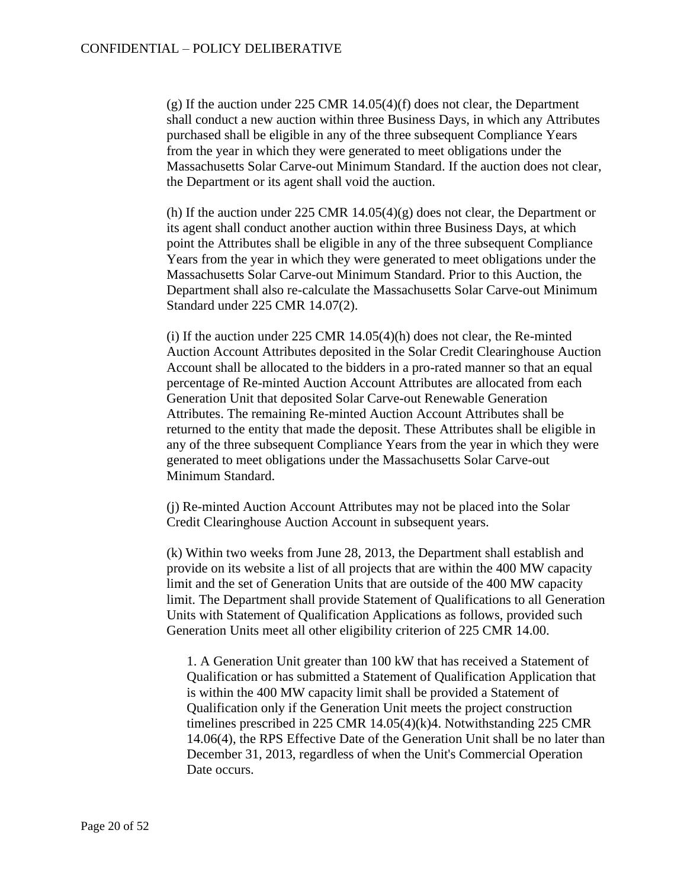(g) If the auction under 225 CMR 14.05(4)(f) does not clear, the Department shall conduct a new auction within three Business Days, in which any Attributes purchased shall be eligible in any of the three subsequent Compliance Years from the year in which they were generated to meet obligations under the Massachusetts Solar Carve-out Minimum Standard. If the auction does not clear, the Department or its agent shall void the auction.

(h) If the auction under 225 CMR  $14.05(4)(g)$  does not clear, the Department or its agent shall conduct another auction within three Business Days, at which point the Attributes shall be eligible in any of the three subsequent Compliance Years from the year in which they were generated to meet obligations under the Massachusetts Solar Carve-out Minimum Standard. Prior to this Auction, the Department shall also re-calculate the Massachusetts Solar Carve-out Minimum Standard under 225 CMR 14.07(2).

(i) If the auction under 225 CMR 14.05(4)(h) does not clear, the Re-minted Auction Account Attributes deposited in the Solar Credit Clearinghouse Auction Account shall be allocated to the bidders in a pro-rated manner so that an equal percentage of Re-minted Auction Account Attributes are allocated from each Generation Unit that deposited Solar Carve-out Renewable Generation Attributes. The remaining Re-minted Auction Account Attributes shall be returned to the entity that made the deposit. These Attributes shall be eligible in any of the three subsequent Compliance Years from the year in which they were generated to meet obligations under the Massachusetts Solar Carve-out Minimum Standard.

(j) Re-minted Auction Account Attributes may not be placed into the Solar Credit Clearinghouse Auction Account in subsequent years.

(k) Within two weeks from June 28, 2013, the Department shall establish and provide on its website a list of all projects that are within the 400 MW capacity limit and the set of Generation Units that are outside of the 400 MW capacity limit. The Department shall provide Statement of Qualifications to all Generation Units with Statement of Qualification Applications as follows, provided such Generation Units meet all other eligibility criterion of 225 CMR 14.00.

1. A Generation Unit greater than 100 kW that has received a Statement of Qualification or has submitted a Statement of Qualification Application that is within the 400 MW capacity limit shall be provided a Statement of Qualification only if the Generation Unit meets the project construction timelines prescribed in 225 CMR 14.05(4)(k)4. Notwithstanding 225 CMR 14.06(4), the RPS Effective Date of the Generation Unit shall be no later than December 31, 2013, regardless of when the Unit's Commercial Operation Date occurs.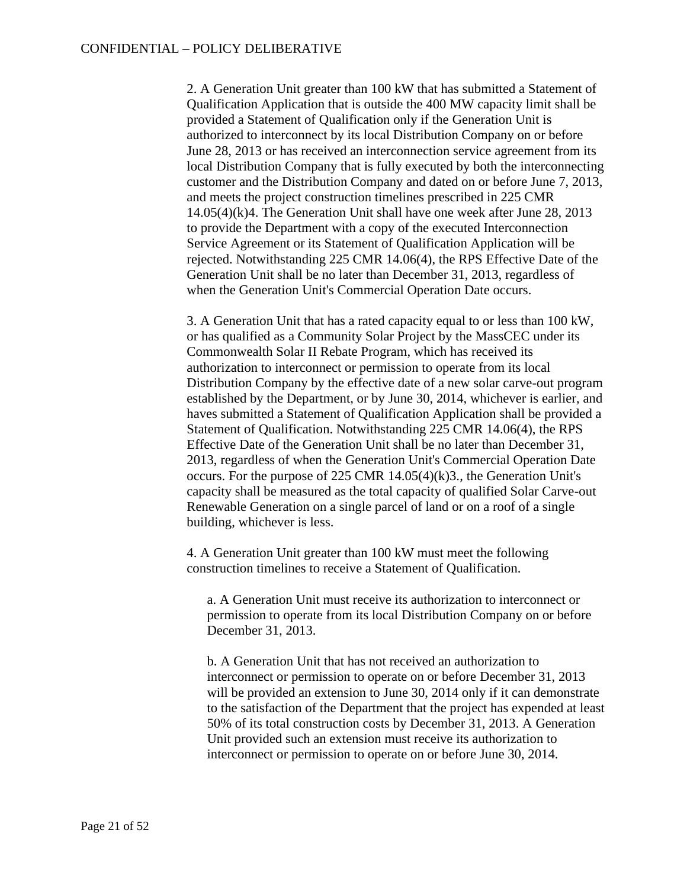2. A Generation Unit greater than 100 kW that has submitted a Statement of Qualification Application that is outside the 400 MW capacity limit shall be provided a Statement of Qualification only if the Generation Unit is authorized to interconnect by its local Distribution Company on or before June 28, 2013 or has received an interconnection service agreement from its local Distribution Company that is fully executed by both the interconnecting customer and the Distribution Company and dated on or before June 7, 2013, and meets the project construction timelines prescribed in 225 CMR 14.05(4)(k)4. The Generation Unit shall have one week after June 28, 2013 to provide the Department with a copy of the executed Interconnection Service Agreement or its Statement of Qualification Application will be rejected. Notwithstanding 225 CMR 14.06(4), the RPS Effective Date of the Generation Unit shall be no later than December 31, 2013, regardless of when the Generation Unit's Commercial Operation Date occurs.

3. A Generation Unit that has a rated capacity equal to or less than 100 kW, or has qualified as a Community Solar Project by the MassCEC under its Commonwealth Solar II Rebate Program, which has received its authorization to interconnect or permission to operate from its local Distribution Company by the effective date of a new solar carve-out program established by the Department, or by June 30, 2014, whichever is earlier, and haves submitted a Statement of Qualification Application shall be provided a Statement of Qualification. Notwithstanding 225 CMR 14.06(4), the RPS Effective Date of the Generation Unit shall be no later than December 31, 2013, regardless of when the Generation Unit's Commercial Operation Date occurs. For the purpose of 225 CMR 14.05(4)(k)3., the Generation Unit's capacity shall be measured as the total capacity of qualified Solar Carve-out Renewable Generation on a single parcel of land or on a roof of a single building, whichever is less.

4. A Generation Unit greater than 100 kW must meet the following construction timelines to receive a Statement of Qualification.

a. A Generation Unit must receive its authorization to interconnect or permission to operate from its local Distribution Company on or before December 31, 2013.

b. A Generation Unit that has not received an authorization to interconnect or permission to operate on or before December 31, 2013 will be provided an extension to June 30, 2014 only if it can demonstrate to the satisfaction of the Department that the project has expended at least 50% of its total construction costs by December 31, 2013. A Generation Unit provided such an extension must receive its authorization to interconnect or permission to operate on or before June 30, 2014.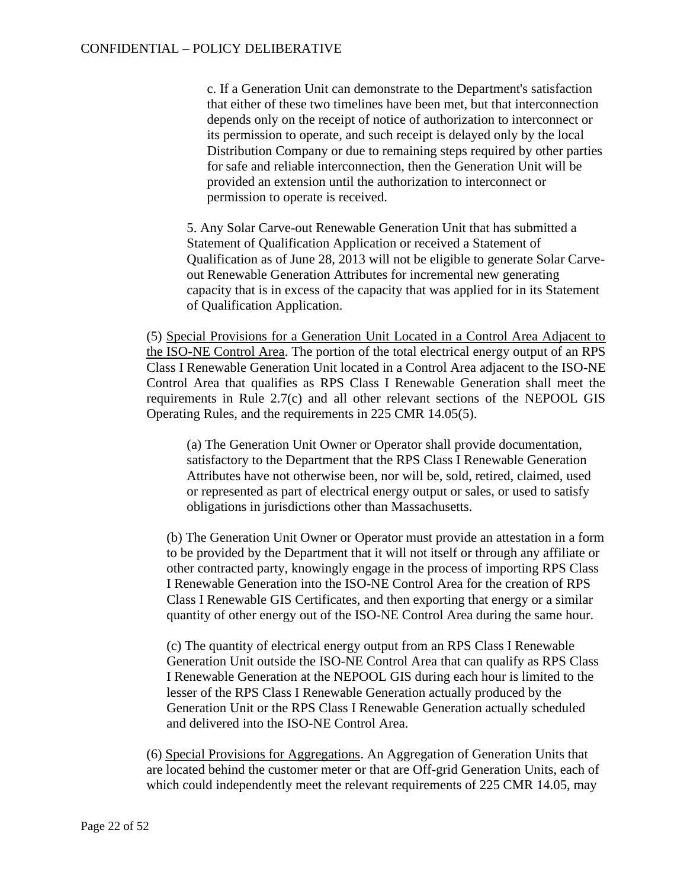c. If a Generation Unit can demonstrate to the Department's satisfaction that either of these two timelines have been met, but that interconnection depends only on the receipt of notice of authorization to interconnect or its permission to operate, and such receipt is delayed only by the local Distribution Company or due to remaining steps required by other parties for safe and reliable interconnection, then the Generation Unit will be provided an extension until the authorization to interconnect or permission to operate is received.

5. Any Solar Carve-out Renewable Generation Unit that has submitted a Statement of Qualification Application or received a Statement of Qualification as of June 28, 2013 will not be eligible to generate Solar Carveout Renewable Generation Attributes for incremental new generating capacity that is in excess of the capacity that was applied for in its Statement of Qualification Application.

(5) Special Provisions for a Generation Unit Located in a Control Area Adjacent to the ISO-NE Control Area. The portion of the total electrical energy output of an RPS Class I Renewable Generation Unit located in a Control Area adjacent to the ISO-NE Control Area that qualifies as RPS Class I Renewable Generation shall meet the requirements in Rule 2.7(c) and all other relevant sections of the NEPOOL GIS Operating Rules, and the requirements in 225 CMR 14.05(5).

(a) The Generation Unit Owner or Operator shall provide documentation, satisfactory to the Department that the RPS Class I Renewable Generation Attributes have not otherwise been, nor will be, sold, retired, claimed, used or represented as part of electrical energy output or sales, or used to satisfy obligations in jurisdictions other than Massachusetts.

(b) The Generation Unit Owner or Operator must provide an attestation in a form to be provided by the Department that it will not itself or through any affiliate or other contracted party, knowingly engage in the process of importing RPS Class I Renewable Generation into the ISO-NE Control Area for the creation of RPS Class I Renewable GIS Certificates, and then exporting that energy or a similar quantity of other energy out of the ISO-NE Control Area during the same hour.

(c) The quantity of electrical energy output from an RPS Class I Renewable Generation Unit outside the ISO-NE Control Area that can qualify as RPS Class I Renewable Generation at the NEPOOL GIS during each hour is limited to the lesser of the RPS Class I Renewable Generation actually produced by the Generation Unit or the RPS Class I Renewable Generation actually scheduled and delivered into the ISO-NE Control Area.

(6) Special Provisions for Aggregations. An Aggregation of Generation Units that are located behind the customer meter or that are Off-grid Generation Units, each of which could independently meet the relevant requirements of 225 CMR 14.05, may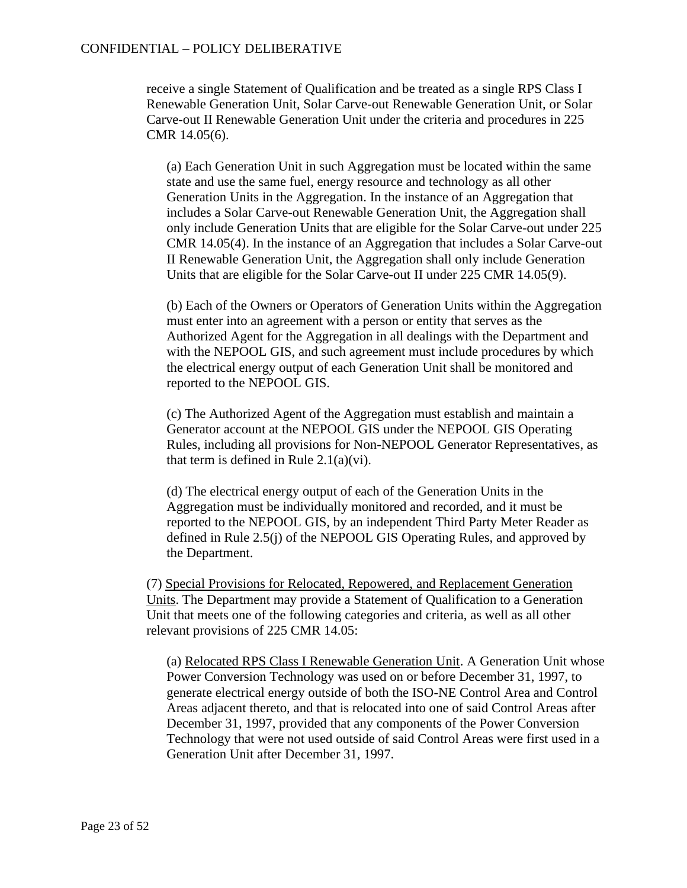receive a single Statement of Qualification and be treated as a single RPS Class I Renewable Generation Unit, Solar Carve-out Renewable Generation Unit, or Solar Carve-out II Renewable Generation Unit under the criteria and procedures in 225 CMR 14.05(6).

(a) Each Generation Unit in such Aggregation must be located within the same state and use the same fuel, energy resource and technology as all other Generation Units in the Aggregation. In the instance of an Aggregation that includes a Solar Carve-out Renewable Generation Unit, the Aggregation shall only include Generation Units that are eligible for the Solar Carve-out under 225 CMR 14.05(4). In the instance of an Aggregation that includes a Solar Carve-out II Renewable Generation Unit, the Aggregation shall only include Generation Units that are eligible for the Solar Carve-out II under 225 CMR 14.05(9).

(b) Each of the Owners or Operators of Generation Units within the Aggregation must enter into an agreement with a person or entity that serves as the Authorized Agent for the Aggregation in all dealings with the Department and with the NEPOOL GIS, and such agreement must include procedures by which the electrical energy output of each Generation Unit shall be monitored and reported to the NEPOOL GIS.

(c) The Authorized Agent of the Aggregation must establish and maintain a Generator account at the NEPOOL GIS under the NEPOOL GIS Operating Rules, including all provisions for Non-NEPOOL Generator Representatives, as that term is defined in Rule  $2.1(a)(vi)$ .

(d) The electrical energy output of each of the Generation Units in the Aggregation must be individually monitored and recorded, and it must be reported to the NEPOOL GIS, by an independent Third Party Meter Reader as defined in Rule 2.5(j) of the NEPOOL GIS Operating Rules, and approved by the Department.

(7) Special Provisions for Relocated, Repowered, and Replacement Generation Units. The Department may provide a Statement of Qualification to a Generation Unit that meets one of the following categories and criteria, as well as all other relevant provisions of 225 CMR 14.05:

(a) Relocated RPS Class I Renewable Generation Unit. A Generation Unit whose Power Conversion Technology was used on or before December 31, 1997, to generate electrical energy outside of both the ISO-NE Control Area and Control Areas adjacent thereto, and that is relocated into one of said Control Areas after December 31, 1997, provided that any components of the Power Conversion Technology that were not used outside of said Control Areas were first used in a Generation Unit after December 31, 1997.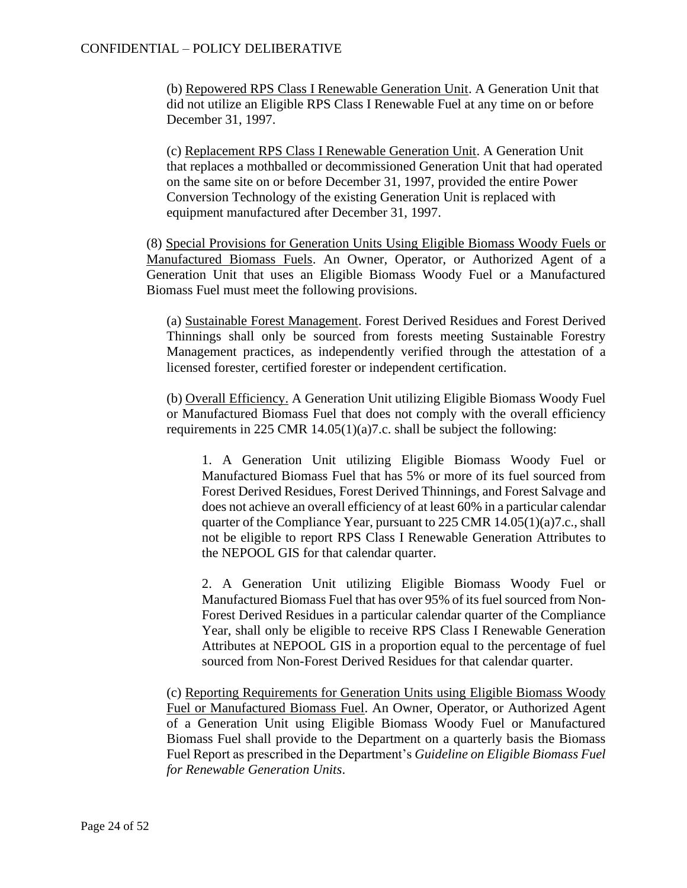(b) Repowered RPS Class I Renewable Generation Unit. A Generation Unit that did not utilize an Eligible RPS Class I Renewable Fuel at any time on or before December 31, 1997.

(c) Replacement RPS Class I Renewable Generation Unit. A Generation Unit that replaces a mothballed or decommissioned Generation Unit that had operated on the same site on or before December 31, 1997, provided the entire Power Conversion Technology of the existing Generation Unit is replaced with equipment manufactured after December 31, 1997.

(8) Special Provisions for Generation Units Using Eligible Biomass Woody Fuels or Manufactured Biomass Fuels. An Owner, Operator, or Authorized Agent of a Generation Unit that uses an Eligible Biomass Woody Fuel or a Manufactured Biomass Fuel must meet the following provisions.

(a) Sustainable Forest Management. Forest Derived Residues and Forest Derived Thinnings shall only be sourced from forests meeting Sustainable Forestry Management practices, as independently verified through the attestation of a licensed forester, certified forester or independent certification.

(b) Overall Efficiency. A Generation Unit utilizing Eligible Biomass Woody Fuel or Manufactured Biomass Fuel that does not comply with the overall efficiency requirements in 225 CMR 14.05(1)(a)7.c. shall be subject the following:

1. A Generation Unit utilizing Eligible Biomass Woody Fuel or Manufactured Biomass Fuel that has 5% or more of its fuel sourced from Forest Derived Residues, Forest Derived Thinnings, and Forest Salvage and does not achieve an overall efficiency of at least 60% in a particular calendar quarter of the Compliance Year, pursuant to 225 CMR 14.05(1)(a)7.c., shall not be eligible to report RPS Class I Renewable Generation Attributes to the NEPOOL GIS for that calendar quarter.

2. A Generation Unit utilizing Eligible Biomass Woody Fuel or Manufactured Biomass Fuel that has over 95% of its fuel sourced from Non-Forest Derived Residues in a particular calendar quarter of the Compliance Year, shall only be eligible to receive RPS Class I Renewable Generation Attributes at NEPOOL GIS in a proportion equal to the percentage of fuel sourced from Non-Forest Derived Residues for that calendar quarter.

(c) Reporting Requirements for Generation Units using Eligible Biomass Woody Fuel or Manufactured Biomass Fuel. An Owner, Operator, or Authorized Agent of a Generation Unit using Eligible Biomass Woody Fuel or Manufactured Biomass Fuel shall provide to the Department on a quarterly basis the Biomass Fuel Report as prescribed in the Department's *Guideline on Eligible Biomass Fuel for Renewable Generation Units*.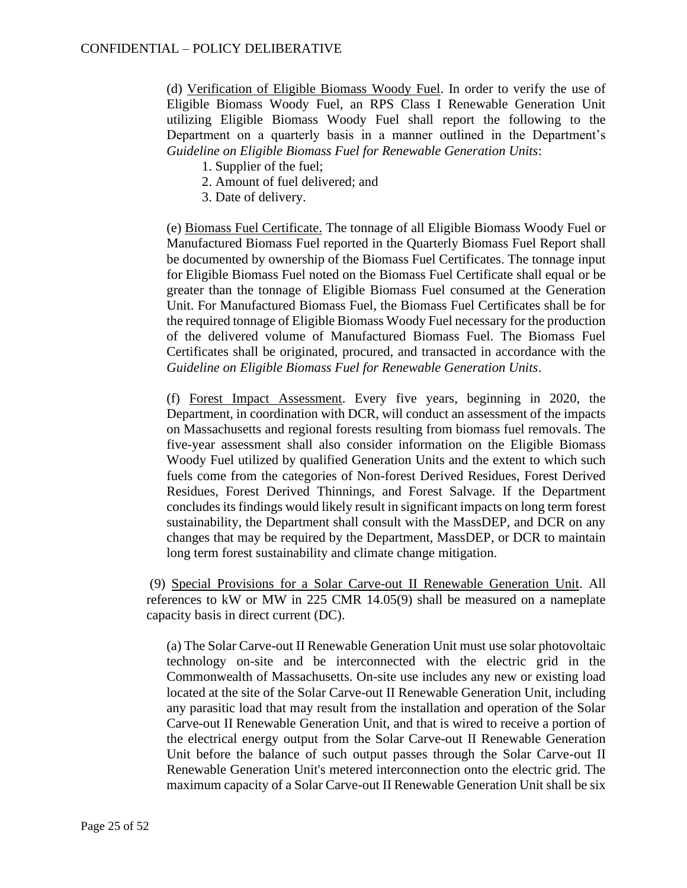(d) Verification of Eligible Biomass Woody Fuel. In order to verify the use of Eligible Biomass Woody Fuel, an RPS Class I Renewable Generation Unit utilizing Eligible Biomass Woody Fuel shall report the following to the Department on a quarterly basis in a manner outlined in the Department's *Guideline on Eligible Biomass Fuel for Renewable Generation Units*:

- 1. Supplier of the fuel;
- 2. Amount of fuel delivered; and
- 3. Date of delivery.

(e) Biomass Fuel Certificate. The tonnage of all Eligible Biomass Woody Fuel or Manufactured Biomass Fuel reported in the Quarterly Biomass Fuel Report shall be documented by ownership of the Biomass Fuel Certificates. The tonnage input for Eligible Biomass Fuel noted on the Biomass Fuel Certificate shall equal or be greater than the tonnage of Eligible Biomass Fuel consumed at the Generation Unit. For Manufactured Biomass Fuel, the Biomass Fuel Certificates shall be for the required tonnage of Eligible Biomass Woody Fuel necessary for the production of the delivered volume of Manufactured Biomass Fuel. The Biomass Fuel Certificates shall be originated, procured, and transacted in accordance with the *Guideline on Eligible Biomass Fuel for Renewable Generation Units*.

(f) Forest Impact Assessment. Every five years, beginning in 2020, the Department, in coordination with DCR, will conduct an assessment of the impacts on Massachusetts and regional forests resulting from biomass fuel removals. The five-year assessment shall also consider information on the Eligible Biomass Woody Fuel utilized by qualified Generation Units and the extent to which such fuels come from the categories of Non-forest Derived Residues, Forest Derived Residues, Forest Derived Thinnings, and Forest Salvage. If the Department concludes its findings would likely result in significant impacts on long term forest sustainability, the Department shall consult with the MassDEP, and DCR on any changes that may be required by the Department, MassDEP, or DCR to maintain long term forest sustainability and climate change mitigation.

(9) Special Provisions for a Solar Carve-out II Renewable Generation Unit. All references to kW or MW in 225 CMR 14.05(9) shall be measured on a nameplate capacity basis in direct current (DC).

(a) The Solar Carve-out II Renewable Generation Unit must use solar photovoltaic technology on-site and be interconnected with the electric grid in the Commonwealth of Massachusetts. On-site use includes any new or existing load located at the site of the Solar Carve-out II Renewable Generation Unit, including any parasitic load that may result from the installation and operation of the Solar Carve-out II Renewable Generation Unit, and that is wired to receive a portion of the electrical energy output from the Solar Carve-out II Renewable Generation Unit before the balance of such output passes through the Solar Carve-out II Renewable Generation Unit's metered interconnection onto the electric grid. The maximum capacity of a Solar Carve-out II Renewable Generation Unit shall be six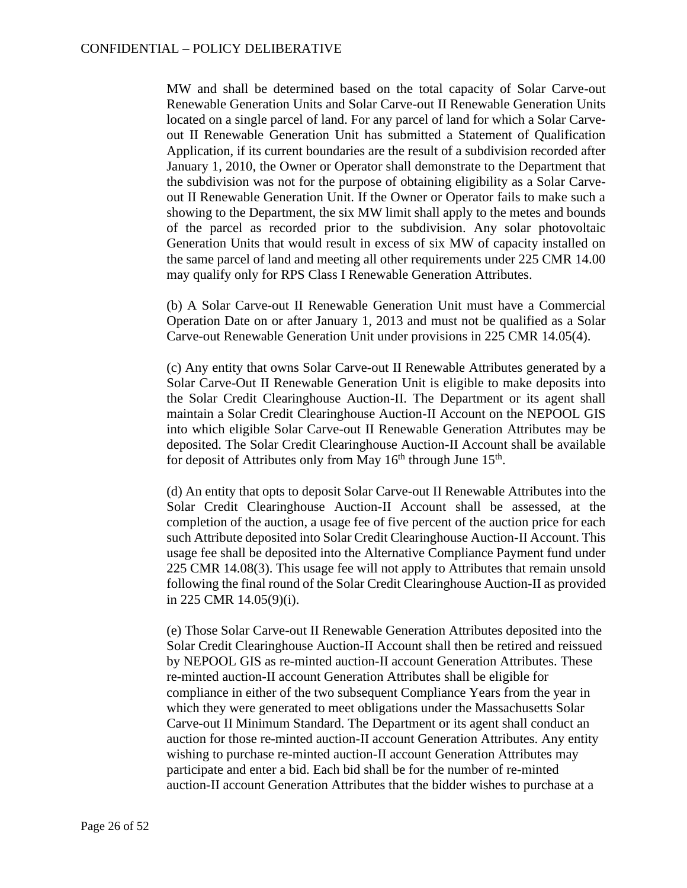MW and shall be determined based on the total capacity of Solar Carve-out Renewable Generation Units and Solar Carve-out II Renewable Generation Units located on a single parcel of land. For any parcel of land for which a Solar Carveout II Renewable Generation Unit has submitted a Statement of Qualification Application, if its current boundaries are the result of a subdivision recorded after January 1, 2010, the Owner or Operator shall demonstrate to the Department that the subdivision was not for the purpose of obtaining eligibility as a Solar Carveout II Renewable Generation Unit. If the Owner or Operator fails to make such a showing to the Department, the six MW limit shall apply to the metes and bounds of the parcel as recorded prior to the subdivision. Any solar photovoltaic Generation Units that would result in excess of six MW of capacity installed on the same parcel of land and meeting all other requirements under 225 CMR 14.00 may qualify only for RPS Class I Renewable Generation Attributes.

(b) A Solar Carve-out II Renewable Generation Unit must have a Commercial Operation Date on or after January 1, 2013 and must not be qualified as a Solar Carve-out Renewable Generation Unit under provisions in 225 CMR 14.05(4).

(c) Any entity that owns Solar Carve-out II Renewable Attributes generated by a Solar Carve-Out II Renewable Generation Unit is eligible to make deposits into the Solar Credit Clearinghouse Auction-II. The Department or its agent shall maintain a Solar Credit Clearinghouse Auction-II Account on the NEPOOL GIS into which eligible Solar Carve-out II Renewable Generation Attributes may be deposited. The Solar Credit Clearinghouse Auction-II Account shall be available for deposit of Attributes only from May 16<sup>th</sup> through June 15<sup>th</sup>.

(d) An entity that opts to deposit Solar Carve-out II Renewable Attributes into the Solar Credit Clearinghouse Auction-II Account shall be assessed, at the completion of the auction, a usage fee of five percent of the auction price for each such Attribute deposited into Solar Credit Clearinghouse Auction-II Account. This usage fee shall be deposited into the Alternative Compliance Payment fund under 225 CMR 14.08(3). This usage fee will not apply to Attributes that remain unsold following the final round of the Solar Credit Clearinghouse Auction-II as provided in 225 CMR 14.05(9)(i).

(e) Those Solar Carve-out II Renewable Generation Attributes deposited into the Solar Credit Clearinghouse Auction-II Account shall then be retired and reissued by NEPOOL GIS as re-minted auction-II account Generation Attributes. These re-minted auction-II account Generation Attributes shall be eligible for compliance in either of the two subsequent Compliance Years from the year in which they were generated to meet obligations under the Massachusetts Solar Carve-out II Minimum Standard. The Department or its agent shall conduct an auction for those re-minted auction-II account Generation Attributes. Any entity wishing to purchase re-minted auction-II account Generation Attributes may participate and enter a bid. Each bid shall be for the number of re-minted auction-II account Generation Attributes that the bidder wishes to purchase at a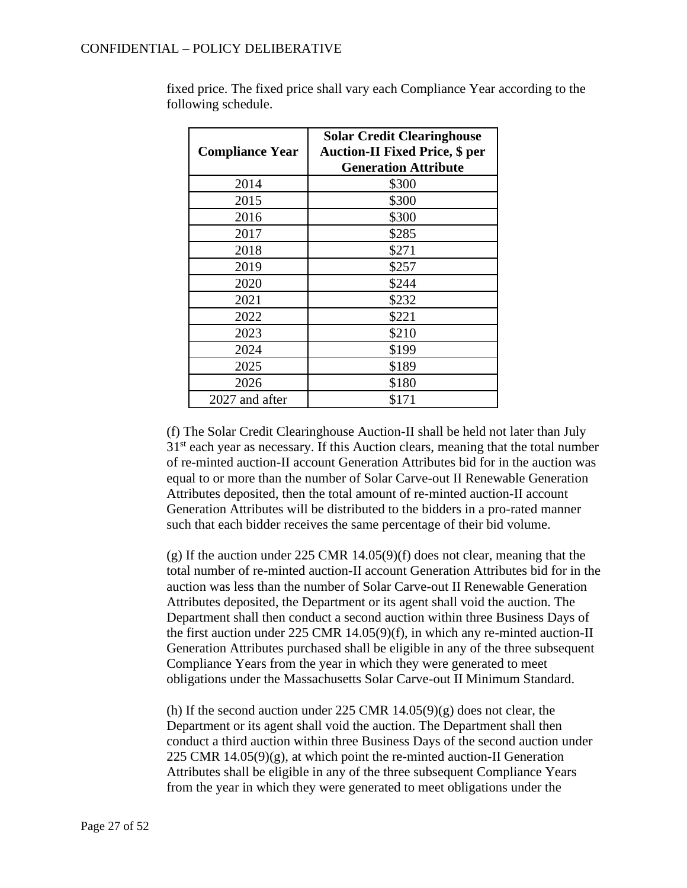# CONFIDENTIAL – POLICY DELIBERATIVE

| <b>Compliance Year</b> | <b>Solar Credit Clearinghouse</b><br><b>Auction-II Fixed Price, \$ per</b><br><b>Generation Attribute</b> |
|------------------------|-----------------------------------------------------------------------------------------------------------|
| 2014                   | \$300                                                                                                     |
| 2015                   | \$300                                                                                                     |
| 2016                   | \$300                                                                                                     |
| 2017                   | \$285                                                                                                     |
| 2018                   | \$271                                                                                                     |
| 2019                   | \$257                                                                                                     |
| 2020                   | \$244                                                                                                     |
| 2021                   | \$232                                                                                                     |
| 2022                   | \$221                                                                                                     |
| 2023                   | \$210                                                                                                     |
| 2024                   | \$199                                                                                                     |
| 2025                   | \$189                                                                                                     |
| 2026                   | \$180                                                                                                     |
| 2027 and after         | \$171                                                                                                     |

fixed price. The fixed price shall vary each Compliance Year according to the following schedule.

(f) The Solar Credit Clearinghouse Auction-II shall be held not later than July  $31<sup>st</sup>$  each year as necessary. If this Auction clears, meaning that the total number of re-minted auction-II account Generation Attributes bid for in the auction was equal to or more than the number of Solar Carve-out II Renewable Generation Attributes deposited, then the total amount of re-minted auction-II account Generation Attributes will be distributed to the bidders in a pro-rated manner such that each bidder receives the same percentage of their bid volume.

(g) If the auction under 225 CMR 14.05(9)(f) does not clear, meaning that the total number of re-minted auction-II account Generation Attributes bid for in the auction was less than the number of Solar Carve-out II Renewable Generation Attributes deposited, the Department or its agent shall void the auction. The Department shall then conduct a second auction within three Business Days of the first auction under 225 CMR 14.05(9)(f), in which any re-minted auction-II Generation Attributes purchased shall be eligible in any of the three subsequent Compliance Years from the year in which they were generated to meet obligations under the Massachusetts Solar Carve-out II Minimum Standard.

(h) If the second auction under 225 CMR  $14.05(9)(g)$  does not clear, the Department or its agent shall void the auction. The Department shall then conduct a third auction within three Business Days of the second auction under 225 CMR  $14.05(9)(g)$ , at which point the re-minted auction-II Generation Attributes shall be eligible in any of the three subsequent Compliance Years from the year in which they were generated to meet obligations under the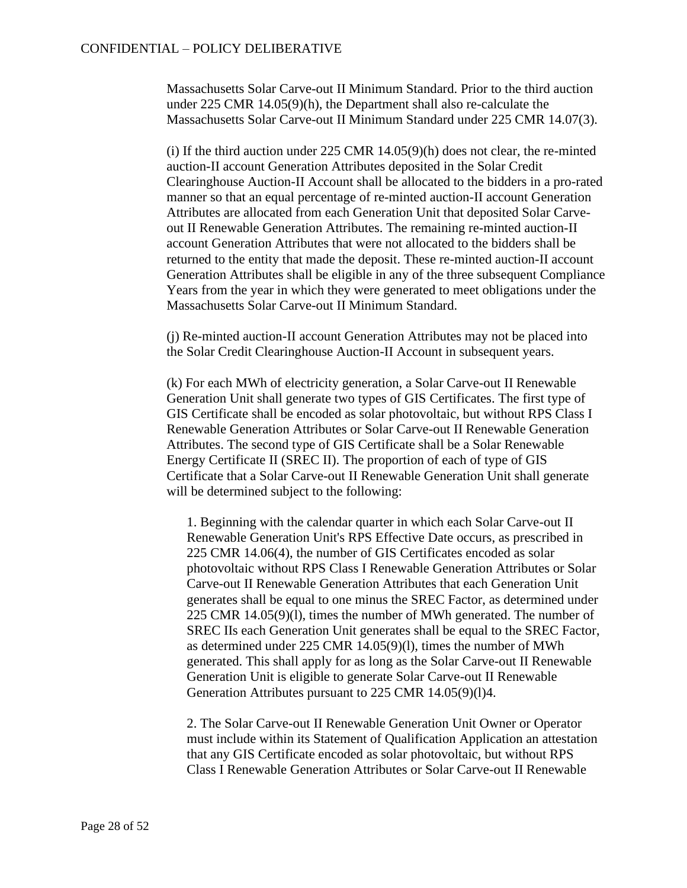Massachusetts Solar Carve-out II Minimum Standard. Prior to the third auction under 225 CMR 14.05(9)(h), the Department shall also re-calculate the Massachusetts Solar Carve-out II Minimum Standard under 225 CMR 14.07(3).

(i) If the third auction under  $225$  CMR  $14.05(9)$ (h) does not clear, the re-minted auction-II account Generation Attributes deposited in the Solar Credit Clearinghouse Auction-II Account shall be allocated to the bidders in a pro-rated manner so that an equal percentage of re-minted auction-II account Generation Attributes are allocated from each Generation Unit that deposited Solar Carveout II Renewable Generation Attributes. The remaining re-minted auction-II account Generation Attributes that were not allocated to the bidders shall be returned to the entity that made the deposit. These re-minted auction-II account Generation Attributes shall be eligible in any of the three subsequent Compliance Years from the year in which they were generated to meet obligations under the Massachusetts Solar Carve-out II Minimum Standard.

(j) Re-minted auction-II account Generation Attributes may not be placed into the Solar Credit Clearinghouse Auction-II Account in subsequent years.

(k) For each MWh of electricity generation, a Solar Carve-out II Renewable Generation Unit shall generate two types of GIS Certificates. The first type of GIS Certificate shall be encoded as solar photovoltaic, but without RPS Class I Renewable Generation Attributes or Solar Carve-out II Renewable Generation Attributes. The second type of GIS Certificate shall be a Solar Renewable Energy Certificate II (SREC II). The proportion of each of type of GIS Certificate that a Solar Carve-out II Renewable Generation Unit shall generate will be determined subject to the following:

1. Beginning with the calendar quarter in which each Solar Carve-out II Renewable Generation Unit's RPS Effective Date occurs, as prescribed in 225 CMR 14.06(4), the number of GIS Certificates encoded as solar photovoltaic without RPS Class I Renewable Generation Attributes or Solar Carve-out II Renewable Generation Attributes that each Generation Unit generates shall be equal to one minus the SREC Factor, as determined under 225 CMR 14.05(9)(l), times the number of MWh generated. The number of SREC IIs each Generation Unit generates shall be equal to the SREC Factor, as determined under 225 CMR 14.05(9)(l), times the number of MWh generated. This shall apply for as long as the Solar Carve-out II Renewable Generation Unit is eligible to generate Solar Carve-out II Renewable Generation Attributes pursuant to 225 CMR 14.05(9)(l)4.

2. The Solar Carve-out II Renewable Generation Unit Owner or Operator must include within its Statement of Qualification Application an attestation that any GIS Certificate encoded as solar photovoltaic, but without RPS Class I Renewable Generation Attributes or Solar Carve-out II Renewable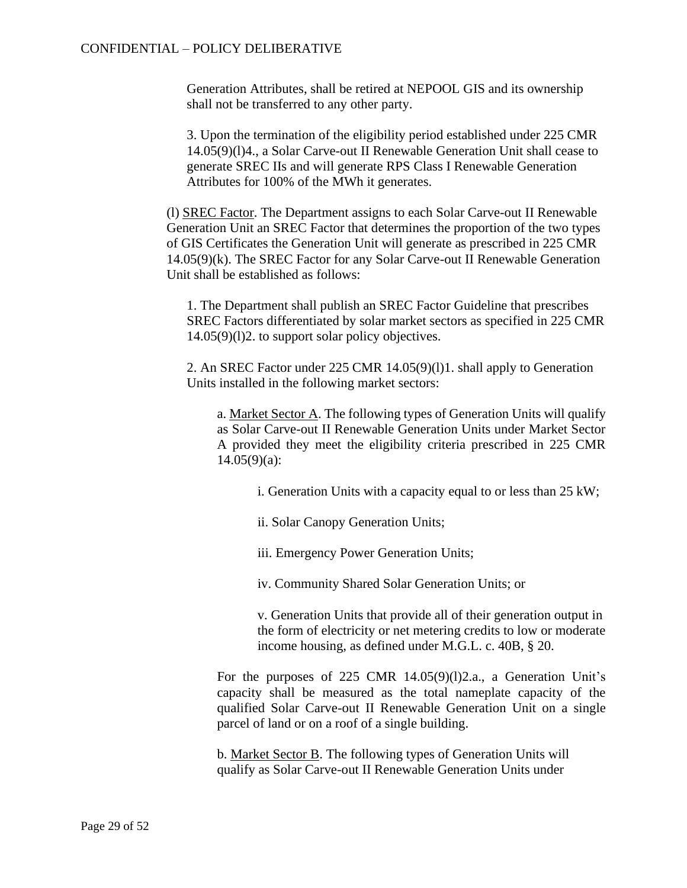### CONFIDENTIAL – POLICY DELIBERATIVE

Generation Attributes, shall be retired at NEPOOL GIS and its ownership shall not be transferred to any other party.

3. Upon the termination of the eligibility period established under 225 CMR 14.05(9)(l)4., a Solar Carve-out II Renewable Generation Unit shall cease to generate SREC IIs and will generate RPS Class I Renewable Generation Attributes for 100% of the MWh it generates.

(l) SREC Factor. The Department assigns to each Solar Carve-out II Renewable Generation Unit an SREC Factor that determines the proportion of the two types of GIS Certificates the Generation Unit will generate as prescribed in 225 CMR 14.05(9)(k). The SREC Factor for any Solar Carve-out II Renewable Generation Unit shall be established as follows:

1. The Department shall publish an SREC Factor Guideline that prescribes SREC Factors differentiated by solar market sectors as specified in 225 CMR 14.05(9)(l)2. to support solar policy objectives.

2. An SREC Factor under 225 CMR 14.05(9)(l)1. shall apply to Generation Units installed in the following market sectors:

a. Market Sector A. The following types of Generation Units will qualify as Solar Carve-out II Renewable Generation Units under Market Sector A provided they meet the eligibility criteria prescribed in 225 CMR  $14.05(9)(a)$ :

i. Generation Units with a capacity equal to or less than 25 kW;

ii. Solar Canopy Generation Units;

iii. Emergency Power Generation Units;

iv. Community Shared Solar Generation Units; or

v. Generation Units that provide all of their generation output in the form of electricity or net metering credits to low or moderate income housing, as defined under M.G.L. c. 40B, § 20.

For the purposes of 225 CMR 14.05(9)(1)2.a., a Generation Unit's capacity shall be measured as the total nameplate capacity of the qualified Solar Carve-out II Renewable Generation Unit on a single parcel of land or on a roof of a single building.

b. Market Sector B. The following types of Generation Units will qualify as Solar Carve-out II Renewable Generation Units under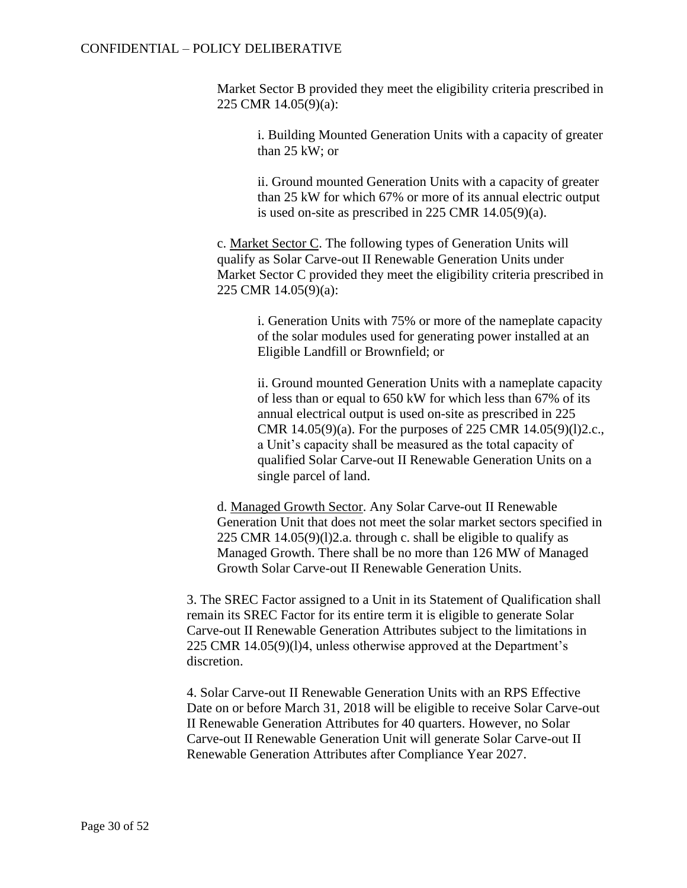Market Sector B provided they meet the eligibility criteria prescribed in 225 CMR 14.05(9)(a):

i. Building Mounted Generation Units with a capacity of greater than 25 kW; or

ii. Ground mounted Generation Units with a capacity of greater than 25 kW for which 67% or more of its annual electric output is used on-site as prescribed in 225 CMR 14.05(9)(a).

c. Market Sector C. The following types of Generation Units will qualify as Solar Carve-out II Renewable Generation Units under Market Sector C provided they meet the eligibility criteria prescribed in 225 CMR 14.05(9)(a):

> i. Generation Units with 75% or more of the nameplate capacity of the solar modules used for generating power installed at an Eligible Landfill or Brownfield; or

> ii. Ground mounted Generation Units with a nameplate capacity of less than or equal to 650 kW for which less than 67% of its annual electrical output is used on-site as prescribed in 225 CMR 14.05(9)(a). For the purposes of 225 CMR 14.05(9)(l)2.c., a Unit's capacity shall be measured as the total capacity of qualified Solar Carve-out II Renewable Generation Units on a single parcel of land.

d. Managed Growth Sector. Any Solar Carve-out II Renewable Generation Unit that does not meet the solar market sectors specified in 225 CMR 14.05(9)(l)2.a. through c. shall be eligible to qualify as Managed Growth. There shall be no more than 126 MW of Managed Growth Solar Carve-out II Renewable Generation Units.

3. The SREC Factor assigned to a Unit in its Statement of Qualification shall remain its SREC Factor for its entire term it is eligible to generate Solar Carve-out II Renewable Generation Attributes subject to the limitations in 225 CMR 14.05(9)(l)4, unless otherwise approved at the Department's discretion.

4. Solar Carve-out II Renewable Generation Units with an RPS Effective Date on or before March 31, 2018 will be eligible to receive Solar Carve-out II Renewable Generation Attributes for 40 quarters. However, no Solar Carve-out II Renewable Generation Unit will generate Solar Carve-out II Renewable Generation Attributes after Compliance Year 2027.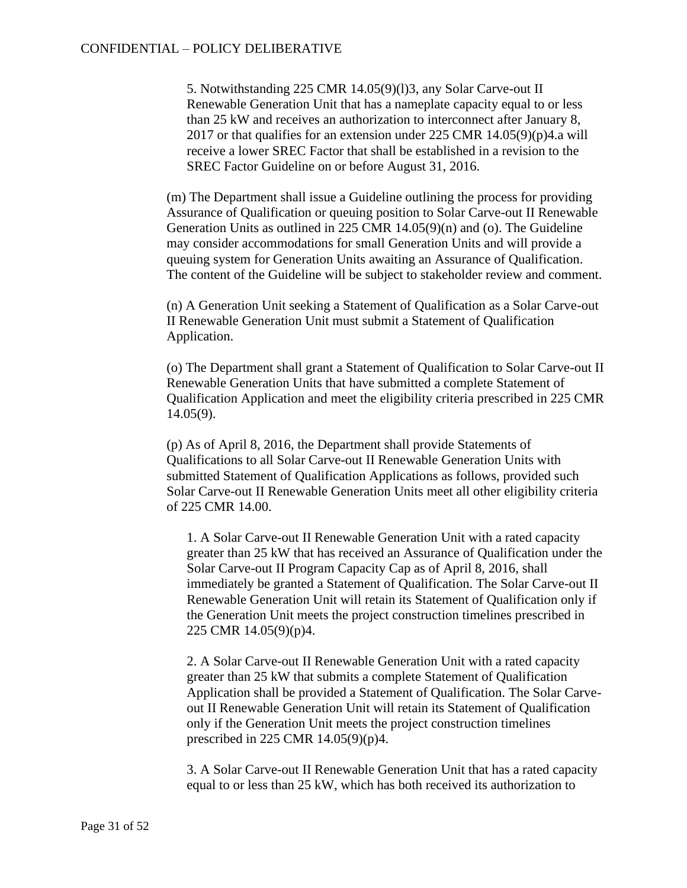5. Notwithstanding 225 CMR 14.05(9)(l)3, any Solar Carve-out II Renewable Generation Unit that has a nameplate capacity equal to or less than 25 kW and receives an authorization to interconnect after January 8, 2017 or that qualifies for an extension under 225 CMR 14.05(9)(p)4.a will receive a lower SREC Factor that shall be established in a revision to the SREC Factor Guideline on or before August 31, 2016.

(m) The Department shall issue a Guideline outlining the process for providing Assurance of Qualification or queuing position to Solar Carve-out II Renewable Generation Units as outlined in 225 CMR 14.05(9)(n) and (o). The Guideline may consider accommodations for small Generation Units and will provide a queuing system for Generation Units awaiting an Assurance of Qualification. The content of the Guideline will be subject to stakeholder review and comment.

(n) A Generation Unit seeking a Statement of Qualification as a Solar Carve-out II Renewable Generation Unit must submit a Statement of Qualification Application.

(o) The Department shall grant a Statement of Qualification to Solar Carve-out II Renewable Generation Units that have submitted a complete Statement of Qualification Application and meet the eligibility criteria prescribed in 225 CMR 14.05(9).

(p) As of April 8, 2016, the Department shall provide Statements of Qualifications to all Solar Carve-out II Renewable Generation Units with submitted Statement of Qualification Applications as follows, provided such Solar Carve-out II Renewable Generation Units meet all other eligibility criteria of 225 CMR 14.00.

1. A Solar Carve-out II Renewable Generation Unit with a rated capacity greater than 25 kW that has received an Assurance of Qualification under the Solar Carve-out II Program Capacity Cap as of April 8, 2016, shall immediately be granted a Statement of Qualification. The Solar Carve-out II Renewable Generation Unit will retain its Statement of Qualification only if the Generation Unit meets the project construction timelines prescribed in 225 CMR 14.05(9)(p)4.

2. A Solar Carve-out II Renewable Generation Unit with a rated capacity greater than 25 kW that submits a complete Statement of Qualification Application shall be provided a Statement of Qualification. The Solar Carveout II Renewable Generation Unit will retain its Statement of Qualification only if the Generation Unit meets the project construction timelines prescribed in 225 CMR 14.05(9)(p)4.

3. A Solar Carve-out II Renewable Generation Unit that has a rated capacity equal to or less than 25 kW, which has both received its authorization to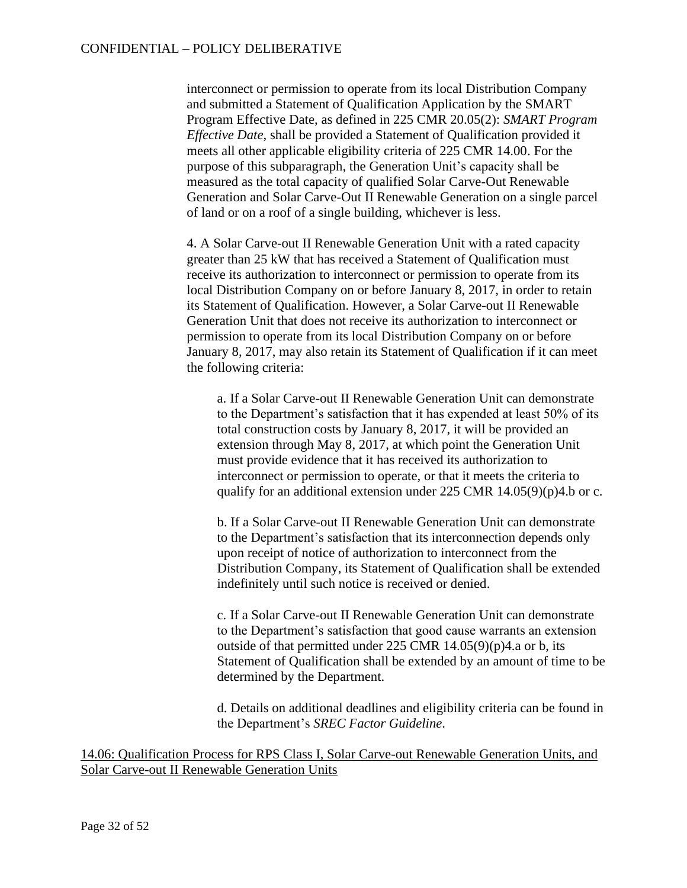interconnect or permission to operate from its local Distribution Company and submitted a Statement of Qualification Application by the SMART Program Effective Date, as defined in 225 CMR 20.05(2): *SMART Program Effective Date*, shall be provided a Statement of Qualification provided it meets all other applicable eligibility criteria of 225 CMR 14.00. For the purpose of this subparagraph, the Generation Unit's capacity shall be measured as the total capacity of qualified Solar Carve-Out Renewable Generation and Solar Carve-Out II Renewable Generation on a single parcel of land or on a roof of a single building, whichever is less.

4. A Solar Carve-out II Renewable Generation Unit with a rated capacity greater than 25 kW that has received a Statement of Qualification must receive its authorization to interconnect or permission to operate from its local Distribution Company on or before January 8, 2017, in order to retain its Statement of Qualification. However, a Solar Carve-out II Renewable Generation Unit that does not receive its authorization to interconnect or permission to operate from its local Distribution Company on or before January 8, 2017, may also retain its Statement of Qualification if it can meet the following criteria:

a. If a Solar Carve-out II Renewable Generation Unit can demonstrate to the Department's satisfaction that it has expended at least 50% of its total construction costs by January 8, 2017, it will be provided an extension through May 8, 2017, at which point the Generation Unit must provide evidence that it has received its authorization to interconnect or permission to operate, or that it meets the criteria to qualify for an additional extension under 225 CMR  $14.05(9)(p)4.b$  or c.

b. If a Solar Carve-out II Renewable Generation Unit can demonstrate to the Department's satisfaction that its interconnection depends only upon receipt of notice of authorization to interconnect from the Distribution Company, its Statement of Qualification shall be extended indefinitely until such notice is received or denied.

c. If a Solar Carve-out II Renewable Generation Unit can demonstrate to the Department's satisfaction that good cause warrants an extension outside of that permitted under 225 CMR 14.05(9)(p)4.a or b, its Statement of Qualification shall be extended by an amount of time to be determined by the Department.

d. Details on additional deadlines and eligibility criteria can be found in the Department's *SREC Factor Guideline*.

14.06: Qualification Process for RPS Class I, Solar Carve-out Renewable Generation Units, and Solar Carve-out II Renewable Generation Units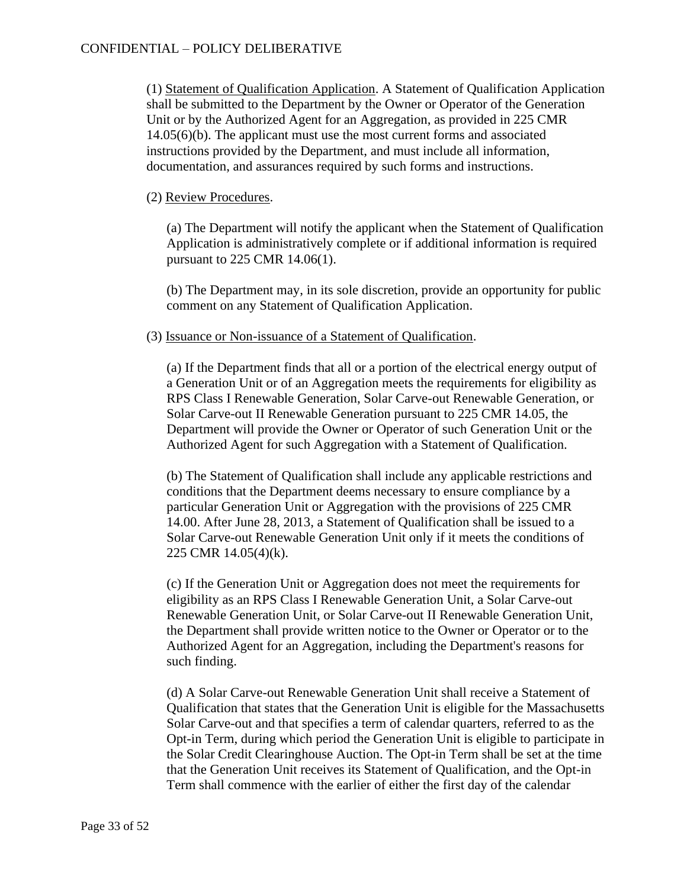(1) Statement of Qualification Application. A Statement of Qualification Application shall be submitted to the Department by the Owner or Operator of the Generation Unit or by the Authorized Agent for an Aggregation, as provided in 225 CMR 14.05(6)(b). The applicant must use the most current forms and associated instructions provided by the Department, and must include all information, documentation, and assurances required by such forms and instructions.

### (2) Review Procedures.

(a) The Department will notify the applicant when the Statement of Qualification Application is administratively complete or if additional information is required pursuant to 225 CMR 14.06(1).

(b) The Department may, in its sole discretion, provide an opportunity for public comment on any Statement of Qualification Application.

### (3) Issuance or Non-issuance of a Statement of Qualification.

(a) If the Department finds that all or a portion of the electrical energy output of a Generation Unit or of an Aggregation meets the requirements for eligibility as RPS Class I Renewable Generation, Solar Carve-out Renewable Generation, or Solar Carve-out II Renewable Generation pursuant to 225 CMR 14.05, the Department will provide the Owner or Operator of such Generation Unit or the Authorized Agent for such Aggregation with a Statement of Qualification.

(b) The Statement of Qualification shall include any applicable restrictions and conditions that the Department deems necessary to ensure compliance by a particular Generation Unit or Aggregation with the provisions of 225 CMR 14.00. After June 28, 2013, a Statement of Qualification shall be issued to a Solar Carve-out Renewable Generation Unit only if it meets the conditions of 225 CMR 14.05(4)(k).

(c) If the Generation Unit or Aggregation does not meet the requirements for eligibility as an RPS Class I Renewable Generation Unit, a Solar Carve-out Renewable Generation Unit, or Solar Carve-out II Renewable Generation Unit, the Department shall provide written notice to the Owner or Operator or to the Authorized Agent for an Aggregation, including the Department's reasons for such finding.

(d) A Solar Carve-out Renewable Generation Unit shall receive a Statement of Qualification that states that the Generation Unit is eligible for the Massachusetts Solar Carve-out and that specifies a term of calendar quarters, referred to as the Opt-in Term, during which period the Generation Unit is eligible to participate in the Solar Credit Clearinghouse Auction. The Opt-in Term shall be set at the time that the Generation Unit receives its Statement of Qualification, and the Opt-in Term shall commence with the earlier of either the first day of the calendar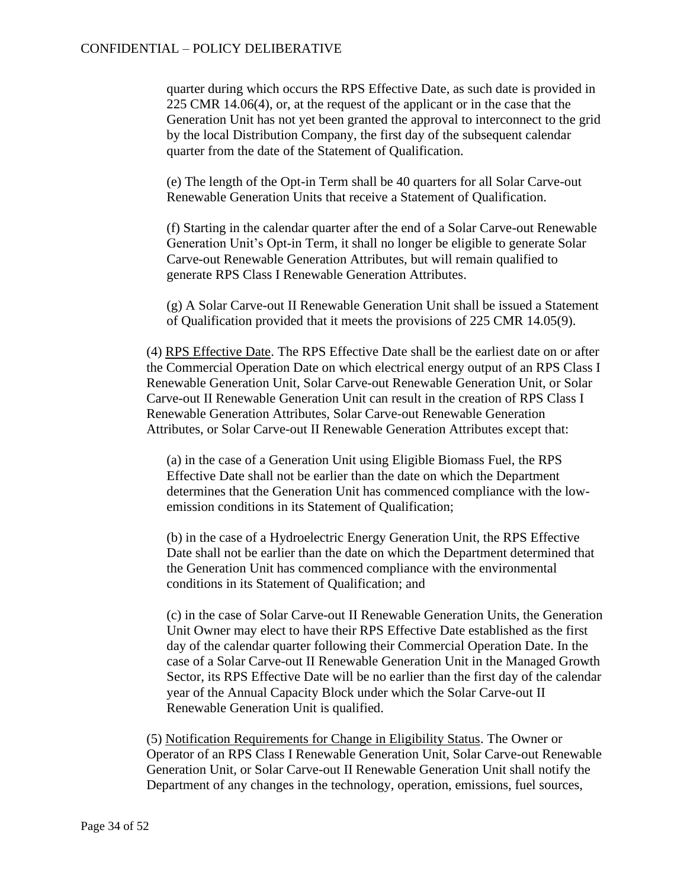quarter during which occurs the RPS Effective Date, as such date is provided in 225 CMR 14.06(4), or, at the request of the applicant or in the case that the Generation Unit has not yet been granted the approval to interconnect to the grid by the local Distribution Company, the first day of the subsequent calendar quarter from the date of the Statement of Qualification.

(e) The length of the Opt-in Term shall be 40 quarters for all Solar Carve-out Renewable Generation Units that receive a Statement of Qualification.

(f) Starting in the calendar quarter after the end of a Solar Carve-out Renewable Generation Unit's Opt-in Term, it shall no longer be eligible to generate Solar Carve-out Renewable Generation Attributes, but will remain qualified to generate RPS Class I Renewable Generation Attributes.

(g) A Solar Carve-out II Renewable Generation Unit shall be issued a Statement of Qualification provided that it meets the provisions of 225 CMR 14.05(9).

(4) RPS Effective Date. The RPS Effective Date shall be the earliest date on or after the Commercial Operation Date on which electrical energy output of an RPS Class I Renewable Generation Unit, Solar Carve-out Renewable Generation Unit, or Solar Carve-out II Renewable Generation Unit can result in the creation of RPS Class I Renewable Generation Attributes, Solar Carve-out Renewable Generation Attributes, or Solar Carve-out II Renewable Generation Attributes except that:

(a) in the case of a Generation Unit using Eligible Biomass Fuel, the RPS Effective Date shall not be earlier than the date on which the Department determines that the Generation Unit has commenced compliance with the lowemission conditions in its Statement of Qualification;

(b) in the case of a Hydroelectric Energy Generation Unit, the RPS Effective Date shall not be earlier than the date on which the Department determined that the Generation Unit has commenced compliance with the environmental conditions in its Statement of Qualification; and

(c) in the case of Solar Carve-out II Renewable Generation Units, the Generation Unit Owner may elect to have their RPS Effective Date established as the first day of the calendar quarter following their Commercial Operation Date. In the case of a Solar Carve-out II Renewable Generation Unit in the Managed Growth Sector, its RPS Effective Date will be no earlier than the first day of the calendar year of the Annual Capacity Block under which the Solar Carve-out II Renewable Generation Unit is qualified.

(5) Notification Requirements for Change in Eligibility Status. The Owner or Operator of an RPS Class I Renewable Generation Unit, Solar Carve-out Renewable Generation Unit, or Solar Carve-out II Renewable Generation Unit shall notify the Department of any changes in the technology, operation, emissions, fuel sources,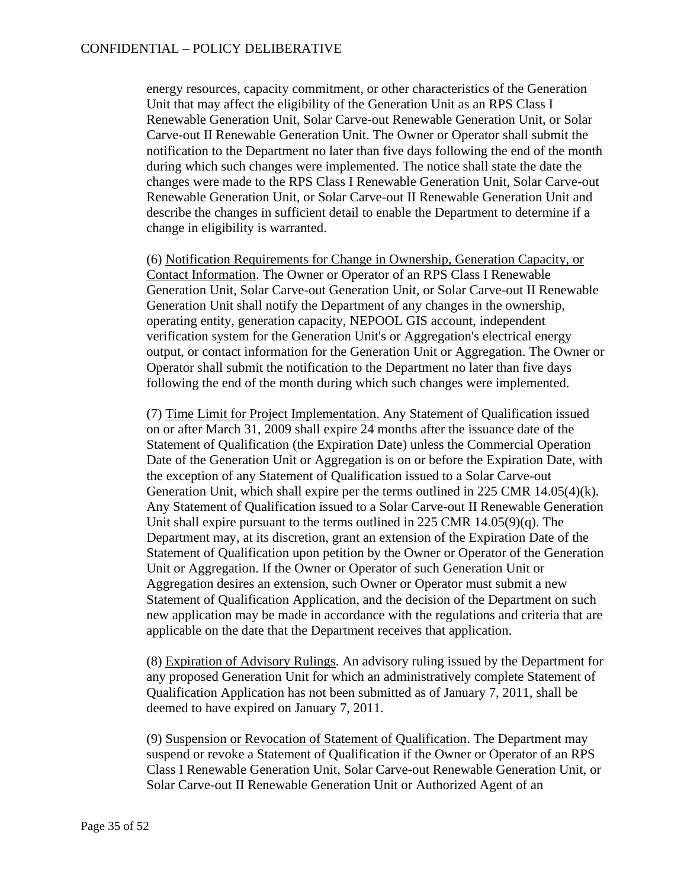energy resources, capacity commitment, or other characteristics of the Generation Unit that may affect the eligibility of the Generation Unit as an RPS Class I Renewable Generation Unit, Solar Carve-out Renewable Generation Unit, or Solar Carve-out II Renewable Generation Unit. The Owner or Operator shall submit the notification to the Department no later than five days following the end of the month during which such changes were implemented. The notice shall state the date the changes were made to the RPS Class I Renewable Generation Unit, Solar Carve-out Renewable Generation Unit, or Solar Carve-out II Renewable Generation Unit and describe the changes in sufficient detail to enable the Department to determine if a change in eligibility is warranted.

(6) Notification Requirements for Change in Ownership, Generation Capacity, or Contact Information. The Owner or Operator of an RPS Class I Renewable Generation Unit, Solar Carve-out Generation Unit, or Solar Carve-out II Renewable Generation Unit shall notify the Department of any changes in the ownership, operating entity, generation capacity, NEPOOL GIS account, independent verification system for the Generation Unit's or Aggregation's electrical energy output, or contact information for the Generation Unit or Aggregation. The Owner or Operator shall submit the notification to the Department no later than five days following the end of the month during which such changes were implemented.

(7) Time Limit for Project Implementation. Any Statement of Qualification issued on or after March 31, 2009 shall expire 24 months after the issuance date of the Statement of Qualification (the Expiration Date) unless the Commercial Operation Date of the Generation Unit or Aggregation is on or before the Expiration Date, with the exception of any Statement of Qualification issued to a Solar Carve-out Generation Unit, which shall expire per the terms outlined in 225 CMR 14.05(4)(k). Any Statement of Qualification issued to a Solar Carve-out II Renewable Generation Unit shall expire pursuant to the terms outlined in 225 CMR 14.05(9)(q). The Department may, at its discretion, grant an extension of the Expiration Date of the Statement of Qualification upon petition by the Owner or Operator of the Generation Unit or Aggregation. If the Owner or Operator of such Generation Unit or Aggregation desires an extension, such Owner or Operator must submit a new Statement of Qualification Application, and the decision of the Department on such new application may be made in accordance with the regulations and criteria that are applicable on the date that the Department receives that application.

(8) Expiration of Advisory Rulings. An advisory ruling issued by the Department for any proposed Generation Unit for which an administratively complete Statement of Qualification Application has not been submitted as of January 7, 2011, shall be deemed to have expired on January 7, 2011.

(9) Suspension or Revocation of Statement of Qualification. The Department may suspend or revoke a Statement of Qualification if the Owner or Operator of an RPS Class I Renewable Generation Unit, Solar Carve-out Renewable Generation Unit, or Solar Carve-out II Renewable Generation Unit or Authorized Agent of an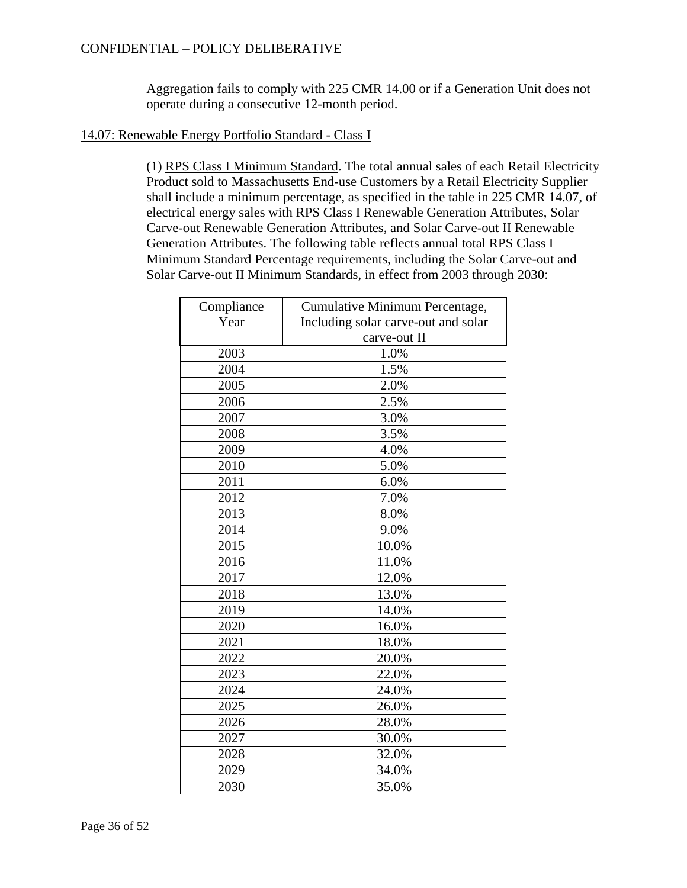# CONFIDENTIAL – POLICY DELIBERATIVE

Aggregation fails to comply with 225 CMR 14.00 or if a Generation Unit does not operate during a consecutive 12-month period.

### 14.07: Renewable Energy Portfolio Standard - Class I

(1) RPS Class I Minimum Standard. The total annual sales of each Retail Electricity Product sold to Massachusetts End-use Customers by a Retail Electricity Supplier shall include a minimum percentage, as specified in the table in 225 CMR 14.07, of electrical energy sales with RPS Class I Renewable Generation Attributes, Solar Carve-out Renewable Generation Attributes, and Solar Carve-out II Renewable Generation Attributes. The following table reflects annual total RPS Class I Minimum Standard Percentage requirements, including the Solar Carve-out and Solar Carve-out II Minimum Standards, in effect from 2003 through 2030:

| Compliance | Cumulative Minimum Percentage,      |
|------------|-------------------------------------|
| Year       | Including solar carve-out and solar |
|            | carve-out II                        |
| 2003       | 1.0%                                |
| 2004       | 1.5%                                |
| 2005       | 2.0%                                |
| 2006       | 2.5%                                |
| 2007       | 3.0%                                |
| 2008       | 3.5%                                |
| 2009       | 4.0%                                |
| 2010       | 5.0%                                |
| 2011       | 6.0%                                |
| 2012       | 7.0%                                |
| 2013       | 8.0%                                |
| 2014       | 9.0%                                |
| 2015       | 10.0%                               |
| 2016       | 11.0%                               |
| 2017       | 12.0%                               |
| 2018       | 13.0%                               |
| 2019       | 14.0%                               |
| 2020       | 16.0%                               |
| 2021       | 18.0%                               |
| 2022       | 20.0%                               |
| 2023       | 22.0%                               |
| 2024       | 24.0%                               |
| 2025       | 26.0%                               |
| 2026       | 28.0%                               |
| 2027       | 30.0%                               |
| 2028       | 32.0%                               |
| 2029       | 34.0%                               |
| 2030       | 35.0%                               |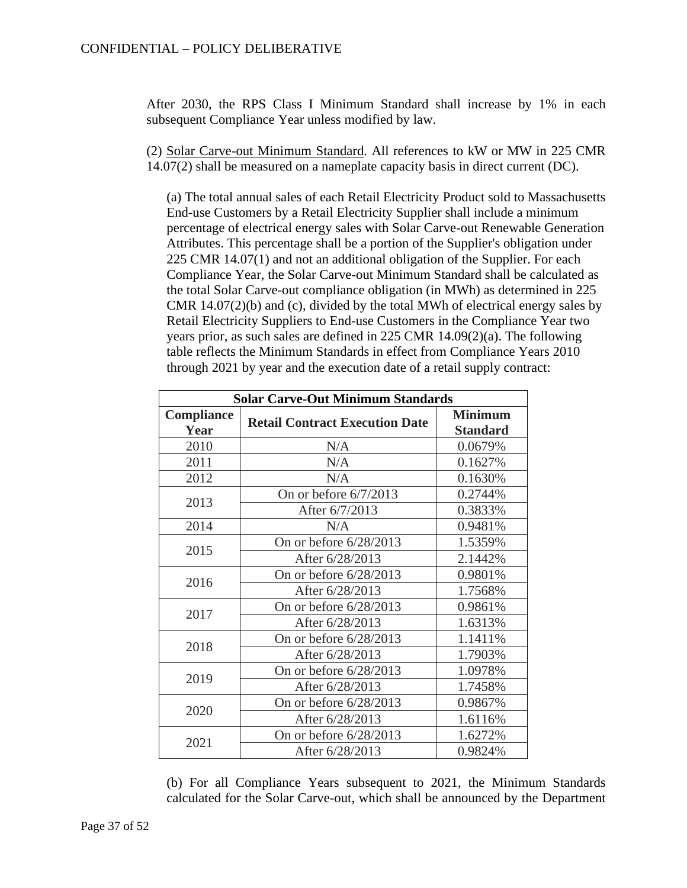After 2030, the RPS Class I Minimum Standard shall increase by 1% in each subsequent Compliance Year unless modified by law.

(2) Solar Carve-out Minimum Standard. All references to kW or MW in 225 CMR 14.07(2) shall be measured on a nameplate capacity basis in direct current (DC).

(a) The total annual sales of each Retail Electricity Product sold to Massachusetts End-use Customers by a Retail Electricity Supplier shall include a minimum percentage of electrical energy sales with Solar Carve-out Renewable Generation Attributes. This percentage shall be a portion of the Supplier's obligation under 225 CMR 14.07(1) and not an additional obligation of the Supplier. For each Compliance Year, the Solar Carve-out Minimum Standard shall be calculated as the total Solar Carve-out compliance obligation (in MWh) as determined in 225 CMR  $14.07(2)(b)$  and (c), divided by the total MWh of electrical energy sales by Retail Electricity Suppliers to End-use Customers in the Compliance Year two years prior, as such sales are defined in 225 CMR 14.09(2)(a). The following table reflects the Minimum Standards in effect from Compliance Years 2010 through 2021 by year and the execution date of a retail supply contract:

| <b>Solar Carve-Out Minimum Standards</b> |                                       |                                   |
|------------------------------------------|---------------------------------------|-----------------------------------|
| <b>Compliance</b><br>Year                | <b>Retail Contract Execution Date</b> | <b>Minimum</b><br><b>Standard</b> |
| 2010                                     | N/A                                   | 0.0679%                           |
| 2011                                     | N/A                                   | 0.1627%                           |
| 2012                                     | N/A                                   | 0.1630%                           |
| 2013                                     | On or before $6/7/2013$               | 0.2744%                           |
|                                          | After 6/7/2013                        | 0.3833%                           |
| 2014                                     | N/A                                   | 0.9481%                           |
| 2015                                     | On or before 6/28/2013                | 1.5359%                           |
|                                          | After 6/28/2013                       | 2.1442%                           |
| 2016                                     | On or before $6/28/2013$              | 0.9801%                           |
|                                          | After 6/28/2013                       | 1.7568%                           |
| 2017                                     | On or before 6/28/2013                | 0.9861%                           |
|                                          | After 6/28/2013                       | 1.6313%                           |
| 2018                                     | On or before $6/28/2013$              | 1.1411%                           |
|                                          | After 6/28/2013                       | 1.7903%                           |
| 2019                                     | On or before $6/28/2013$              | 1.0978%                           |
|                                          | After 6/28/2013                       | 1.7458%                           |
| 2020                                     | On or before 6/28/2013                | 0.9867%                           |
|                                          | After 6/28/2013                       | 1.6116%                           |
| 2021                                     | On or before $6/28/2013$              | 1.6272%                           |
|                                          | After 6/28/2013                       | 0.9824%                           |

(b) For all Compliance Years subsequent to 2021, the Minimum Standards calculated for the Solar Carve-out, which shall be announced by the Department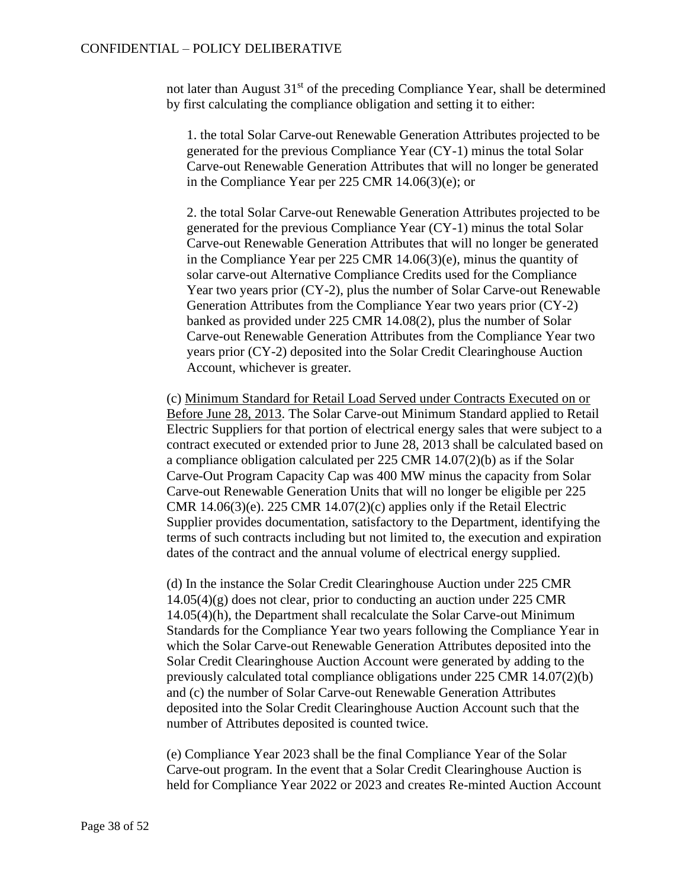not later than August  $31<sup>st</sup>$  of the preceding Compliance Year, shall be determined by first calculating the compliance obligation and setting it to either:

1. the total Solar Carve-out Renewable Generation Attributes projected to be generated for the previous Compliance Year (CY-1) minus the total Solar Carve-out Renewable Generation Attributes that will no longer be generated in the Compliance Year per 225 CMR 14.06(3)(e); or

2. the total Solar Carve-out Renewable Generation Attributes projected to be generated for the previous Compliance Year (CY-1) minus the total Solar Carve-out Renewable Generation Attributes that will no longer be generated in the Compliance Year per 225 CMR 14.06(3)(e), minus the quantity of solar carve-out Alternative Compliance Credits used for the Compliance Year two years prior (CY-2), plus the number of Solar Carve-out Renewable Generation Attributes from the Compliance Year two years prior (CY-2) banked as provided under 225 CMR 14.08(2), plus the number of Solar Carve-out Renewable Generation Attributes from the Compliance Year two years prior (CY-2) deposited into the Solar Credit Clearinghouse Auction Account, whichever is greater.

(c) Minimum Standard for Retail Load Served under Contracts Executed on or Before June 28, 2013. The Solar Carve-out Minimum Standard applied to Retail Electric Suppliers for that portion of electrical energy sales that were subject to a contract executed or extended prior to June 28, 2013 shall be calculated based on a compliance obligation calculated per 225 CMR 14.07(2)(b) as if the Solar Carve-Out Program Capacity Cap was 400 MW minus the capacity from Solar Carve-out Renewable Generation Units that will no longer be eligible per 225 CMR  $14.06(3)(e)$ . 225 CMR  $14.07(2)(c)$  applies only if the Retail Electric Supplier provides documentation, satisfactory to the Department, identifying the terms of such contracts including but not limited to, the execution and expiration dates of the contract and the annual volume of electrical energy supplied.

(d) In the instance the Solar Credit Clearinghouse Auction under 225 CMR 14.05(4)(g) does not clear, prior to conducting an auction under 225 CMR 14.05(4)(h), the Department shall recalculate the Solar Carve-out Minimum Standards for the Compliance Year two years following the Compliance Year in which the Solar Carve-out Renewable Generation Attributes deposited into the Solar Credit Clearinghouse Auction Account were generated by adding to the previously calculated total compliance obligations under 225 CMR 14.07(2)(b) and (c) the number of Solar Carve-out Renewable Generation Attributes deposited into the Solar Credit Clearinghouse Auction Account such that the number of Attributes deposited is counted twice.

(e) Compliance Year 2023 shall be the final Compliance Year of the Solar Carve-out program. In the event that a Solar Credit Clearinghouse Auction is held for Compliance Year 2022 or 2023 and creates Re-minted Auction Account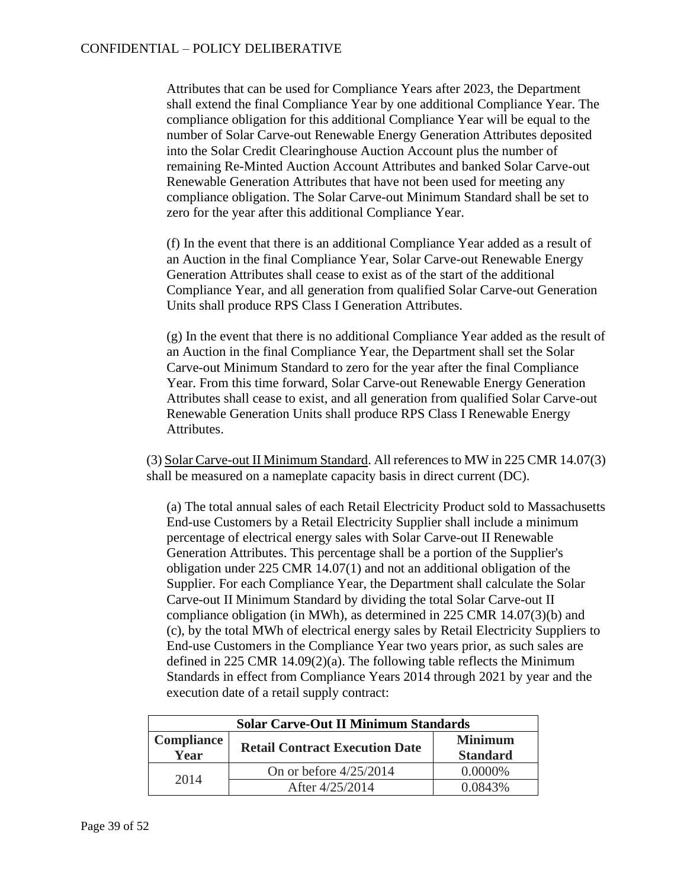Attributes that can be used for Compliance Years after 2023, the Department shall extend the final Compliance Year by one additional Compliance Year. The compliance obligation for this additional Compliance Year will be equal to the number of Solar Carve-out Renewable Energy Generation Attributes deposited into the Solar Credit Clearinghouse Auction Account plus the number of remaining Re-Minted Auction Account Attributes and banked Solar Carve-out Renewable Generation Attributes that have not been used for meeting any compliance obligation. The Solar Carve-out Minimum Standard shall be set to zero for the year after this additional Compliance Year.

(f) In the event that there is an additional Compliance Year added as a result of an Auction in the final Compliance Year, Solar Carve-out Renewable Energy Generation Attributes shall cease to exist as of the start of the additional Compliance Year, and all generation from qualified Solar Carve-out Generation Units shall produce RPS Class I Generation Attributes.

(g) In the event that there is no additional Compliance Year added as the result of an Auction in the final Compliance Year, the Department shall set the Solar Carve-out Minimum Standard to zero for the year after the final Compliance Year. From this time forward, Solar Carve-out Renewable Energy Generation Attributes shall cease to exist, and all generation from qualified Solar Carve-out Renewable Generation Units shall produce RPS Class I Renewable Energy Attributes.

(3) Solar Carve-out II Minimum Standard. All references to MW in 225 CMR 14.07(3) shall be measured on a nameplate capacity basis in direct current (DC).

(a) The total annual sales of each Retail Electricity Product sold to Massachusetts End-use Customers by a Retail Electricity Supplier shall include a minimum percentage of electrical energy sales with Solar Carve-out II Renewable Generation Attributes. This percentage shall be a portion of the Supplier's obligation under 225 CMR 14.07(1) and not an additional obligation of the Supplier. For each Compliance Year, the Department shall calculate the Solar Carve-out II Minimum Standard by dividing the total Solar Carve-out II compliance obligation (in MWh), as determined in 225 CMR 14.07(3)(b) and (c), by the total MWh of electrical energy sales by Retail Electricity Suppliers to End-use Customers in the Compliance Year two years prior, as such sales are defined in 225 CMR 14.09(2)(a). The following table reflects the Minimum Standards in effect from Compliance Years 2014 through 2021 by year and the execution date of a retail supply contract:

| <b>Solar Carve-Out II Minimum Standards</b> |                                       |                                   |
|---------------------------------------------|---------------------------------------|-----------------------------------|
| <b>Compliance</b><br>Year                   | <b>Retail Contract Execution Date</b> | <b>Minimum</b><br><b>Standard</b> |
| 2014                                        | On or before $4/25/2014$              | $0.0000\%$                        |
|                                             | After 4/25/2014                       | 0.0843%                           |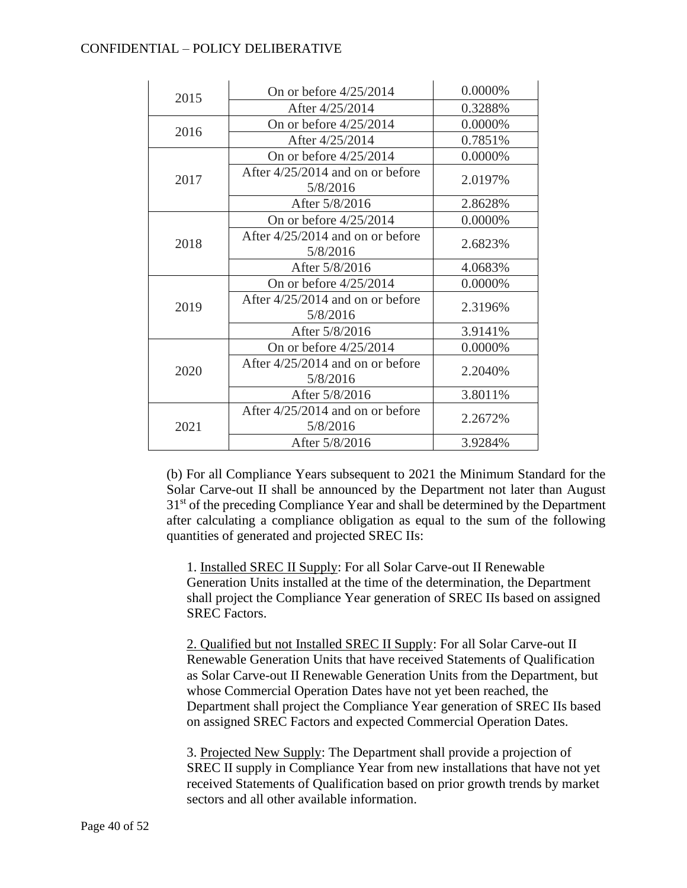## CONFIDENTIAL – POLICY DELIBERATIVE

| 2015 | On or before $4/25/2014$                       | 0.0000% |
|------|------------------------------------------------|---------|
|      | After 4/25/2014                                | 0.3288% |
| 2016 | On or before $4/25/2014$                       | 0.0000% |
|      | After 4/25/2014                                | 0.7851% |
|      | On or before $4/25/2014$                       | 0.0000% |
| 2017 | After 4/25/2014 and on or before<br>5/8/2016   | 2.0197% |
|      | After 5/8/2016                                 | 2.8628% |
|      | On or before $4/25/2014$                       | 0.0000% |
| 2018 | After $4/25/2014$ and on or before<br>5/8/2016 | 2.6823% |
|      | After 5/8/2016                                 | 4.0683% |
|      | On or before $4/25/2014$                       | 0.0000% |
| 2019 | After 4/25/2014 and on or before<br>5/8/2016   | 2.3196% |
|      | After 5/8/2016                                 | 3.9141% |
|      | On or before $4/25/2014$                       | 0.0000% |
| 2020 | After $4/25/2014$ and on or before<br>5/8/2016 | 2.2040% |
|      | After 5/8/2016                                 | 3.8011% |
| 2021 | After $4/25/2014$ and on or before<br>5/8/2016 | 2.2672% |
|      | After 5/8/2016                                 | 3.9284% |

(b) For all Compliance Years subsequent to 2021 the Minimum Standard for the Solar Carve-out II shall be announced by the Department not later than August 31<sup>st</sup> of the preceding Compliance Year and shall be determined by the Department after calculating a compliance obligation as equal to the sum of the following quantities of generated and projected SREC IIs:

1. Installed SREC II Supply: For all Solar Carve-out II Renewable Generation Units installed at the time of the determination, the Department shall project the Compliance Year generation of SREC IIs based on assigned SREC Factors.

2. Qualified but not Installed SREC II Supply: For all Solar Carve-out II Renewable Generation Units that have received Statements of Qualification as Solar Carve-out II Renewable Generation Units from the Department, but whose Commercial Operation Dates have not yet been reached, the Department shall project the Compliance Year generation of SREC IIs based on assigned SREC Factors and expected Commercial Operation Dates.

3. Projected New Supply: The Department shall provide a projection of SREC II supply in Compliance Year from new installations that have not yet received Statements of Qualification based on prior growth trends by market sectors and all other available information.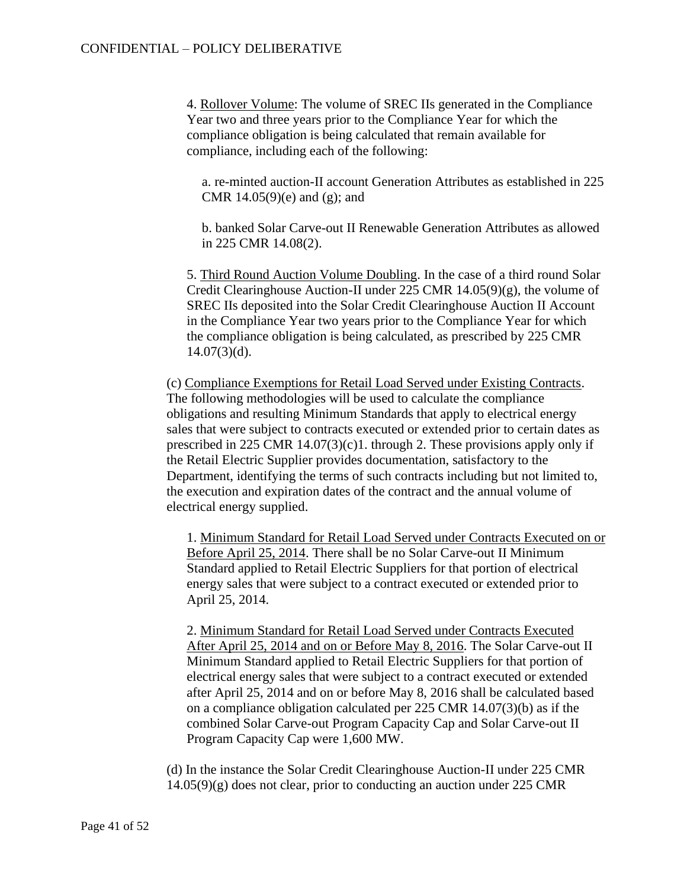4. Rollover Volume: The volume of SREC IIs generated in the Compliance Year two and three years prior to the Compliance Year for which the compliance obligation is being calculated that remain available for compliance, including each of the following:

a. re-minted auction-II account Generation Attributes as established in 225 CMR  $14.05(9)(e)$  and  $(g)$ ; and

b. banked Solar Carve-out II Renewable Generation Attributes as allowed in 225 CMR 14.08(2).

5. Third Round Auction Volume Doubling. In the case of a third round Solar Credit Clearinghouse Auction-II under 225 CMR 14.05(9)(g), the volume of SREC IIs deposited into the Solar Credit Clearinghouse Auction II Account in the Compliance Year two years prior to the Compliance Year for which the compliance obligation is being calculated, as prescribed by 225 CMR  $14.07(3)(d)$ .

(c) Compliance Exemptions for Retail Load Served under Existing Contracts. The following methodologies will be used to calculate the compliance obligations and resulting Minimum Standards that apply to electrical energy sales that were subject to contracts executed or extended prior to certain dates as prescribed in 225 CMR  $14.07(3)(c)1$ . through 2. These provisions apply only if the Retail Electric Supplier provides documentation, satisfactory to the Department, identifying the terms of such contracts including but not limited to, the execution and expiration dates of the contract and the annual volume of electrical energy supplied.

1. Minimum Standard for Retail Load Served under Contracts Executed on or Before April 25, 2014. There shall be no Solar Carve-out II Minimum Standard applied to Retail Electric Suppliers for that portion of electrical energy sales that were subject to a contract executed or extended prior to April 25, 2014.

2. Minimum Standard for Retail Load Served under Contracts Executed After April 25, 2014 and on or Before May 8, 2016. The Solar Carve-out II Minimum Standard applied to Retail Electric Suppliers for that portion of electrical energy sales that were subject to a contract executed or extended after April 25, 2014 and on or before May 8, 2016 shall be calculated based on a compliance obligation calculated per 225 CMR 14.07(3)(b) as if the combined Solar Carve-out Program Capacity Cap and Solar Carve-out II Program Capacity Cap were 1,600 MW.

(d) In the instance the Solar Credit Clearinghouse Auction-II under 225 CMR 14.05(9)(g) does not clear, prior to conducting an auction under 225 CMR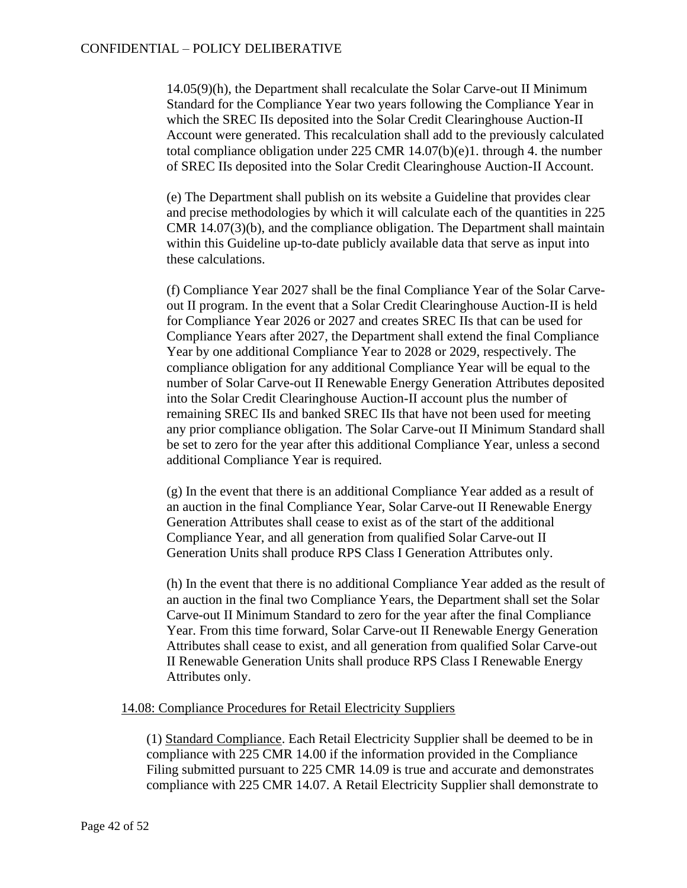14.05(9)(h), the Department shall recalculate the Solar Carve-out II Minimum Standard for the Compliance Year two years following the Compliance Year in which the SREC IIs deposited into the Solar Credit Clearinghouse Auction-II Account were generated. This recalculation shall add to the previously calculated total compliance obligation under  $225$  CMR  $14.07(b)(e)1$ . through 4. the number of SREC IIs deposited into the Solar Credit Clearinghouse Auction-II Account.

(e) The Department shall publish on its website a Guideline that provides clear and precise methodologies by which it will calculate each of the quantities in 225 CMR 14.07(3)(b), and the compliance obligation. The Department shall maintain within this Guideline up-to-date publicly available data that serve as input into these calculations.

(f) Compliance Year 2027 shall be the final Compliance Year of the Solar Carveout II program. In the event that a Solar Credit Clearinghouse Auction-II is held for Compliance Year 2026 or 2027 and creates SREC IIs that can be used for Compliance Years after 2027, the Department shall extend the final Compliance Year by one additional Compliance Year to 2028 or 2029, respectively. The compliance obligation for any additional Compliance Year will be equal to the number of Solar Carve-out II Renewable Energy Generation Attributes deposited into the Solar Credit Clearinghouse Auction-II account plus the number of remaining SREC IIs and banked SREC IIs that have not been used for meeting any prior compliance obligation. The Solar Carve-out II Minimum Standard shall be set to zero for the year after this additional Compliance Year, unless a second additional Compliance Year is required.

(g) In the event that there is an additional Compliance Year added as a result of an auction in the final Compliance Year, Solar Carve-out II Renewable Energy Generation Attributes shall cease to exist as of the start of the additional Compliance Year, and all generation from qualified Solar Carve-out II Generation Units shall produce RPS Class I Generation Attributes only.

(h) In the event that there is no additional Compliance Year added as the result of an auction in the final two Compliance Years, the Department shall set the Solar Carve-out II Minimum Standard to zero for the year after the final Compliance Year. From this time forward, Solar Carve-out II Renewable Energy Generation Attributes shall cease to exist, and all generation from qualified Solar Carve-out II Renewable Generation Units shall produce RPS Class I Renewable Energy Attributes only.

#### 14.08: Compliance Procedures for Retail Electricity Suppliers

(1) Standard Compliance. Each Retail Electricity Supplier shall be deemed to be in compliance with 225 CMR 14.00 if the information provided in the Compliance Filing submitted pursuant to 225 CMR 14.09 is true and accurate and demonstrates compliance with 225 CMR 14.07. A Retail Electricity Supplier shall demonstrate to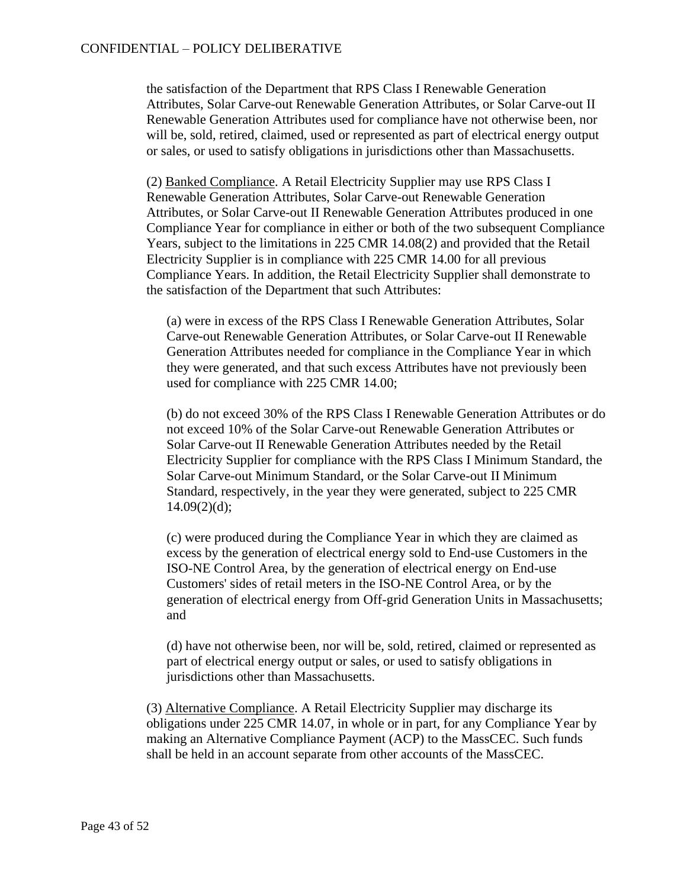the satisfaction of the Department that RPS Class I Renewable Generation Attributes, Solar Carve-out Renewable Generation Attributes, or Solar Carve-out II Renewable Generation Attributes used for compliance have not otherwise been, nor will be, sold, retired, claimed, used or represented as part of electrical energy output or sales, or used to satisfy obligations in jurisdictions other than Massachusetts.

(2) Banked Compliance. A Retail Electricity Supplier may use RPS Class I Renewable Generation Attributes, Solar Carve-out Renewable Generation Attributes, or Solar Carve-out II Renewable Generation Attributes produced in one Compliance Year for compliance in either or both of the two subsequent Compliance Years, subject to the limitations in 225 CMR 14.08(2) and provided that the Retail Electricity Supplier is in compliance with 225 CMR 14.00 for all previous Compliance Years. In addition, the Retail Electricity Supplier shall demonstrate to the satisfaction of the Department that such Attributes:

(a) were in excess of the RPS Class I Renewable Generation Attributes, Solar Carve-out Renewable Generation Attributes, or Solar Carve-out II Renewable Generation Attributes needed for compliance in the Compliance Year in which they were generated, and that such excess Attributes have not previously been used for compliance with 225 CMR 14.00;

(b) do not exceed 30% of the RPS Class I Renewable Generation Attributes or do not exceed 10% of the Solar Carve-out Renewable Generation Attributes or Solar Carve-out II Renewable Generation Attributes needed by the Retail Electricity Supplier for compliance with the RPS Class I Minimum Standard, the Solar Carve-out Minimum Standard, or the Solar Carve-out II Minimum Standard, respectively, in the year they were generated, subject to 225 CMR  $14.09(2)(d)$ :

(c) were produced during the Compliance Year in which they are claimed as excess by the generation of electrical energy sold to End-use Customers in the ISO-NE Control Area, by the generation of electrical energy on End-use Customers' sides of retail meters in the ISO-NE Control Area, or by the generation of electrical energy from Off-grid Generation Units in Massachusetts; and

(d) have not otherwise been, nor will be, sold, retired, claimed or represented as part of electrical energy output or sales, or used to satisfy obligations in jurisdictions other than Massachusetts.

(3) Alternative Compliance. A Retail Electricity Supplier may discharge its obligations under 225 CMR 14.07, in whole or in part, for any Compliance Year by making an Alternative Compliance Payment (ACP) to the MassCEC. Such funds shall be held in an account separate from other accounts of the MassCEC.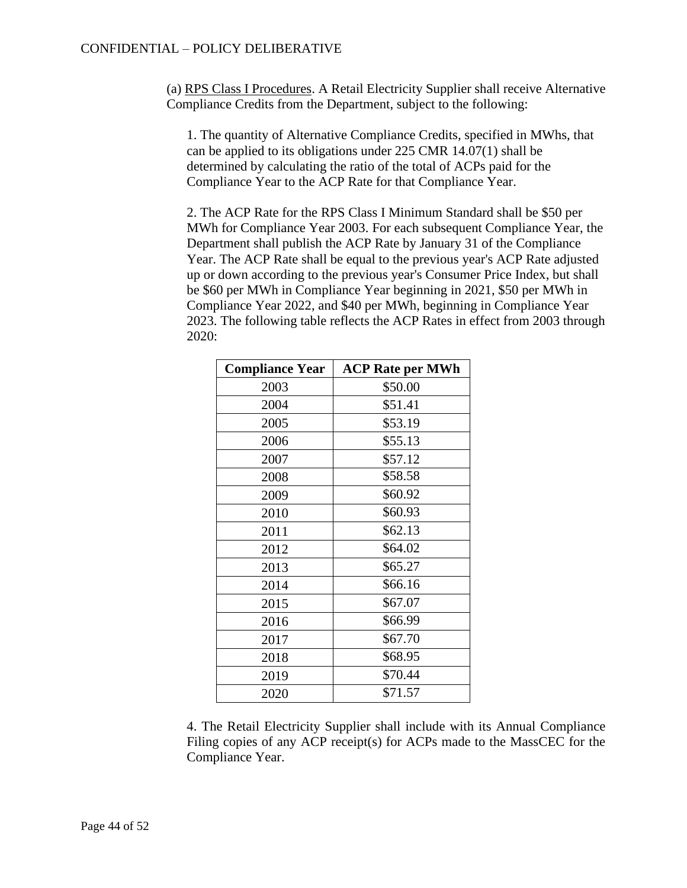(a) RPS Class I Procedures. A Retail Electricity Supplier shall receive Alternative Compliance Credits from the Department, subject to the following:

1. The quantity of Alternative Compliance Credits, specified in MWhs, that can be applied to its obligations under 225 CMR 14.07(1) shall be determined by calculating the ratio of the total of ACPs paid for the Compliance Year to the ACP Rate for that Compliance Year.

2. The ACP Rate for the RPS Class I Minimum Standard shall be \$50 per MWh for Compliance Year 2003. For each subsequent Compliance Year, the Department shall publish the ACP Rate by January 31 of the Compliance Year. The ACP Rate shall be equal to the previous year's ACP Rate adjusted up or down according to the previous year's Consumer Price Index, but shall be \$60 per MWh in Compliance Year beginning in 2021, \$50 per MWh in Compliance Year 2022, and \$40 per MWh, beginning in Compliance Year 2023. The following table reflects the ACP Rates in effect from 2003 through 2020:

| <b>Compliance Year</b> | <b>ACP Rate per MWh</b> |
|------------------------|-------------------------|
| 2003                   | \$50.00                 |
| 2004                   | \$51.41                 |
| 2005                   | \$53.19                 |
| 2006                   | \$55.13                 |
| 2007                   | \$57.12                 |
| 2008                   | \$58.58                 |
| 2009                   | \$60.92                 |
| 2010                   | \$60.93                 |
| 2011                   | \$62.13                 |
| 2012                   | \$64.02                 |
| 2013                   | \$65.27                 |
| 2014                   | \$66.16                 |
| 2015                   | \$67.07                 |
| 2016                   | \$66.99                 |
| 2017                   | \$67.70                 |
| 2018                   | \$68.95                 |
| 2019                   | \$70.44                 |
| 2020                   | \$71.57                 |

4. The Retail Electricity Supplier shall include with its Annual Compliance Filing copies of any ACP receipt(s) for ACPs made to the MassCEC for the Compliance Year.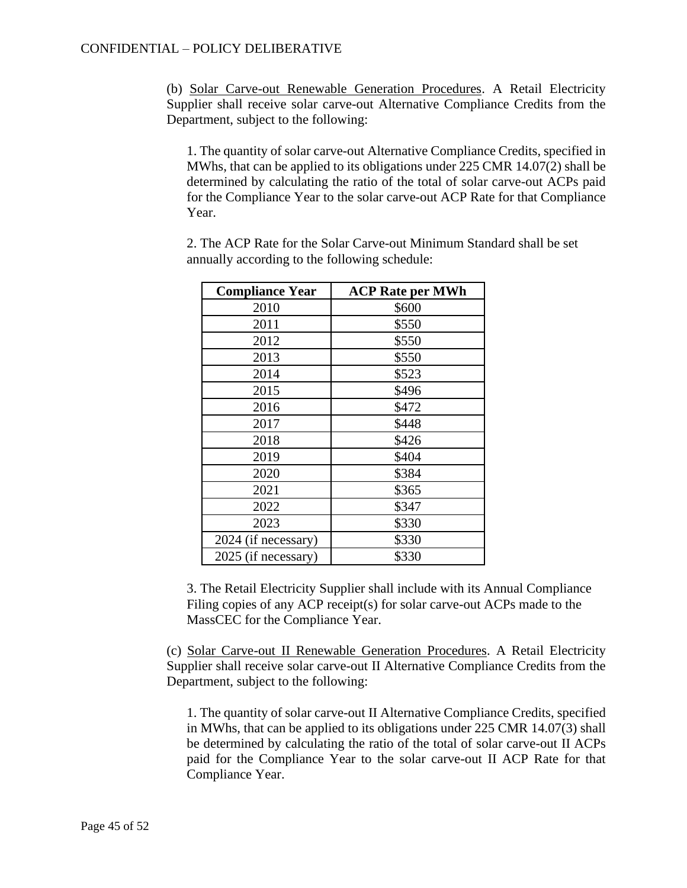(b) Solar Carve-out Renewable Generation Procedures. A Retail Electricity Supplier shall receive solar carve-out Alternative Compliance Credits from the Department, subject to the following:

1. The quantity of solar carve-out Alternative Compliance Credits, specified in MWhs, that can be applied to its obligations under 225 CMR 14.07(2) shall be determined by calculating the ratio of the total of solar carve-out ACPs paid for the Compliance Year to the solar carve-out ACP Rate for that Compliance Year.

2. The ACP Rate for the Solar Carve-out Minimum Standard shall be set annually according to the following schedule:

| <b>Compliance Year</b> | <b>ACP Rate per MWh</b> |
|------------------------|-------------------------|
| 2010                   | \$600                   |
| 2011                   | \$550                   |
| 2012                   | \$550                   |
| 2013                   | \$550                   |
| 2014                   | \$523                   |
| 2015                   | \$496                   |
| 2016                   | \$472                   |
| 2017                   | \$448                   |
| 2018                   | \$426                   |
| 2019                   | \$404                   |
| 2020                   | \$384                   |
| 2021                   | \$365                   |
| 2022                   | \$347                   |
| 2023                   | \$330                   |
| 2024 (if necessary)    | \$330                   |
| 2025 (if necessary)    | \$330                   |

3. The Retail Electricity Supplier shall include with its Annual Compliance Filing copies of any ACP receipt(s) for solar carve-out ACPs made to the MassCEC for the Compliance Year.

(c) Solar Carve-out II Renewable Generation Procedures. A Retail Electricity Supplier shall receive solar carve-out II Alternative Compliance Credits from the Department, subject to the following:

1. The quantity of solar carve-out II Alternative Compliance Credits, specified in MWhs, that can be applied to its obligations under 225 CMR 14.07(3) shall be determined by calculating the ratio of the total of solar carve-out II ACPs paid for the Compliance Year to the solar carve-out II ACP Rate for that Compliance Year.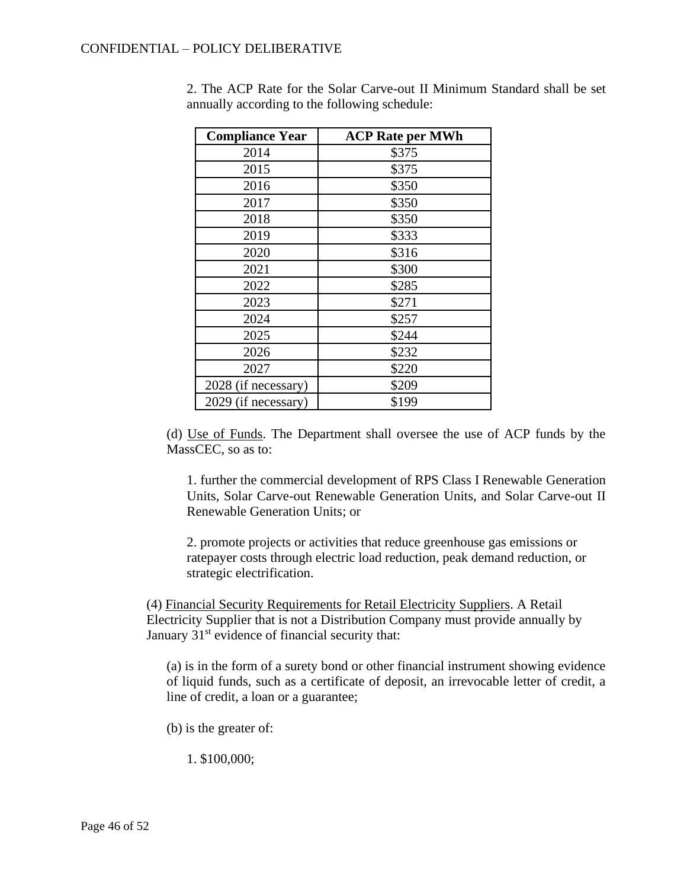| <b>Compliance Year</b> | <b>ACP Rate per MWh</b> |
|------------------------|-------------------------|
| 2014                   | \$375                   |
| 2015                   | \$375                   |
| 2016                   | \$350                   |
| 2017                   | \$350                   |
| 2018                   | \$350                   |
| 2019                   | \$333                   |
| 2020                   | \$316                   |
| 2021                   | \$300                   |
| 2022                   | \$285                   |
| 2023                   | \$271                   |
| 2024                   | \$257                   |
| 2025                   | \$244                   |
| 2026                   | \$232                   |
| 2027                   | \$220                   |
| 2028 (if necessary)    | \$209                   |
| 2029 (if necessary)    | \$199                   |

2. The ACP Rate for the Solar Carve-out II Minimum Standard shall be set annually according to the following schedule:

(d) Use of Funds. The Department shall oversee the use of ACP funds by the MassCEC, so as to:

1. further the commercial development of RPS Class I Renewable Generation Units, Solar Carve-out Renewable Generation Units, and Solar Carve-out II Renewable Generation Units; or

2. promote projects or activities that reduce greenhouse gas emissions or ratepayer costs through electric load reduction, peak demand reduction, or strategic electrification.

(4) Financial Security Requirements for Retail Electricity Suppliers. A Retail Electricity Supplier that is not a Distribution Company must provide annually by January  $31<sup>st</sup>$  evidence of financial security that:

(a) is in the form of a surety bond or other financial instrument showing evidence of liquid funds, such as a certificate of deposit, an irrevocable letter of credit, a line of credit, a loan or a guarantee;

(b) is the greater of:

1. \$100,000;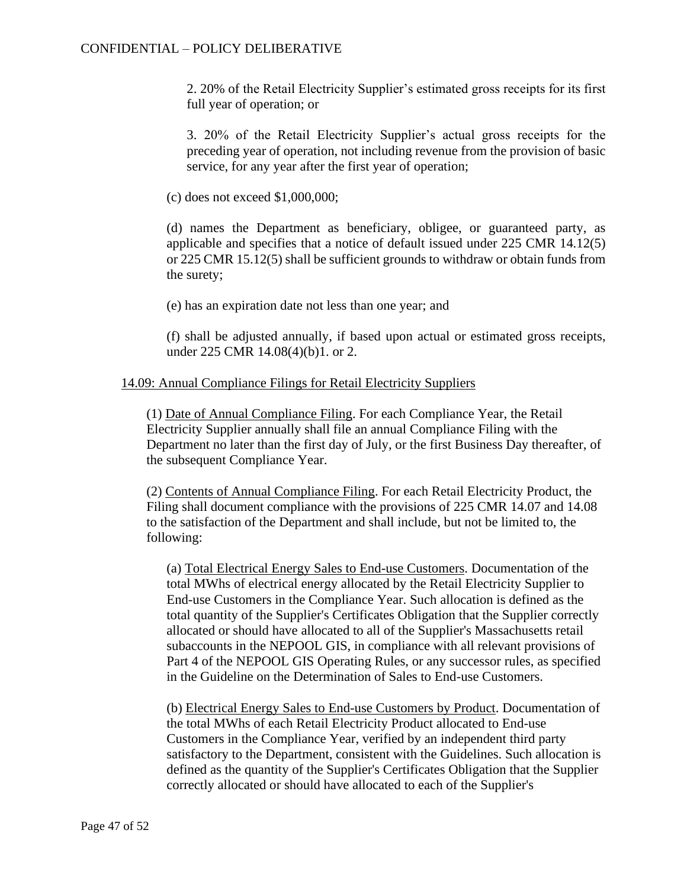2. 20% of the Retail Electricity Supplier's estimated gross receipts for its first full year of operation; or

3. 20% of the Retail Electricity Supplier's actual gross receipts for the preceding year of operation, not including revenue from the provision of basic service, for any year after the first year of operation;

(c) does not exceed \$1,000,000;

(d) names the Department as beneficiary, obligee, or guaranteed party, as applicable and specifies that a notice of default issued under 225 CMR 14.12(5) or 225 CMR 15.12(5) shall be sufficient grounds to withdraw or obtain funds from the surety;

(e) has an expiration date not less than one year; and

(f) shall be adjusted annually, if based upon actual or estimated gross receipts, under 225 CMR 14.08(4)(b)1. or 2.

### 14.09: Annual Compliance Filings for Retail Electricity Suppliers

(1) Date of Annual Compliance Filing. For each Compliance Year, the Retail Electricity Supplier annually shall file an annual Compliance Filing with the Department no later than the first day of July, or the first Business Day thereafter, of the subsequent Compliance Year.

(2) Contents of Annual Compliance Filing. For each Retail Electricity Product, the Filing shall document compliance with the provisions of 225 CMR 14.07 and 14.08 to the satisfaction of the Department and shall include, but not be limited to, the following:

(a) Total Electrical Energy Sales to End-use Customers. Documentation of the total MWhs of electrical energy allocated by the Retail Electricity Supplier to End-use Customers in the Compliance Year. Such allocation is defined as the total quantity of the Supplier's Certificates Obligation that the Supplier correctly allocated or should have allocated to all of the Supplier's Massachusetts retail subaccounts in the NEPOOL GIS, in compliance with all relevant provisions of Part 4 of the NEPOOL GIS Operating Rules, or any successor rules, as specified in the Guideline on the Determination of Sales to End-use Customers.

(b) Electrical Energy Sales to End-use Customers by Product. Documentation of the total MWhs of each Retail Electricity Product allocated to End-use Customers in the Compliance Year, verified by an independent third party satisfactory to the Department, consistent with the Guidelines. Such allocation is defined as the quantity of the Supplier's Certificates Obligation that the Supplier correctly allocated or should have allocated to each of the Supplier's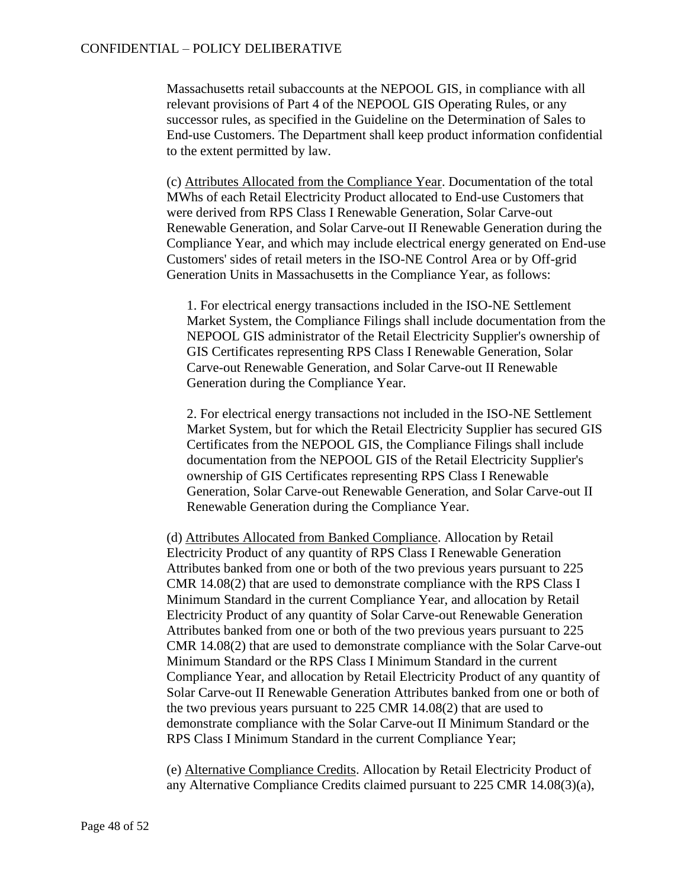Massachusetts retail subaccounts at the NEPOOL GIS, in compliance with all relevant provisions of Part 4 of the NEPOOL GIS Operating Rules, or any successor rules, as specified in the Guideline on the Determination of Sales to End-use Customers. The Department shall keep product information confidential to the extent permitted by law.

(c) Attributes Allocated from the Compliance Year. Documentation of the total MWhs of each Retail Electricity Product allocated to End-use Customers that were derived from RPS Class I Renewable Generation, Solar Carve-out Renewable Generation, and Solar Carve-out II Renewable Generation during the Compliance Year, and which may include electrical energy generated on End-use Customers' sides of retail meters in the ISO-NE Control Area or by Off-grid Generation Units in Massachusetts in the Compliance Year, as follows:

1. For electrical energy transactions included in the ISO-NE Settlement Market System, the Compliance Filings shall include documentation from the NEPOOL GIS administrator of the Retail Electricity Supplier's ownership of GIS Certificates representing RPS Class I Renewable Generation, Solar Carve-out Renewable Generation, and Solar Carve-out II Renewable Generation during the Compliance Year.

2. For electrical energy transactions not included in the ISO-NE Settlement Market System, but for which the Retail Electricity Supplier has secured GIS Certificates from the NEPOOL GIS, the Compliance Filings shall include documentation from the NEPOOL GIS of the Retail Electricity Supplier's ownership of GIS Certificates representing RPS Class I Renewable Generation, Solar Carve-out Renewable Generation, and Solar Carve-out II Renewable Generation during the Compliance Year.

(d) Attributes Allocated from Banked Compliance. Allocation by Retail Electricity Product of any quantity of RPS Class I Renewable Generation Attributes banked from one or both of the two previous years pursuant to 225 CMR 14.08(2) that are used to demonstrate compliance with the RPS Class I Minimum Standard in the current Compliance Year, and allocation by Retail Electricity Product of any quantity of Solar Carve-out Renewable Generation Attributes banked from one or both of the two previous years pursuant to 225 CMR 14.08(2) that are used to demonstrate compliance with the Solar Carve-out Minimum Standard or the RPS Class I Minimum Standard in the current Compliance Year, and allocation by Retail Electricity Product of any quantity of Solar Carve-out II Renewable Generation Attributes banked from one or both of the two previous years pursuant to 225 CMR 14.08(2) that are used to demonstrate compliance with the Solar Carve-out II Minimum Standard or the RPS Class I Minimum Standard in the current Compliance Year;

(e) Alternative Compliance Credits. Allocation by Retail Electricity Product of any Alternative Compliance Credits claimed pursuant to 225 CMR 14.08(3)(a),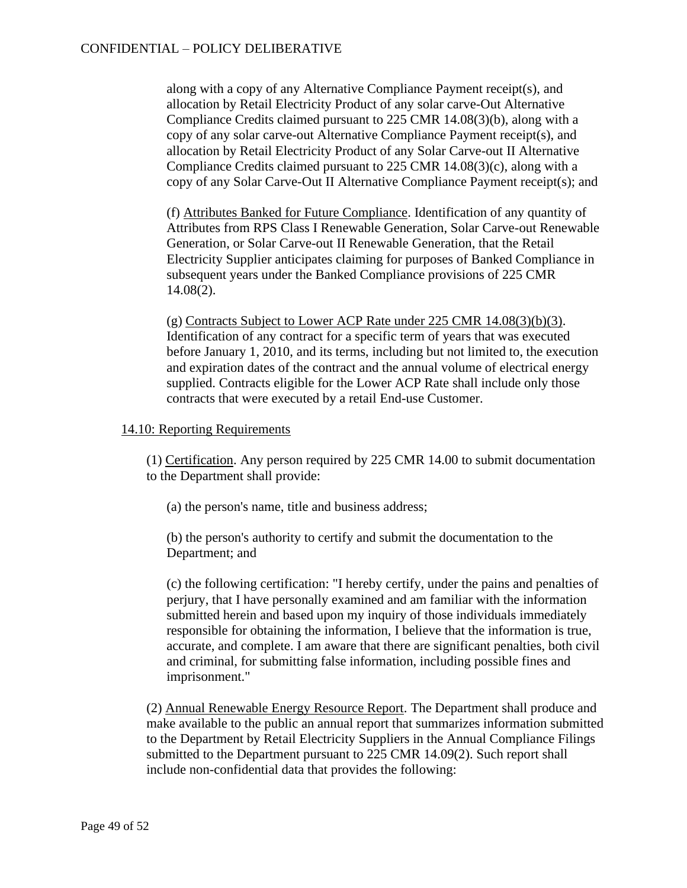along with a copy of any Alternative Compliance Payment receipt(s), and allocation by Retail Electricity Product of any solar carve-Out Alternative Compliance Credits claimed pursuant to 225 CMR 14.08(3)(b), along with a copy of any solar carve-out Alternative Compliance Payment receipt(s), and allocation by Retail Electricity Product of any Solar Carve-out II Alternative Compliance Credits claimed pursuant to 225 CMR 14.08(3)(c), along with a copy of any Solar Carve-Out II Alternative Compliance Payment receipt(s); and

(f) Attributes Banked for Future Compliance. Identification of any quantity of Attributes from RPS Class I Renewable Generation, Solar Carve-out Renewable Generation, or Solar Carve-out II Renewable Generation, that the Retail Electricity Supplier anticipates claiming for purposes of Banked Compliance in subsequent years under the Banked Compliance provisions of 225 CMR 14.08(2).

(g) Contracts Subject to Lower ACP Rate under 225 CMR 14.08(3)(b)(3). Identification of any contract for a specific term of years that was executed before January 1, 2010, and its terms, including but not limited to, the execution and expiration dates of the contract and the annual volume of electrical energy supplied. Contracts eligible for the Lower ACP Rate shall include only those contracts that were executed by a retail End-use Customer.

### 14.10: Reporting Requirements

(1) Certification. Any person required by 225 CMR 14.00 to submit documentation to the Department shall provide:

(a) the person's name, title and business address;

(b) the person's authority to certify and submit the documentation to the Department; and

(c) the following certification: "I hereby certify, under the pains and penalties of perjury, that I have personally examined and am familiar with the information submitted herein and based upon my inquiry of those individuals immediately responsible for obtaining the information, I believe that the information is true, accurate, and complete. I am aware that there are significant penalties, both civil and criminal, for submitting false information, including possible fines and imprisonment."

(2) Annual Renewable Energy Resource Report. The Department shall produce and make available to the public an annual report that summarizes information submitted to the Department by Retail Electricity Suppliers in the Annual Compliance Filings submitted to the Department pursuant to 225 CMR 14.09(2). Such report shall include non-confidential data that provides the following: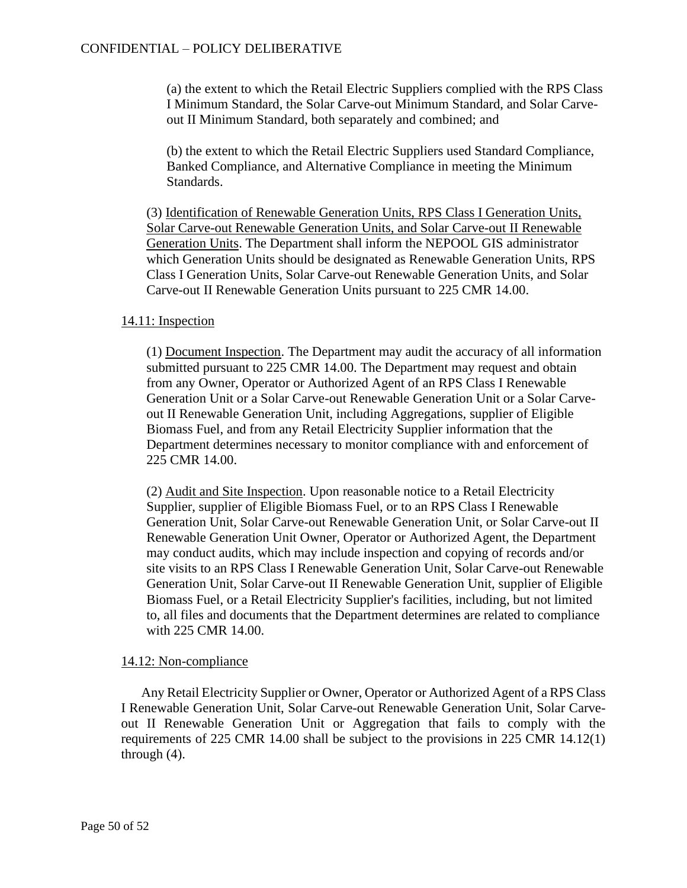(a) the extent to which the Retail Electric Suppliers complied with the RPS Class I Minimum Standard, the Solar Carve-out Minimum Standard, and Solar Carveout II Minimum Standard, both separately and combined; and

(b) the extent to which the Retail Electric Suppliers used Standard Compliance, Banked Compliance, and Alternative Compliance in meeting the Minimum Standards.

(3) Identification of Renewable Generation Units, RPS Class I Generation Units, Solar Carve-out Renewable Generation Units, and Solar Carve-out II Renewable Generation Units. The Department shall inform the NEPOOL GIS administrator which Generation Units should be designated as Renewable Generation Units, RPS Class I Generation Units, Solar Carve-out Renewable Generation Units, and Solar Carve-out II Renewable Generation Units pursuant to 225 CMR 14.00.

### 14.11: Inspection

(1) Document Inspection. The Department may audit the accuracy of all information submitted pursuant to 225 CMR 14.00. The Department may request and obtain from any Owner, Operator or Authorized Agent of an RPS Class I Renewable Generation Unit or a Solar Carve-out Renewable Generation Unit or a Solar Carveout II Renewable Generation Unit, including Aggregations, supplier of Eligible Biomass Fuel, and from any Retail Electricity Supplier information that the Department determines necessary to monitor compliance with and enforcement of 225 CMR 14.00.

(2) Audit and Site Inspection. Upon reasonable notice to a Retail Electricity Supplier, supplier of Eligible Biomass Fuel, or to an RPS Class I Renewable Generation Unit, Solar Carve-out Renewable Generation Unit, or Solar Carve-out II Renewable Generation Unit Owner, Operator or Authorized Agent, the Department may conduct audits, which may include inspection and copying of records and/or site visits to an RPS Class I Renewable Generation Unit, Solar Carve-out Renewable Generation Unit, Solar Carve-out II Renewable Generation Unit, supplier of Eligible Biomass Fuel, or a Retail Electricity Supplier's facilities, including, but not limited to, all files and documents that the Department determines are related to compliance with 225 CMR 14.00.

### 14.12: Non-compliance

Any Retail Electricity Supplier or Owner, Operator or Authorized Agent of a RPS Class I Renewable Generation Unit, Solar Carve-out Renewable Generation Unit, Solar Carveout II Renewable Generation Unit or Aggregation that fails to comply with the requirements of 225 CMR 14.00 shall be subject to the provisions in 225 CMR 14.12(1) through (4).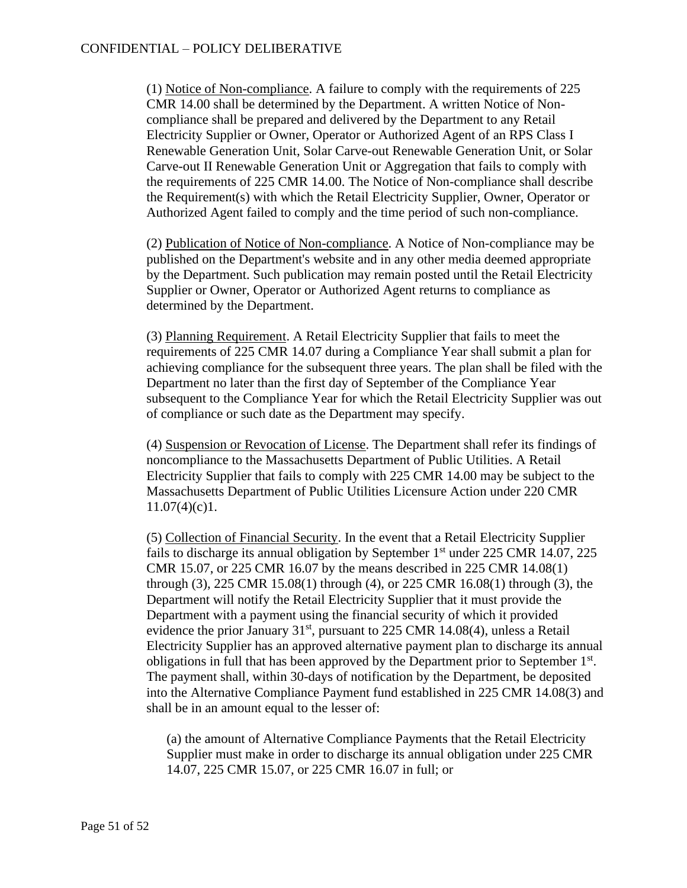(1) Notice of Non-compliance. A failure to comply with the requirements of 225 CMR 14.00 shall be determined by the Department. A written Notice of Noncompliance shall be prepared and delivered by the Department to any Retail Electricity Supplier or Owner, Operator or Authorized Agent of an RPS Class I Renewable Generation Unit, Solar Carve-out Renewable Generation Unit, or Solar Carve-out II Renewable Generation Unit or Aggregation that fails to comply with the requirements of 225 CMR 14.00. The Notice of Non-compliance shall describe the Requirement(s) with which the Retail Electricity Supplier, Owner, Operator or Authorized Agent failed to comply and the time period of such non-compliance.

(2) Publication of Notice of Non-compliance. A Notice of Non-compliance may be published on the Department's website and in any other media deemed appropriate by the Department. Such publication may remain posted until the Retail Electricity Supplier or Owner, Operator or Authorized Agent returns to compliance as determined by the Department.

(3) Planning Requirement. A Retail Electricity Supplier that fails to meet the requirements of 225 CMR 14.07 during a Compliance Year shall submit a plan for achieving compliance for the subsequent three years. The plan shall be filed with the Department no later than the first day of September of the Compliance Year subsequent to the Compliance Year for which the Retail Electricity Supplier was out of compliance or such date as the Department may specify.

(4) Suspension or Revocation of License. The Department shall refer its findings of noncompliance to the Massachusetts Department of Public Utilities. A Retail Electricity Supplier that fails to comply with 225 CMR 14.00 may be subject to the Massachusetts Department of Public Utilities Licensure Action under 220 CMR  $11.07(4)(c)1$ .

(5) Collection of Financial Security. In the event that a Retail Electricity Supplier fails to discharge its annual obligation by September  $1<sup>st</sup>$  under 225 CMR 14.07, 225 CMR 15.07, or 225 CMR 16.07 by the means described in 225 CMR 14.08(1) through (3), 225 CMR 15.08(1) through (4), or 225 CMR 16.08(1) through (3), the Department will notify the Retail Electricity Supplier that it must provide the Department with a payment using the financial security of which it provided evidence the prior January  $31<sup>st</sup>$ , pursuant to 225 CMR 14.08(4), unless a Retail Electricity Supplier has an approved alternative payment plan to discharge its annual obligations in full that has been approved by the Department prior to September  $1<sup>st</sup>$ . The payment shall, within 30-days of notification by the Department, be deposited into the Alternative Compliance Payment fund established in 225 CMR 14.08(3) and shall be in an amount equal to the lesser of:

(a) the amount of Alternative Compliance Payments that the Retail Electricity Supplier must make in order to discharge its annual obligation under 225 CMR 14.07, 225 CMR 15.07, or 225 CMR 16.07 in full; or